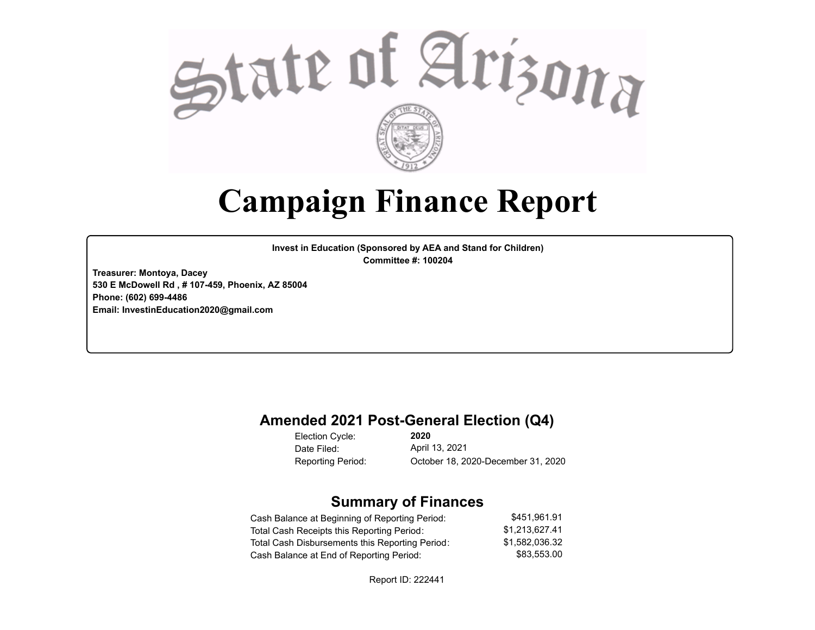

# **Campaign Finance Report**

**Invest in Education (Sponsored by AEA and Stand for Children) Committee #: 100204**

**Treasurer: Montoya, Dacey 530 E McDowell Rd , # 107-459, Phoenix, AZ 85004 Phone: (602) 699-4486 Email: InvestinEducation2020@gmail.com**

#### **Amended 2021 Post-General Election (Q4)**

Election Cycle: Date Filed:

**2020** April 13, 2021 Reporting Period: October 18, 2020-December 31, 2020

#### **Summary of Finances**

| Cash Balance at Beginning of Reporting Period:  | \$451.961.91   |
|-------------------------------------------------|----------------|
| Total Cash Receipts this Reporting Period:      | \$1.213.627.41 |
| Total Cash Disbursements this Reporting Period: | \$1.582.036.32 |
| Cash Balance at End of Reporting Period:        | \$83.553.00    |

Report ID: 222441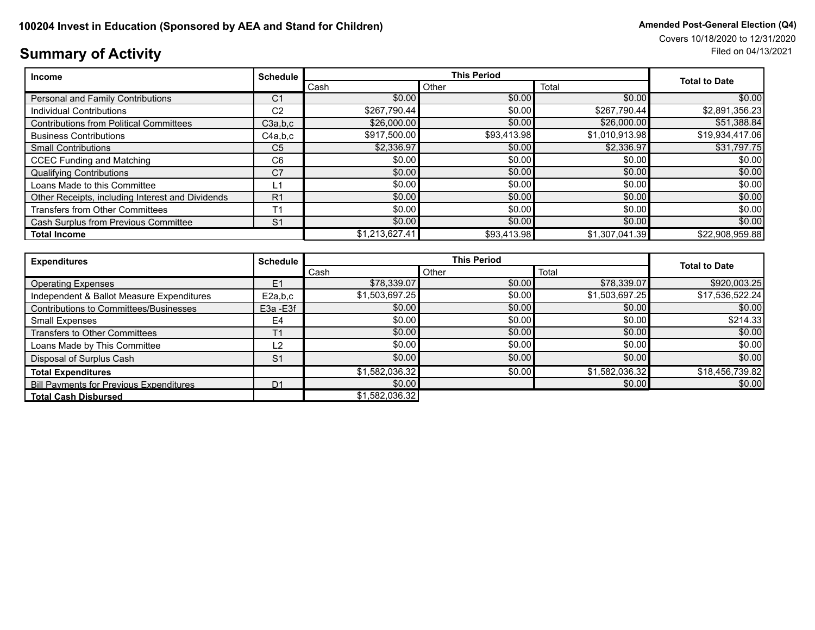# **Summary of Activity** Filed on 04/13/2021

| <b>Income</b>                                    | <b>Schedule</b> |                | <b>This Period</b> |                |                      |  |
|--------------------------------------------------|-----------------|----------------|--------------------|----------------|----------------------|--|
|                                                  |                 | Cash           | Other              | Total          | <b>Total to Date</b> |  |
| <b>Personal and Family Contributions</b>         | C <sub>1</sub>  | \$0.00         | \$0.00             | \$0.00         | \$0.00               |  |
| Individual Contributions                         | C <sub>2</sub>  | \$267,790.44   | \$0.00             | \$267,790.44   | \$2,891,356.23       |  |
| <b>Contributions from Political Committees</b>   | C3a,b,c         | \$26,000,00    | \$0.00             | \$26,000.00    | \$51,388.84          |  |
| <b>Business Contributions</b>                    | C4a,b,c         | \$917,500.00   | \$93,413.98        | \$1,010,913.98 | \$19,934,417.06      |  |
| <b>Small Contributions</b>                       | C <sub>5</sub>  | \$2,336.97     | \$0.00             | \$2,336.97     | \$31,797.75          |  |
| <b>CCEC Funding and Matching</b>                 | C <sub>6</sub>  | \$0.00         | \$0.00             | \$0.00         | \$0.00               |  |
| <b>Qualifying Contributions</b>                  | C <sub>7</sub>  | \$0.00         | \$0.00             | \$0.00         | \$0.00               |  |
| Loans Made to this Committee                     | L1              | \$0.00         | \$0.00             | \$0.00         | \$0.00               |  |
| Other Receipts, including Interest and Dividends | R <sub>1</sub>  | \$0.00         | \$0.00             | \$0.00         | \$0.00               |  |
| Transfers from Other Committees                  | T1              | \$0.00         | \$0.00             | \$0.00         | \$0.00               |  |
| Cash Surplus from Previous Committee             | S <sub>1</sub>  | \$0.00         | \$0.00             | \$0.00         | \$0.00               |  |
| <b>Total Income</b>                              |                 | \$1,213,627.41 | \$93,413.98        | \$1,307,041.39 | \$22,908,959.88      |  |

| <b>Expenditures</b>                            | <b>Schedule</b> |                | <b>This Period</b> |                |                      |  |
|------------------------------------------------|-----------------|----------------|--------------------|----------------|----------------------|--|
|                                                |                 | Cash           | Other              | Total          | <b>Total to Date</b> |  |
| <b>Operating Expenses</b>                      | E1              | \$78,339.07    | \$0.00             | \$78,339.07    | \$920,003.25         |  |
| Independent & Ballot Measure Expenditures      | E2a,b,c         | \$1,503,697.25 | \$0.00             | \$1,503,697.25 | \$17,536,522.24      |  |
| Contributions to Committees/Businesses         | E3a -E3f        | \$0.00         | \$0.00             | \$0.00         | \$0.00               |  |
| Small Expenses                                 | E <sub>4</sub>  | \$0.00]        | \$0.00             | \$0.00         | \$214.33             |  |
| Transfers to Other Committees                  | T <sub>1</sub>  | \$0.00         | \$0.00             | \$0.00         | \$0.00]              |  |
| Loans Made by This Committee                   | L2              | \$0.00         | \$0.00             | \$0.00         | \$0.00               |  |
| Disposal of Surplus Cash                       | S <sub>1</sub>  | \$0.00         | \$0.00             | \$0.00         | \$0.00               |  |
| <b>Total Expenditures</b>                      |                 | \$1,582,036.32 | \$0.00             | \$1,582,036.32 | \$18,456,739.82      |  |
| <b>Bill Payments for Previous Expenditures</b> | D <sub>1</sub>  | \$0.00         |                    | \$0.00         | \$0.00               |  |
| <b>Total Cash Disbursed</b>                    |                 | \$1,582,036.32 |                    |                |                      |  |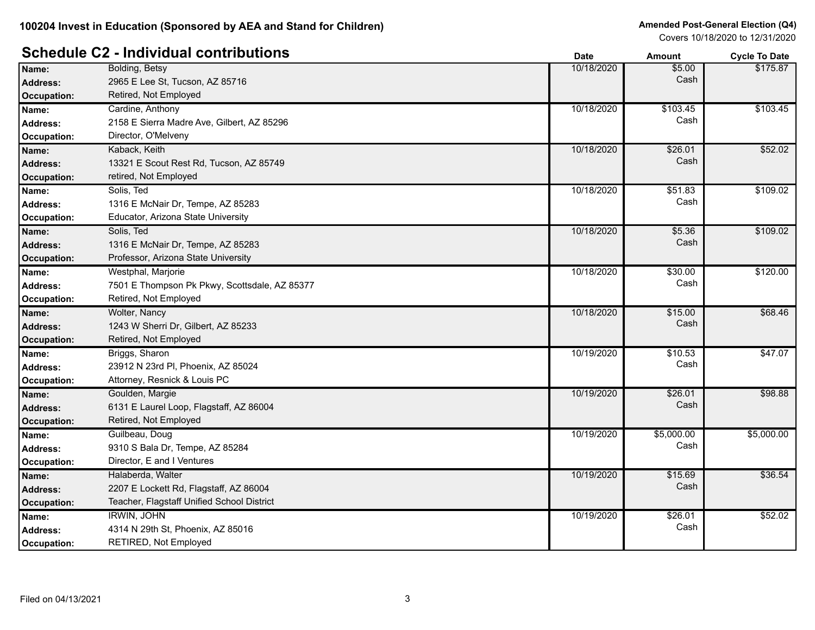# **Schedule C2 - Individual contributions Date Date Amount Amount Cycle To Date**

|                    |                                               | υαισ       | anoun      | <b>OVUE TO DATE</b> |
|--------------------|-----------------------------------------------|------------|------------|---------------------|
| Name:              | Bolding, Betsy                                | 10/18/2020 | \$5.00     | \$175.87            |
| <b>Address:</b>    | 2965 E Lee St, Tucson, AZ 85716               |            | Cash       |                     |
| <b>Occupation:</b> | Retired, Not Employed                         |            |            |                     |
| Name:              | Cardine, Anthony                              | 10/18/2020 | \$103.45   | \$103.45            |
| <b>Address:</b>    | 2158 E Sierra Madre Ave, Gilbert, AZ 85296    |            | Cash       |                     |
| Occupation:        | Director, O'Melveny                           |            |            |                     |
| Name:              | Kaback, Keith                                 | 10/18/2020 | \$26.01    | \$52.02             |
| <b>Address:</b>    | 13321 E Scout Rest Rd, Tucson, AZ 85749       |            | Cash       |                     |
| <b>Occupation:</b> | retired, Not Employed                         |            |            |                     |
| Name:              | Solis, Ted                                    | 10/18/2020 | \$51.83    | \$109.02            |
| <b>Address:</b>    | 1316 E McNair Dr, Tempe, AZ 85283             |            | Cash       |                     |
| <b>Occupation:</b> | Educator, Arizona State University            |            |            |                     |
| Name:              | Solis, Ted                                    | 10/18/2020 | \$5.36     | \$109.02            |
| <b>Address:</b>    | 1316 E McNair Dr, Tempe, AZ 85283             |            | Cash       |                     |
| <b>Occupation:</b> | Professor, Arizona State University           |            |            |                     |
| Name:              | Westphal, Marjorie                            | 10/18/2020 | \$30.00    | \$120.00            |
| <b>Address:</b>    | 7501 E Thompson Pk Pkwy, Scottsdale, AZ 85377 |            | Cash       |                     |
| Occupation:        | Retired, Not Employed                         |            |            |                     |
| Name:              | Wolter, Nancy                                 | 10/18/2020 | \$15.00    | \$68.46             |
| <b>Address:</b>    | 1243 W Sherri Dr, Gilbert, AZ 85233           |            | Cash       |                     |
| <b>Occupation:</b> | Retired, Not Employed                         |            |            |                     |
| Name:              | Briggs, Sharon                                | 10/19/2020 | \$10.53    | \$47.07             |
| <b>Address:</b>    | 23912 N 23rd PI, Phoenix, AZ 85024            |            | Cash       |                     |
| Occupation:        | Attorney, Resnick & Louis PC                  |            |            |                     |
| Name:              | Goulden, Margie                               | 10/19/2020 | \$26.01    | \$98.88             |
| <b>Address:</b>    | 6131 E Laurel Loop, Flagstaff, AZ 86004       |            | Cash       |                     |
| <b>Occupation:</b> | Retired, Not Employed                         |            |            |                     |
| Name:              | Guilbeau, Doug                                | 10/19/2020 | \$5,000.00 | \$5,000.00          |
| <b>Address:</b>    | 9310 S Bala Dr, Tempe, AZ 85284               |            | Cash       |                     |
| <b>Occupation:</b> | Director, E and I Ventures                    |            |            |                     |
| Name:              | Halaberda, Walter                             | 10/19/2020 | \$15.69    | \$36.54             |
| <b>Address:</b>    | 2207 E Lockett Rd, Flagstaff, AZ 86004        |            | Cash       |                     |
| <b>Occupation:</b> | Teacher, Flagstaff Unified School District    |            |            |                     |
| Name:              | <b>IRWIN, JOHN</b>                            | 10/19/2020 | \$26.01    | \$52.02             |
| <b>Address:</b>    | 4314 N 29th St, Phoenix, AZ 85016             |            | Cash       |                     |
| Occupation:        | RETIRED, Not Employed                         |            |            |                     |
|                    |                                               |            |            |                     |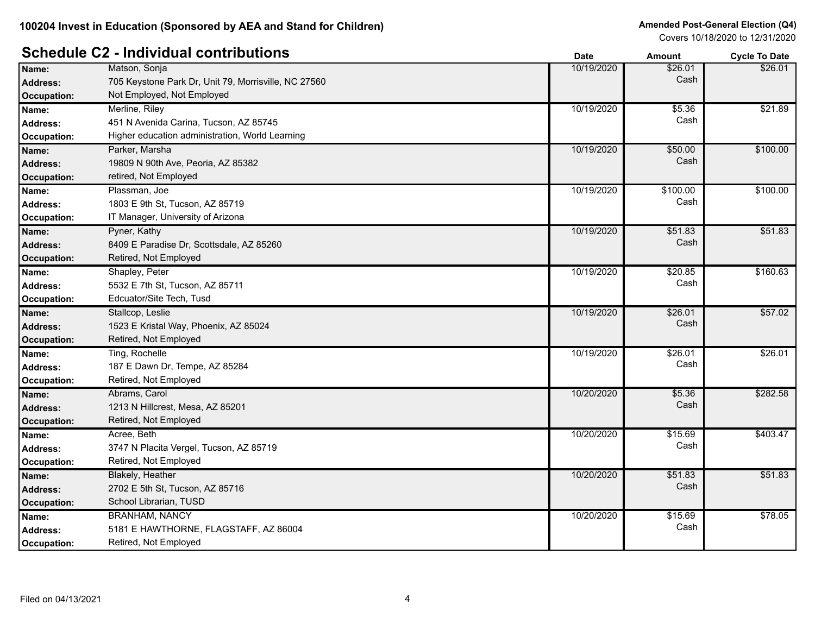# **Schedule C2 - Individual contributions Date Date Cycle To Date Amount Cycle To Date**

|                    |                                                      | Dale       | Allivulit | Oyult TO Date |
|--------------------|------------------------------------------------------|------------|-----------|---------------|
| Name:              | Matson, Sonja                                        | 10/19/2020 | \$26.01   | \$26.01       |
| <b>Address:</b>    | 705 Keystone Park Dr, Unit 79, Morrisville, NC 27560 |            | Cash      |               |
| Occupation:        | Not Employed, Not Employed                           |            |           |               |
| Name:              | Merline, Riley                                       | 10/19/2020 | \$5.36    | \$21.89       |
| <b>Address:</b>    | 451 N Avenida Carina, Tucson, AZ 85745               |            | Cash      |               |
| <b>Occupation:</b> | Higher education administration, World Learning      |            |           |               |
| Name:              | Parker, Marsha                                       | 10/19/2020 | \$50.00   | \$100.00      |
| <b>Address:</b>    | 19809 N 90th Ave, Peoria, AZ 85382                   |            | Cash      |               |
| <b>Occupation:</b> | retired, Not Employed                                |            |           |               |
| Name:              | Plassman, Joe                                        | 10/19/2020 | \$100.00  | \$100.00      |
| <b>Address:</b>    | 1803 E 9th St, Tucson, AZ 85719                      |            | Cash      |               |
| <b>Occupation:</b> | IT Manager, University of Arizona                    |            |           |               |
| Name:              | Pyner, Kathy                                         | 10/19/2020 | \$51.83   | \$51.83       |
| <b>Address:</b>    | 8409 E Paradise Dr, Scottsdale, AZ 85260             |            | Cash      |               |
| <b>Occupation:</b> | Retired, Not Employed                                |            |           |               |
| Name:              | Shapley, Peter                                       | 10/19/2020 | \$20.85   | \$160.63      |
| <b>Address:</b>    | 5532 E 7th St, Tucson, AZ 85711                      |            | Cash      |               |
| Occupation:        | Edcuator/Site Tech, Tusd                             |            |           |               |
| Name:              | Stallcop, Leslie                                     | 10/19/2020 | \$26.01   | \$57.02       |
| Address:           | 1523 E Kristal Way, Phoenix, AZ 85024                |            | Cash      |               |
| <b>Occupation:</b> | Retired, Not Employed                                |            |           |               |
| Name:              | Ting, Rochelle                                       | 10/19/2020 | \$26.01   | \$26.01       |
| <b>Address:</b>    | 187 E Dawn Dr, Tempe, AZ 85284                       |            | Cash      |               |
| Occupation:        | Retired, Not Employed                                |            |           |               |
| Name:              | Abrams, Carol                                        | 10/20/2020 | \$5.36    | \$282.58      |
| <b>Address:</b>    | 1213 N Hillcrest, Mesa, AZ 85201                     |            | Cash      |               |
| <b>Occupation:</b> | Retired, Not Employed                                |            |           |               |
| Name:              | Acree, Beth                                          | 10/20/2020 | \$15.69   | \$403.47      |
| <b>Address:</b>    | 3747 N Placita Vergel, Tucson, AZ 85719              |            | Cash      |               |
| <b>Occupation:</b> | Retired, Not Employed                                |            |           |               |
| Name:              | Blakely, Heather                                     | 10/20/2020 | \$51.83   | \$51.83       |
| <b>Address:</b>    | 2702 E 5th St, Tucson, AZ 85716                      |            | Cash      |               |
| <b>Occupation:</b> | School Librarian, TUSD                               |            |           |               |
| Name:              | <b>BRANHAM, NANCY</b>                                | 10/20/2020 | \$15.69   | \$78.05       |
| <b>Address:</b>    | 5181 E HAWTHORNE, FLAGSTAFF, AZ 86004                |            | Cash      |               |
| Occupation:        | Retired, Not Employed                                |            |           |               |
|                    |                                                      |            |           |               |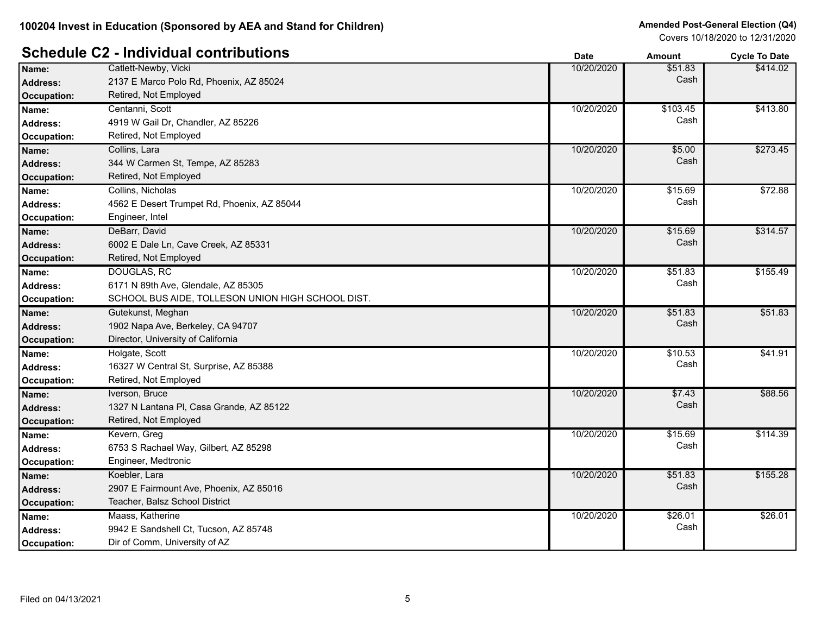|                    |                                                   | Dale       | Allivulit | <b>OVUE TO DATE</b> |
|--------------------|---------------------------------------------------|------------|-----------|---------------------|
| Name:              | Catlett-Newby, Vicki                              | 10/20/2020 | \$51.83   | \$414.02            |
| <b>Address:</b>    | 2137 E Marco Polo Rd, Phoenix, AZ 85024           |            | Cash      |                     |
| <b>Occupation:</b> | Retired, Not Employed                             |            |           |                     |
| Name:              | Centanni, Scott                                   | 10/20/2020 | \$103.45  | \$413.80            |
| <b>Address:</b>    | 4919 W Gail Dr, Chandler, AZ 85226                |            | Cash      |                     |
| Occupation:        | Retired, Not Employed                             |            |           |                     |
| Name:              | Collins, Lara                                     | 10/20/2020 | \$5.00    | \$273.45            |
| Address:           | 344 W Carmen St, Tempe, AZ 85283                  |            | Cash      |                     |
| Occupation:        | Retired, Not Employed                             |            |           |                     |
| Name:              | Collins, Nicholas                                 | 10/20/2020 | \$15.69   | \$72.88             |
| <b>Address:</b>    | 4562 E Desert Trumpet Rd, Phoenix, AZ 85044       |            | Cash      |                     |
| Occupation:        | Engineer, Intel                                   |            |           |                     |
| Name:              | DeBarr, David                                     | 10/20/2020 | \$15.69   | \$314.57            |
| <b>Address:</b>    | 6002 E Dale Ln, Cave Creek, AZ 85331              |            | Cash      |                     |
| Occupation:        | Retired, Not Employed                             |            |           |                     |
| Name:              | <b>DOUGLAS, RC</b>                                | 10/20/2020 | \$51.83   | \$155.49            |
| <b>Address:</b>    | 6171 N 89th Ave, Glendale, AZ 85305               |            | Cash      |                     |
| Occupation:        | SCHOOL BUS AIDE, TOLLESON UNION HIGH SCHOOL DIST. |            |           |                     |
| Name:              | Gutekunst, Meghan                                 | 10/20/2020 | \$51.83   | \$51.83             |
| Address:           | 1902 Napa Ave, Berkeley, CA 94707                 |            | Cash      |                     |
| Occupation:        | Director, University of California                |            |           |                     |
| Name:              | Holgate, Scott                                    | 10/20/2020 | \$10.53   | \$41.91             |
| <b>Address:</b>    | 16327 W Central St, Surprise, AZ 85388            |            | Cash      |                     |
| Occupation:        | Retired, Not Employed                             |            |           |                     |
| Name:              | Iverson, Bruce                                    | 10/20/2020 | \$7.43    | \$88.56             |
| <b>Address:</b>    | 1327 N Lantana PI, Casa Grande, AZ 85122          |            | Cash      |                     |
| <b>Occupation:</b> | Retired, Not Employed                             |            |           |                     |
| Name:              | Kevern, Greg                                      | 10/20/2020 | \$15.69   | \$114.39            |
| Address:           | 6753 S Rachael Way, Gilbert, AZ 85298             |            | Cash      |                     |
| Occupation:        | Engineer, Medtronic                               |            |           |                     |
| Name:              | Koebler, Lara                                     | 10/20/2020 | \$51.83   | \$155.28            |
| Address:           | 2907 E Fairmount Ave, Phoenix, AZ 85016           |            | Cash      |                     |
| <b>Occupation:</b> | Teacher, Balsz School District                    |            |           |                     |
| Name:              | Maass, Katherine                                  | 10/20/2020 | \$26.01   | \$26.01             |
| <b>Address:</b>    | 9942 E Sandshell Ct, Tucson, AZ 85748             |            | Cash      |                     |
| Occupation:        | Dir of Comm, University of AZ                     |            |           |                     |
|                    |                                                   |            |           |                     |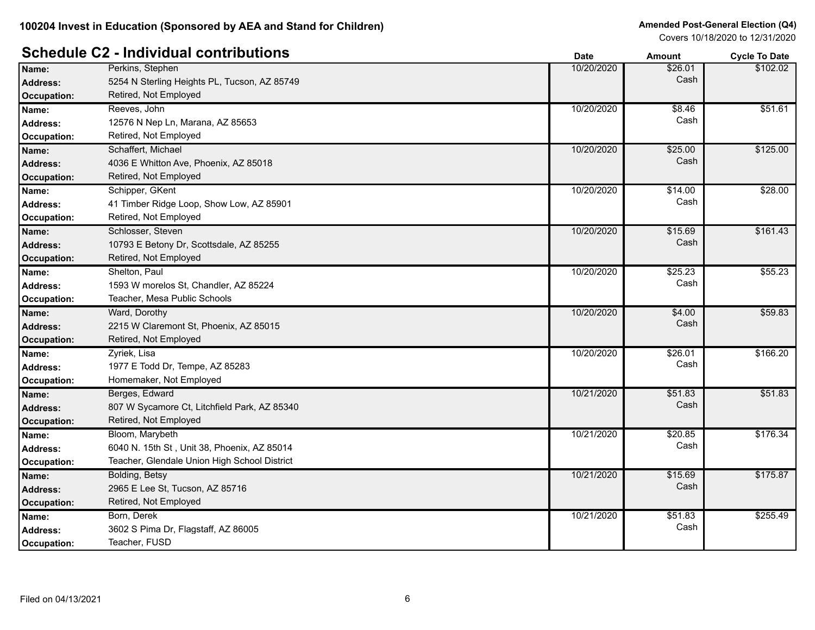# **Schedule C2 - Individual contributions Date Date Amount Amount Cycle To Date**

|                    |                                              | υαισ       | AIIIvuii | <b>OVUE TO DATE</b> |
|--------------------|----------------------------------------------|------------|----------|---------------------|
| Name:              | Perkins, Stephen                             | 10/20/2020 | \$26.01  | \$102.02            |
| Address:           | 5254 N Sterling Heights PL, Tucson, AZ 85749 |            | Cash     |                     |
| <b>Occupation:</b> | Retired, Not Employed                        |            |          |                     |
| Name:              | Reeves, John                                 | 10/20/2020 | \$8.46   | \$51.61             |
| <b>Address:</b>    | 12576 N Nep Ln, Marana, AZ 85653             |            | Cash     |                     |
| Occupation:        | Retired, Not Employed                        |            |          |                     |
| Name:              | Schaffert, Michael                           | 10/20/2020 | \$25.00  | \$125.00            |
| <b>Address:</b>    | 4036 E Whitton Ave, Phoenix, AZ 85018        |            | Cash     |                     |
| <b>Occupation:</b> | Retired, Not Employed                        |            |          |                     |
| Name:              | Schipper, GKent                              | 10/20/2020 | \$14.00  | \$28.00             |
| <b>Address:</b>    | 41 Timber Ridge Loop, Show Low, AZ 85901     |            | Cash     |                     |
| <b>Occupation:</b> | Retired, Not Employed                        |            |          |                     |
| Name:              | Schlosser, Steven                            | 10/20/2020 | \$15.69  | \$161.43            |
| Address:           | 10793 E Betony Dr, Scottsdale, AZ 85255      |            | Cash     |                     |
| <b>Occupation:</b> | Retired, Not Employed                        |            |          |                     |
| Name:              | Shelton, Paul                                | 10/20/2020 | \$25.23  | \$55.23             |
| Address:           | 1593 W morelos St, Chandler, AZ 85224        |            | Cash     |                     |
| Occupation:        | Teacher, Mesa Public Schools                 |            |          |                     |
| Name:              | Ward, Dorothy                                | 10/20/2020 | \$4.00   | \$59.83             |
| <b>Address:</b>    | 2215 W Claremont St, Phoenix, AZ 85015       |            | Cash     |                     |
| Occupation:        | Retired, Not Employed                        |            |          |                     |
| Name:              | Zyriek, Lisa                                 | 10/20/2020 | \$26.01  | \$166.20            |
| <b>Address:</b>    | 1977 E Todd Dr, Tempe, AZ 85283              |            | Cash     |                     |
| Occupation:        | Homemaker, Not Employed                      |            |          |                     |
| Name:              | Berges, Edward                               | 10/21/2020 | \$51.83  | \$51.83             |
| <b>Address:</b>    | 807 W Sycamore Ct, Litchfield Park, AZ 85340 |            | Cash     |                     |
| <b>Occupation:</b> | Retired, Not Employed                        |            |          |                     |
| Name:              | Bloom, Marybeth                              | 10/21/2020 | \$20.85  | \$176.34            |
| <b>Address:</b>    | 6040 N. 15th St, Unit 38, Phoenix, AZ 85014  |            | Cash     |                     |
| Occupation:        | Teacher, Glendale Union High School District |            |          |                     |
| Name:              | Bolding, Betsy                               | 10/21/2020 | \$15.69  | \$175.87            |
| Address:           | 2965 E Lee St, Tucson, AZ 85716              |            | Cash     |                     |
| <b>Occupation:</b> | Retired, Not Employed                        |            |          |                     |
| Name:              | Born, Derek                                  | 10/21/2020 | \$51.83  | \$255.49            |
| <b>Address:</b>    | 3602 S Pima Dr, Flagstaff, AZ 86005          |            | Cash     |                     |
| Occupation:        | Teacher, FUSD                                |            |          |                     |
|                    |                                              |            |          |                     |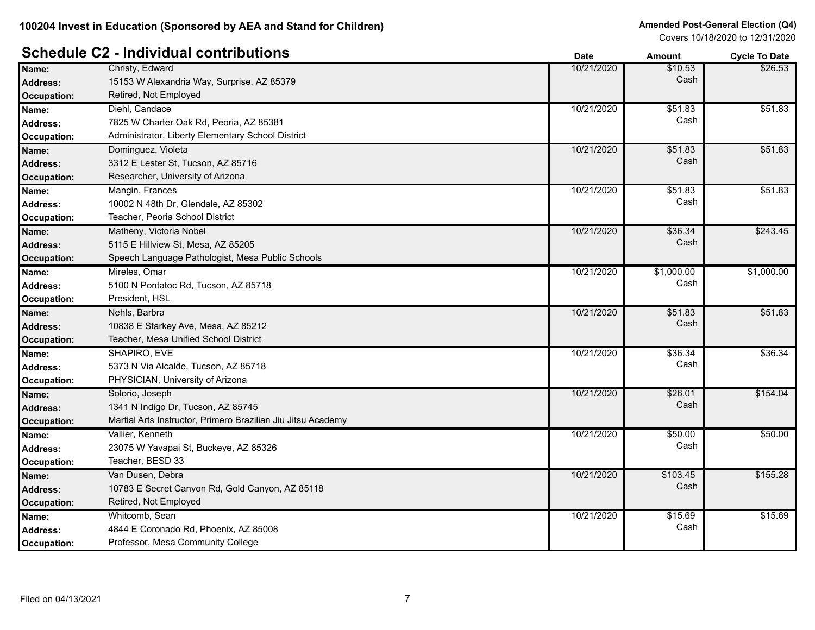# **Schedule C2 - Individual contributions Date Date Amount Amount Cycle To Date**

|                 |                                                              | Dalc       | AIIIvuii   | <b>OVUE TO DATE</b> |
|-----------------|--------------------------------------------------------------|------------|------------|---------------------|
| Name:           | Christy, Edward                                              | 10/21/2020 | \$10.53    | \$26.53             |
| <b>Address:</b> | 15153 W Alexandria Way, Surprise, AZ 85379                   |            | Cash       |                     |
| Occupation:     | Retired, Not Employed                                        |            |            |                     |
| Name:           | Diehl, Candace                                               | 10/21/2020 | \$51.83    | \$51.83             |
| <b>Address:</b> | 7825 W Charter Oak Rd, Peoria, AZ 85381                      |            | Cash       |                     |
| Occupation:     | Administrator, Liberty Elementary School District            |            |            |                     |
| Name:           | Dominguez, Violeta                                           | 10/21/2020 | \$51.83    | \$51.83             |
| Address:        | 3312 E Lester St, Tucson, AZ 85716                           |            | Cash       |                     |
| Occupation:     | Researcher, University of Arizona                            |            |            |                     |
| Name:           | Mangin, Frances                                              | 10/21/2020 | \$51.83    | \$51.83             |
| <b>Address:</b> | 10002 N 48th Dr, Glendale, AZ 85302                          |            | Cash       |                     |
| Occupation:     | Teacher, Peoria School District                              |            |            |                     |
| Name:           | Matheny, Victoria Nobel                                      | 10/21/2020 | \$36.34    | \$243.45            |
| <b>Address:</b> | 5115 E Hillview St, Mesa, AZ 85205                           |            | Cash       |                     |
| Occupation:     | Speech Language Pathologist, Mesa Public Schools             |            |            |                     |
| Name:           | Mireles, Omar                                                | 10/21/2020 | \$1,000.00 | \$1,000.00          |
| <b>Address:</b> | 5100 N Pontatoc Rd, Tucson, AZ 85718                         |            | Cash       |                     |
| Occupation:     | President, HSL                                               |            |            |                     |
| Name:           | Nehls, Barbra                                                | 10/21/2020 | \$51.83    | \$51.83             |
| <b>Address:</b> | 10838 E Starkey Ave, Mesa, AZ 85212                          |            | Cash       |                     |
| Occupation:     | Teacher, Mesa Unified School District                        |            |            |                     |
| Name:           | SHAPIRO, EVE                                                 | 10/21/2020 | \$36.34    | \$36.34             |
| <b>Address:</b> | 5373 N Via Alcalde, Tucson, AZ 85718                         |            | Cash       |                     |
| Occupation:     | PHYSICIAN, University of Arizona                             |            |            |                     |
| Name:           | Solorio, Joseph                                              | 10/21/2020 | \$26.01    | \$154.04            |
| Address:        | 1341 N Indigo Dr, Tucson, AZ 85745                           |            | Cash       |                     |
| Occupation:     | Martial Arts Instructor, Primero Brazilian Jiu Jitsu Academy |            |            |                     |
| Name:           | Vallier, Kenneth                                             | 10/21/2020 | \$50.00    | \$50.00             |
| <b>Address:</b> | 23075 W Yavapai St, Buckeye, AZ 85326                        |            | Cash       |                     |
| Occupation:     | Teacher, BESD 33                                             |            |            |                     |
| Name:           | Van Dusen, Debra                                             | 10/21/2020 | \$103.45   | \$155.28            |
| <b>Address:</b> | 10783 E Secret Canyon Rd, Gold Canyon, AZ 85118              |            | Cash       |                     |
| Occupation:     | Retired, Not Employed                                        |            |            |                     |
| Name:           | Whitcomb, Sean                                               | 10/21/2020 | \$15.69    | \$15.69             |
| <b>Address:</b> | 4844 E Coronado Rd, Phoenix, AZ 85008                        |            | Cash       |                     |
| Occupation:     | Professor, Mesa Community College                            |            |            |                     |
|                 |                                                              |            |            |                     |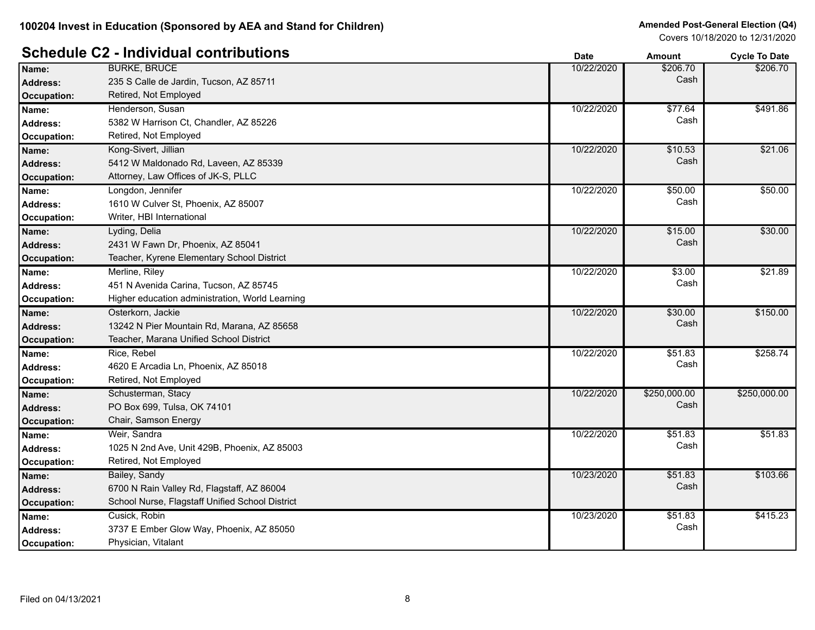|                    |                                                 | Dale       | Allioulit    | <b>OVER TO DATE</b> |
|--------------------|-------------------------------------------------|------------|--------------|---------------------|
| Name:              | <b>BURKE, BRUCE</b>                             | 10/22/2020 | \$206.70     | \$206.70            |
| <b>Address:</b>    | 235 S Calle de Jardin, Tucson, AZ 85711         |            | Cash         |                     |
| <b>Occupation:</b> | Retired, Not Employed                           |            |              |                     |
| Name:              | Henderson, Susan                                | 10/22/2020 | \$77.64      | \$491.86            |
| <b>Address:</b>    | 5382 W Harrison Ct, Chandler, AZ 85226          |            | Cash         |                     |
| Occupation:        | Retired, Not Employed                           |            |              |                     |
| Name:              | Kong-Sivert, Jillian                            | 10/22/2020 | \$10.53      | \$21.06             |
| <b>Address:</b>    | 5412 W Maldonado Rd, Laveen, AZ 85339           |            | Cash         |                     |
| <b>Occupation:</b> | Attorney, Law Offices of JK-S, PLLC             |            |              |                     |
| Name:              | Longdon, Jennifer                               | 10/22/2020 | \$50.00      | \$50.00             |
| <b>Address:</b>    | 1610 W Culver St, Phoenix, AZ 85007             |            | Cash         |                     |
| Occupation:        | Writer, HBI International                       |            |              |                     |
| Name:              | Lyding, Delia                                   | 10/22/2020 | \$15.00      | \$30.00             |
| <b>Address:</b>    | 2431 W Fawn Dr, Phoenix, AZ 85041               |            | Cash         |                     |
| <b>Occupation:</b> | Teacher, Kyrene Elementary School District      |            |              |                     |
| Name:              | Merline, Riley                                  | 10/22/2020 | \$3.00       | \$21.89             |
| <b>Address:</b>    | 451 N Avenida Carina, Tucson, AZ 85745          |            | Cash         |                     |
| Occupation:        | Higher education administration, World Learning |            |              |                     |
| Name:              | Osterkorn, Jackie                               | 10/22/2020 | \$30.00      | \$150.00            |
| <b>Address:</b>    | 13242 N Pier Mountain Rd, Marana, AZ 85658      |            | Cash         |                     |
| <b>Occupation:</b> | Teacher, Marana Unified School District         |            |              |                     |
| Name:              | Rice, Rebel                                     | 10/22/2020 | \$51.83      | \$258.74            |
| <b>Address:</b>    | 4620 E Arcadia Ln, Phoenix, AZ 85018            |            | Cash         |                     |
| Occupation:        | Retired, Not Employed                           |            |              |                     |
| Name:              | Schusterman, Stacy                              | 10/22/2020 | \$250,000.00 | \$250,000.00        |
| <b>Address:</b>    | PO Box 699, Tulsa, OK 74101                     |            | Cash         |                     |
| <b>Occupation:</b> | Chair, Samson Energy                            |            |              |                     |
| Name:              | Weir, Sandra                                    | 10/22/2020 | \$51.83      | \$51.83             |
| <b>Address:</b>    | 1025 N 2nd Ave, Unit 429B, Phoenix, AZ 85003    |            | Cash         |                     |
| Occupation:        | Retired, Not Employed                           |            |              |                     |
| Name:              | Bailey, Sandy                                   | 10/23/2020 | \$51.83      | \$103.66            |
| <b>Address:</b>    | 6700 N Rain Valley Rd, Flagstaff, AZ 86004      |            | Cash         |                     |
| <b>Occupation:</b> | School Nurse, Flagstaff Unified School District |            |              |                     |
| Name:              | Cusick, Robin                                   | 10/23/2020 | \$51.83      | \$415.23            |
| <b>Address:</b>    | 3737 E Ember Glow Way, Phoenix, AZ 85050        |            | Cash         |                     |
| Occupation:        | Physician, Vitalant                             |            |              |                     |
|                    |                                                 |            |              |                     |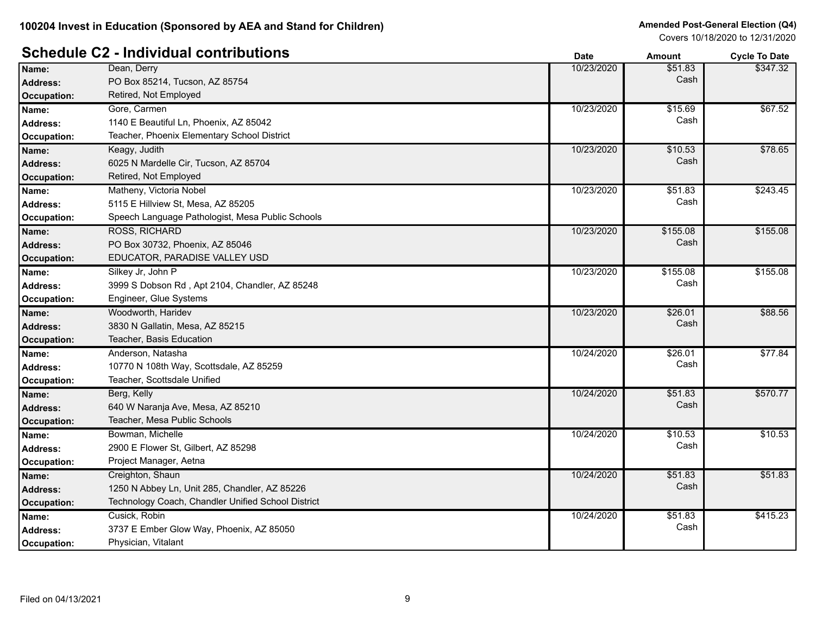#### **Schedule C2 - Individual contributions Date Date Cycle To Date Amount Cycle To Date**

|                    |                                                    | puw        | Allivulit | oyuu iy batu |
|--------------------|----------------------------------------------------|------------|-----------|--------------|
| Name:              | Dean, Derry                                        | 10/23/2020 | \$51.83   | \$347.32     |
| <b>Address:</b>    | PO Box 85214, Tucson, AZ 85754                     |            | Cash      |              |
| <b>Occupation:</b> | Retired, Not Employed                              |            |           |              |
| Name:              | Gore, Carmen                                       | 10/23/2020 | \$15.69   | \$67.52      |
| <b>Address:</b>    | 1140 E Beautiful Ln, Phoenix, AZ 85042             |            | Cash      |              |
| <b>Occupation:</b> | Teacher, Phoenix Elementary School District        |            |           |              |
| Name:              | Keagy, Judith                                      | 10/23/2020 | \$10.53   | \$78.65      |
| <b>Address:</b>    | 6025 N Mardelle Cir, Tucson, AZ 85704              |            | Cash      |              |
| <b>Occupation:</b> | Retired, Not Employed                              |            |           |              |
| Name:              | Matheny, Victoria Nobel                            | 10/23/2020 | \$51.83   | \$243.45     |
| <b>Address:</b>    | 5115 E Hillview St, Mesa, AZ 85205                 |            | Cash      |              |
| <b>Occupation:</b> | Speech Language Pathologist, Mesa Public Schools   |            |           |              |
| Name:              | <b>ROSS, RICHARD</b>                               | 10/23/2020 | \$155.08  | \$155.08     |
| <b>Address:</b>    | PO Box 30732, Phoenix, AZ 85046                    |            | Cash      |              |
| <b>Occupation:</b> | EDUCATOR, PARADISE VALLEY USD                      |            |           |              |
| Name:              | Silkey Jr, John P                                  | 10/23/2020 | \$155.08  | \$155.08     |
| <b>Address:</b>    | 3999 S Dobson Rd, Apt 2104, Chandler, AZ 85248     |            | Cash      |              |
| Occupation:        | Engineer, Glue Systems                             |            |           |              |
| Name:              | Woodworth, Haridev                                 | 10/23/2020 | \$26.01   | \$88.56      |
| Address:           | 3830 N Gallatin, Mesa, AZ 85215                    |            | Cash      |              |
| <b>Occupation:</b> | Teacher, Basis Education                           |            |           |              |
| Name:              | Anderson, Natasha                                  | 10/24/2020 | \$26.01   | \$77.84      |
| <b>Address:</b>    | 10770 N 108th Way, Scottsdale, AZ 85259            |            | Cash      |              |
| Occupation:        | Teacher, Scottsdale Unified                        |            |           |              |
| Name:              | Berg, Kelly                                        | 10/24/2020 | \$51.83   | \$570.77     |
| <b>Address:</b>    | 640 W Naranja Ave, Mesa, AZ 85210                  |            | Cash      |              |
| <b>Occupation:</b> | Teacher, Mesa Public Schools                       |            |           |              |
| Name:              | Bowman, Michelle                                   | 10/24/2020 | \$10.53   | \$10.53      |
| <b>Address:</b>    | 2900 E Flower St, Gilbert, AZ 85298                |            | Cash      |              |
| Occupation:        | Project Manager, Aetna                             |            |           |              |
| Name:              | Creighton, Shaun                                   | 10/24/2020 | \$51.83   | \$51.83      |
| <b>Address:</b>    | 1250 N Abbey Ln, Unit 285, Chandler, AZ 85226      |            | Cash      |              |
| <b>Occupation:</b> | Technology Coach, Chandler Unified School District |            |           |              |
| Name:              | Cusick, Robin                                      | 10/24/2020 | \$51.83   | \$415.23     |
| Address:           | 3737 E Ember Glow Way, Phoenix, AZ 85050           |            | Cash      |              |
| Occupation:        | Physician, Vitalant                                |            |           |              |
|                    |                                                    |            |           |              |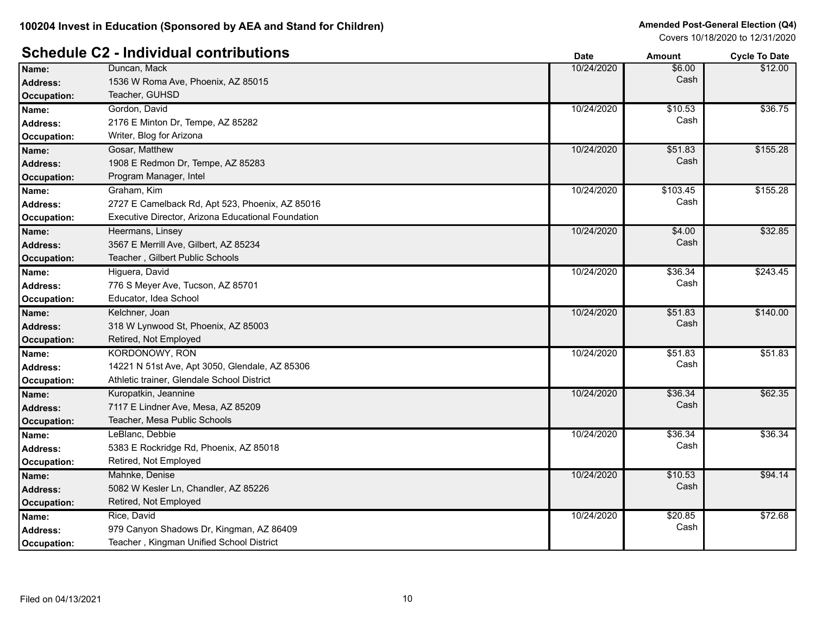# **Schedule C2 - Individual contributions Date Date Amount Amount Cycle To Date**

|                    |                                                    | Dalc       | Allivulit | <b>OVUE TO DATE</b> |
|--------------------|----------------------------------------------------|------------|-----------|---------------------|
| Name:              | Duncan, Mack                                       | 10/24/2020 | \$6.00    | \$12.00             |
| <b>Address:</b>    | 1536 W Roma Ave, Phoenix, AZ 85015                 |            | Cash      |                     |
| <b>Occupation:</b> | Teacher, GUHSD                                     |            |           |                     |
| Name:              | Gordon, David                                      | 10/24/2020 | \$10.53   | \$36.75             |
| <b>Address:</b>    | 2176 E Minton Dr, Tempe, AZ 85282                  |            | Cash      |                     |
| <b>Occupation:</b> | Writer, Blog for Arizona                           |            |           |                     |
| Name:              | Gosar, Matthew                                     | 10/24/2020 | \$51.83   | \$155.28            |
| <b>Address:</b>    | 1908 E Redmon Dr, Tempe, AZ 85283                  |            | Cash      |                     |
| <b>Occupation:</b> | Program Manager, Intel                             |            |           |                     |
| Name:              | Graham, Kim                                        | 10/24/2020 | \$103.45  | \$155.28            |
| <b>Address:</b>    | 2727 E Camelback Rd, Apt 523, Phoenix, AZ 85016    |            | Cash      |                     |
| <b>Occupation:</b> | Executive Director, Arizona Educational Foundation |            |           |                     |
| Name:              | Heermans, Linsey                                   | 10/24/2020 | \$4.00    | \$32.85             |
| <b>Address:</b>    | 3567 E Merrill Ave, Gilbert, AZ 85234              |            | Cash      |                     |
| <b>Occupation:</b> | Teacher, Gilbert Public Schools                    |            |           |                     |
| Name:              | Higuera, David                                     | 10/24/2020 | \$36.34   | \$243.45            |
| <b>Address:</b>    | 776 S Meyer Ave, Tucson, AZ 85701                  |            | Cash      |                     |
| Occupation:        | Educator, Idea School                              |            |           |                     |
| Name:              | Kelchner, Joan                                     | 10/24/2020 | \$51.83   | \$140.00            |
| <b>Address:</b>    | 318 W Lynwood St, Phoenix, AZ 85003                |            | Cash      |                     |
| <b>Occupation:</b> | Retired, Not Employed                              |            |           |                     |
| Name:              | <b>KORDONOWY, RON</b>                              | 10/24/2020 | \$51.83   | \$51.83             |
| <b>Address:</b>    | 14221 N 51st Ave, Apt 3050, Glendale, AZ 85306     |            | Cash      |                     |
| <b>Occupation:</b> | Athletic trainer, Glendale School District         |            |           |                     |
| Name:              | Kuropatkin, Jeannine                               | 10/24/2020 | \$36.34   | \$62.35             |
| <b>Address:</b>    | 7117 E Lindner Ave, Mesa, AZ 85209                 |            | Cash      |                     |
| Occupation:        | Teacher, Mesa Public Schools                       |            |           |                     |
| Name:              | LeBlanc, Debbie                                    | 10/24/2020 | \$36.34   | \$36.34             |
| <b>Address:</b>    | 5383 E Rockridge Rd, Phoenix, AZ 85018             |            | Cash      |                     |
| <b>Occupation:</b> | Retired, Not Employed                              |            |           |                     |
| Name:              | Mahnke, Denise                                     | 10/24/2020 | \$10.53   | \$94.14             |
| <b>Address:</b>    | 5082 W Kesler Ln, Chandler, AZ 85226               |            | Cash      |                     |
| <b>Occupation:</b> | Retired, Not Employed                              |            |           |                     |
| Name:              | Rice, David                                        | 10/24/2020 | \$20.85   | \$72.68             |
| <b>Address:</b>    | 979 Canyon Shadows Dr, Kingman, AZ 86409           |            | Cash      |                     |
| Occupation:        | Teacher, Kingman Unified School District           |            |           |                     |
|                    |                                                    |            |           |                     |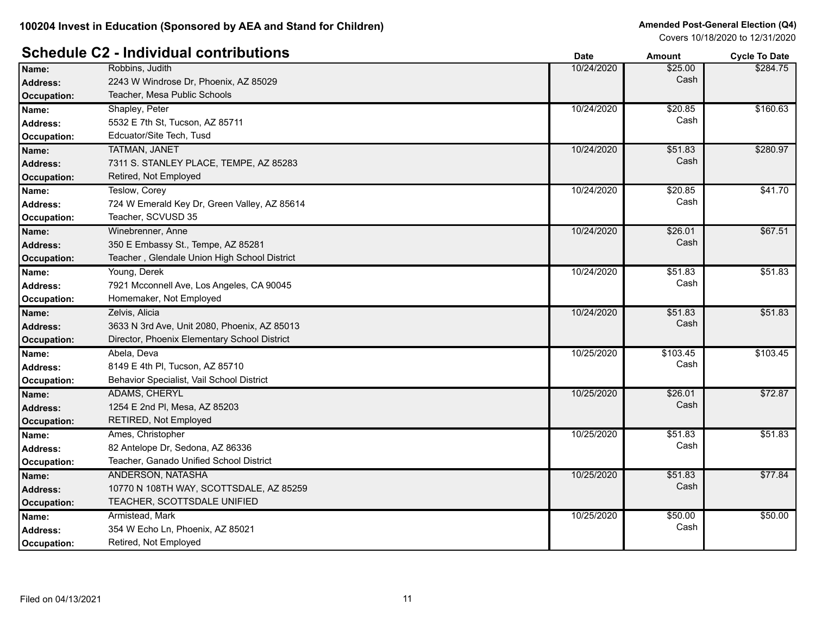# **Schedule C2 - Individual contributions Date Date Cycle To Date Amount Cycle To Date**

|                    |                                              | pulv       | Allivulit | oyuu iy batu |
|--------------------|----------------------------------------------|------------|-----------|--------------|
| Name:              | Robbins, Judith                              | 10/24/2020 | \$25.00   | \$284.75     |
| <b>Address:</b>    | 2243 W Windrose Dr, Phoenix, AZ 85029        |            | Cash      |              |
| <b>Occupation:</b> | Teacher, Mesa Public Schools                 |            |           |              |
| Name:              | Shapley, Peter                               | 10/24/2020 | \$20.85   | \$160.63     |
| <b>Address:</b>    | 5532 E 7th St, Tucson, AZ 85711              |            | Cash      |              |
| Occupation:        | Edcuator/Site Tech, Tusd                     |            |           |              |
| Name:              | <b>TATMAN, JANET</b>                         | 10/24/2020 | \$51.83   | \$280.97     |
| <b>Address:</b>    | 7311 S. STANLEY PLACE, TEMPE, AZ 85283       |            | Cash      |              |
| <b>Occupation:</b> | Retired, Not Employed                        |            |           |              |
| Name:              | Teslow, Corey                                | 10/24/2020 | \$20.85   | \$41.70      |
| Address:           | 724 W Emerald Key Dr, Green Valley, AZ 85614 |            | Cash      |              |
| Occupation:        | Teacher, SCVUSD 35                           |            |           |              |
| Name:              | Winebrenner, Anne                            | 10/24/2020 | \$26.01   | \$67.51      |
| <b>Address:</b>    | 350 E Embassy St., Tempe, AZ 85281           |            | Cash      |              |
| <b>Occupation:</b> | Teacher, Glendale Union High School District |            |           |              |
| Name:              | Young, Derek                                 | 10/24/2020 | \$51.83   | \$51.83      |
| <b>Address:</b>    | 7921 Mcconnell Ave, Los Angeles, CA 90045    |            | Cash      |              |
| Occupation:        | Homemaker, Not Employed                      |            |           |              |
| Name:              | Zelvis, Alicia                               | 10/24/2020 | \$51.83   | \$51.83      |
| <b>Address:</b>    | 3633 N 3rd Ave, Unit 2080, Phoenix, AZ 85013 |            | Cash      |              |
| <b>Occupation:</b> | Director, Phoenix Elementary School District |            |           |              |
| Name:              | Abela, Deva                                  | 10/25/2020 | \$103.45  | \$103.45     |
| <b>Address:</b>    | 8149 E 4th PI, Tucson, AZ 85710              |            | Cash      |              |
| Occupation:        | Behavior Specialist, Vail School District    |            |           |              |
| Name:              | <b>ADAMS, CHERYL</b>                         | 10/25/2020 | \$26.01   | \$72.87      |
| <b>Address:</b>    | 1254 E 2nd PI, Mesa, AZ 85203                |            | Cash      |              |
| <b>Occupation:</b> | RETIRED, Not Employed                        |            |           |              |
| Name:              | Ames, Christopher                            | 10/25/2020 | \$51.83   | \$51.83      |
| <b>Address:</b>    | 82 Antelope Dr, Sedona, AZ 86336             |            | Cash      |              |
| Occupation:        | Teacher, Ganado Unified School District      |            |           |              |
| Name:              | ANDERSON, NATASHA                            | 10/25/2020 | \$51.83   | \$77.84      |
| <b>Address:</b>    | 10770 N 108TH WAY, SCOTTSDALE, AZ 85259      |            | Cash      |              |
| <b>Occupation:</b> | TEACHER, SCOTTSDALE UNIFIED                  |            |           |              |
| Name:              | Armistead, Mark                              | 10/25/2020 | \$50.00   | \$50.00      |
| Address:           | 354 W Echo Ln, Phoenix, AZ 85021             |            | Cash      |              |
| Occupation:        | Retired, Not Employed                        |            |           |              |
|                    |                                              |            |           |              |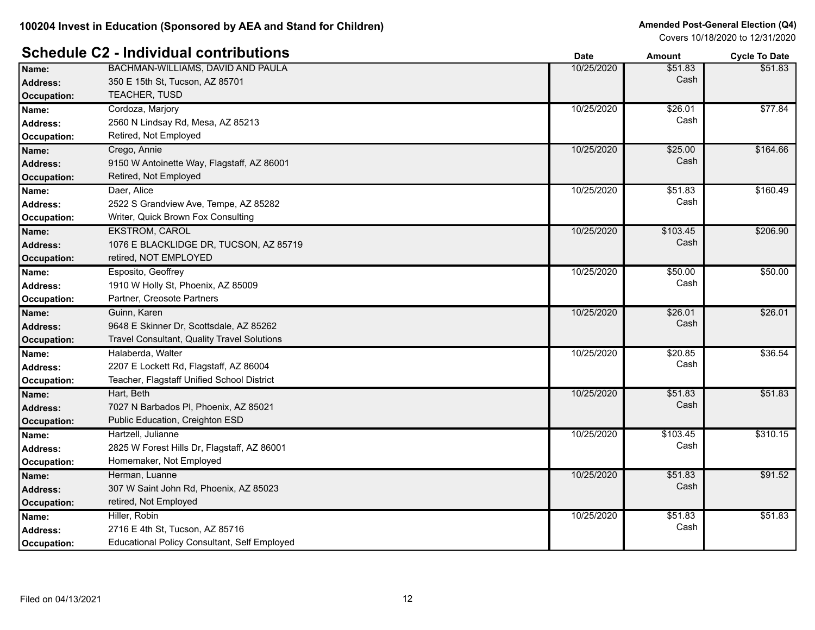#### **Schedule C2 - Individual contributions Date Date Cycle To Date Amount Cycle To Date**

|                    |                                                     | puw        | Allivulit | oyuu iy batu |
|--------------------|-----------------------------------------------------|------------|-----------|--------------|
| Name:              | BACHMAN-WILLIAMS, DAVID AND PAULA                   | 10/25/2020 | \$51.83   | \$51.83      |
| <b>Address:</b>    | 350 E 15th St, Tucson, AZ 85701                     |            | Cash      |              |
| Occupation:        | TEACHER, TUSD                                       |            |           |              |
| Name:              | Cordoza, Marjory                                    | 10/25/2020 | \$26.01   | \$77.84      |
| <b>Address:</b>    | 2560 N Lindsay Rd, Mesa, AZ 85213                   |            | Cash      |              |
| Occupation:        | Retired, Not Employed                               |            |           |              |
| Name:              | Crego, Annie                                        | 10/25/2020 | \$25.00   | \$164.66     |
| <b>Address:</b>    | 9150 W Antoinette Way, Flagstaff, AZ 86001          |            | Cash      |              |
| <b>Occupation:</b> | Retired, Not Employed                               |            |           |              |
| Name:              | Daer, Alice                                         | 10/25/2020 | \$51.83   | \$160.49     |
| <b>Address:</b>    | 2522 S Grandview Ave, Tempe, AZ 85282               |            | Cash      |              |
| Occupation:        | Writer, Quick Brown Fox Consulting                  |            |           |              |
| Name:              | <b>EKSTROM, CAROL</b>                               | 10/25/2020 | \$103.45  | \$206.90     |
| <b>Address:</b>    | 1076 E BLACKLIDGE DR, TUCSON, AZ 85719              |            | Cash      |              |
| Occupation:        | retired, NOT EMPLOYED                               |            |           |              |
| Name:              | Esposito, Geoffrey                                  | 10/25/2020 | \$50.00   | \$50.00      |
| <b>Address:</b>    | 1910 W Holly St, Phoenix, AZ 85009                  |            | Cash      |              |
| Occupation:        | Partner, Creosote Partners                          |            |           |              |
| Name:              | Guinn, Karen                                        | 10/25/2020 | \$26.01   | \$26.01      |
| <b>Address:</b>    | 9648 E Skinner Dr, Scottsdale, AZ 85262             |            | Cash      |              |
| Occupation:        | Travel Consultant, Quality Travel Solutions         |            |           |              |
| Name:              | Halaberda, Walter                                   | 10/25/2020 | \$20.85   | \$36.54      |
| <b>Address:</b>    | 2207 E Lockett Rd, Flagstaff, AZ 86004              |            | Cash      |              |
| Occupation:        | Teacher, Flagstaff Unified School District          |            |           |              |
| Name:              | Hart, Beth                                          | 10/25/2020 | \$51.83   | \$51.83      |
| <b>Address:</b>    | 7027 N Barbados PI, Phoenix, AZ 85021               |            | Cash      |              |
| Occupation:        | Public Education, Creighton ESD                     |            |           |              |
| Name:              | Hartzell, Julianne                                  | 10/25/2020 | \$103.45  | \$310.15     |
| <b>Address:</b>    | 2825 W Forest Hills Dr, Flagstaff, AZ 86001         |            | Cash      |              |
| Occupation:        | Homemaker, Not Employed                             |            |           |              |
| Name:              | Herman, Luanne                                      | 10/25/2020 | \$51.83   | \$91.52      |
| <b>Address:</b>    | 307 W Saint John Rd, Phoenix, AZ 85023              |            | Cash      |              |
| Occupation:        | retired, Not Employed                               |            |           |              |
| Name:              | Hiller, Robin                                       | 10/25/2020 | \$51.83   | \$51.83      |
| Address:           | 2716 E 4th St, Tucson, AZ 85716                     |            | Cash      |              |
| Occupation:        | <b>Educational Policy Consultant, Self Employed</b> |            |           |              |
|                    |                                                     |            |           |              |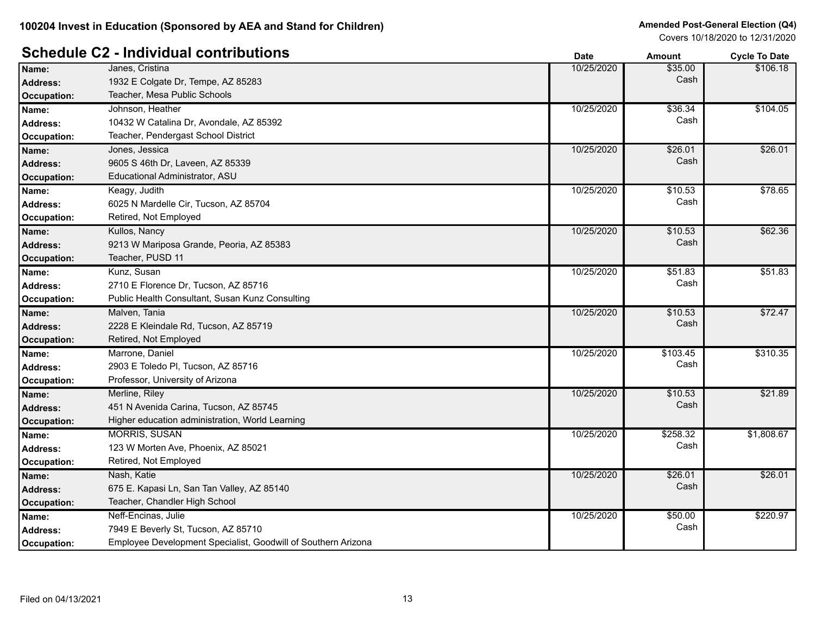|                    |                                                               | Dale       | AIIIOUIIL | <b>OVER TO DATE</b> |
|--------------------|---------------------------------------------------------------|------------|-----------|---------------------|
| Name:              | Janes, Cristina                                               | 10/25/2020 | \$35.00   | \$106.18            |
| <b>Address:</b>    | 1932 E Colgate Dr, Tempe, AZ 85283                            |            | Cash      |                     |
| Occupation:        | Teacher, Mesa Public Schools                                  |            |           |                     |
| Name:              | Johnson, Heather                                              | 10/25/2020 | \$36.34   | \$104.05            |
| <b>Address:</b>    | 10432 W Catalina Dr, Avondale, AZ 85392                       |            | Cash      |                     |
| Occupation:        | Teacher, Pendergast School District                           |            |           |                     |
| Name:              | Jones, Jessica                                                | 10/25/2020 | \$26.01   | \$26.01             |
| <b>Address:</b>    | 9605 S 46th Dr, Laveen, AZ 85339                              |            | Cash      |                     |
| <b>Occupation:</b> | Educational Administrator, ASU                                |            |           |                     |
| Name:              | Keagy, Judith                                                 | 10/25/2020 | \$10.53   | \$78.65             |
| <b>Address:</b>    | 6025 N Mardelle Cir, Tucson, AZ 85704                         |            | Cash      |                     |
| Occupation:        | Retired, Not Employed                                         |            |           |                     |
| Name:              | Kullos, Nancy                                                 | 10/25/2020 | \$10.53   | \$62.36             |
| <b>Address:</b>    | 9213 W Mariposa Grande, Peoria, AZ 85383                      |            | Cash      |                     |
| Occupation:        | Teacher, PUSD 11                                              |            |           |                     |
| Name:              | Kunz, Susan                                                   | 10/25/2020 | \$51.83   | \$51.83             |
| <b>Address:</b>    | 2710 E Florence Dr, Tucson, AZ 85716                          |            | Cash      |                     |
| Occupation:        | Public Health Consultant, Susan Kunz Consulting               |            |           |                     |
| Name:              | Malven, Tania                                                 | 10/25/2020 | \$10.53   | \$72.47             |
| <b>Address:</b>    | 2228 E Kleindale Rd, Tucson, AZ 85719                         |            | Cash      |                     |
| <b>Occupation:</b> | Retired, Not Employed                                         |            |           |                     |
| Name:              | Marrone, Daniel                                               | 10/25/2020 | \$103.45  | \$310.35            |
| <b>Address:</b>    | 2903 E Toledo PI, Tucson, AZ 85716                            |            | Cash      |                     |
| Occupation:        | Professor, University of Arizona                              |            |           |                     |
| Name:              | Merline, Riley                                                | 10/25/2020 | \$10.53   | \$21.89             |
| <b>Address:</b>    | 451 N Avenida Carina, Tucson, AZ 85745                        |            | Cash      |                     |
| Occupation:        | Higher education administration, World Learning               |            |           |                     |
| Name:              | <b>MORRIS, SUSAN</b>                                          | 10/25/2020 | \$258.32  | \$1,808.67          |
| <b>Address:</b>    | 123 W Morten Ave, Phoenix, AZ 85021                           |            | Cash      |                     |
| Occupation:        | Retired, Not Employed                                         |            |           |                     |
| Name:              | Nash, Katie                                                   | 10/25/2020 | \$26.01   | \$26.01             |
| <b>Address:</b>    | 675 E. Kapasi Ln, San Tan Valley, AZ 85140                    |            | Cash      |                     |
| <b>Occupation:</b> | Teacher, Chandler High School                                 |            |           |                     |
| Name:              | Neff-Encinas, Julie                                           | 10/25/2020 | \$50.00   | \$220.97            |
| Address:           | 7949 E Beverly St, Tucson, AZ 85710                           |            | Cash      |                     |
| Occupation:        | Employee Development Specialist, Goodwill of Southern Arizona |            |           |                     |
|                    |                                                               |            |           |                     |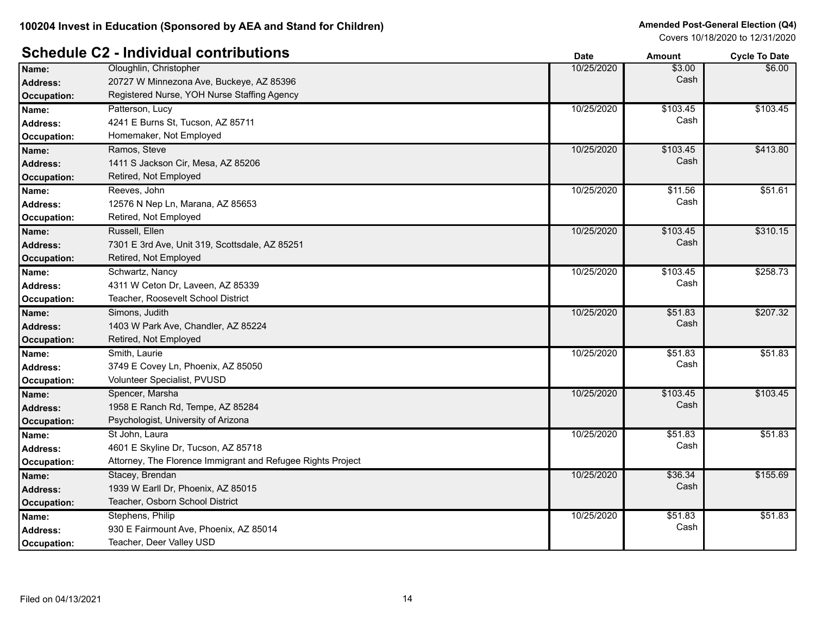|                    | .                                                           | Date       | AMOUNT   | <b>OVCIE TO DATE</b> |
|--------------------|-------------------------------------------------------------|------------|----------|----------------------|
| Name:              | Oloughlin, Christopher                                      | 10/25/2020 | \$3.00   | \$6.00               |
| <b>Address:</b>    | 20727 W Minnezona Ave, Buckeye, AZ 85396                    |            | Cash     |                      |
| <b>Occupation:</b> | Registered Nurse, YOH Nurse Staffing Agency                 |            |          |                      |
| Name:              | Patterson, Lucy                                             | 10/25/2020 | \$103.45 | \$103.45             |
| <b>Address:</b>    | 4241 E Burns St, Tucson, AZ 85711                           |            | Cash     |                      |
| <b>Occupation:</b> | Homemaker, Not Employed                                     |            |          |                      |
| Name:              | Ramos, Steve                                                | 10/25/2020 | \$103.45 | \$413.80             |
| <b>Address:</b>    | 1411 S Jackson Cir, Mesa, AZ 85206                          |            | Cash     |                      |
| <b>Occupation:</b> | Retired, Not Employed                                       |            |          |                      |
| Name:              | Reeves, John                                                | 10/25/2020 | \$11.56  | \$51.61              |
| <b>Address:</b>    | 12576 N Nep Ln, Marana, AZ 85653                            |            | Cash     |                      |
| Occupation:        | Retired, Not Employed                                       |            |          |                      |
| Name:              | Russell, Ellen                                              | 10/25/2020 | \$103.45 | \$310.15             |
| <b>Address:</b>    | 7301 E 3rd Ave, Unit 319, Scottsdale, AZ 85251              |            | Cash     |                      |
| Occupation:        | Retired, Not Employed                                       |            |          |                      |
| Name:              | Schwartz, Nancy                                             | 10/25/2020 | \$103.45 | \$258.73             |
| <b>Address:</b>    | 4311 W Ceton Dr, Laveen, AZ 85339                           |            | Cash     |                      |
| Occupation:        | Teacher, Roosevelt School District                          |            |          |                      |
| Name:              | Simons, Judith                                              | 10/25/2020 | \$51.83  | \$207.32             |
| <b>Address:</b>    | 1403 W Park Ave, Chandler, AZ 85224                         |            | Cash     |                      |
| <b>Occupation:</b> | Retired, Not Employed                                       |            |          |                      |
| Name:              | Smith, Laurie                                               | 10/25/2020 | \$51.83  | \$51.83              |
| <b>Address:</b>    | 3749 E Covey Ln, Phoenix, AZ 85050                          |            | Cash     |                      |
| Occupation:        | Volunteer Specialist, PVUSD                                 |            |          |                      |
| Name:              | Spencer, Marsha                                             | 10/25/2020 | \$103.45 | \$103.45             |
| <b>Address:</b>    | 1958 E Ranch Rd, Tempe, AZ 85284                            |            | Cash     |                      |
| <b>Occupation:</b> | Psychologist, University of Arizona                         |            |          |                      |
| Name:              | St John, Laura                                              | 10/25/2020 | \$51.83  | \$51.83              |
| <b>Address:</b>    | 4601 E Skyline Dr, Tucson, AZ 85718                         |            | Cash     |                      |
| Occupation:        | Attorney, The Florence Immigrant and Refugee Rights Project |            |          |                      |
| Name:              | Stacey, Brendan                                             | 10/25/2020 | \$36.34  | \$155.69             |
| Address:           | 1939 W Earll Dr, Phoenix, AZ 85015                          |            | Cash     |                      |
| <b>Occupation:</b> | Teacher, Osborn School District                             |            |          |                      |
| Name:              | Stephens, Philip                                            | 10/25/2020 | \$51.83  | \$51.83              |
| <b>Address:</b>    | 930 E Fairmount Ave, Phoenix, AZ 85014                      |            | Cash     |                      |
| Occupation:        | Teacher, Deer Valley USD                                    |            |          |                      |
|                    |                                                             |            |          |                      |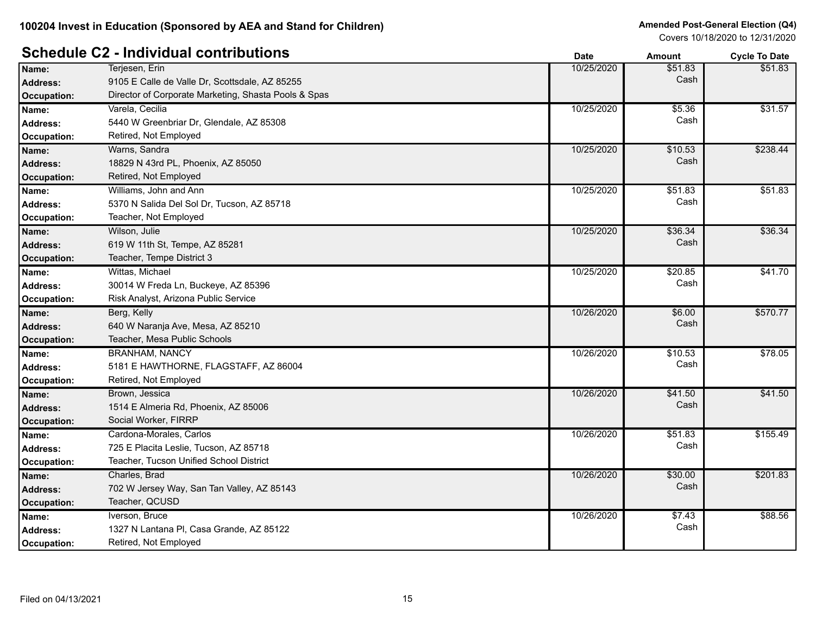# **Schedule C2 - Individual contributions Date Date Cycle To Date Amount Cycle To Date**

|                    |                                                      | puw        | Allivulit | oyuu Tu Dulu |
|--------------------|------------------------------------------------------|------------|-----------|--------------|
| Name:              | Terjesen, Erin                                       | 10/25/2020 | \$51.83   | \$51.83      |
| <b>Address:</b>    | 9105 E Calle de Valle Dr, Scottsdale, AZ 85255       |            | Cash      |              |
| <b>Occupation:</b> | Director of Corporate Marketing, Shasta Pools & Spas |            |           |              |
| Name:              | Varela, Cecilia                                      | 10/25/2020 | \$5.36    | \$31.57      |
| Address:           | 5440 W Greenbriar Dr, Glendale, AZ 85308             |            | Cash      |              |
| <b>Occupation:</b> | Retired, Not Employed                                |            |           |              |
| Name:              | Warns, Sandra                                        | 10/25/2020 | \$10.53   | \$238.44     |
| Address:           | 18829 N 43rd PL, Phoenix, AZ 85050                   |            | Cash      |              |
| <b>Occupation:</b> | Retired, Not Employed                                |            |           |              |
| Name:              | Williams, John and Ann                               | 10/25/2020 | \$51.83   | \$51.83      |
| <b>Address:</b>    | 5370 N Salida Del Sol Dr, Tucson, AZ 85718           |            | Cash      |              |
| <b>Occupation:</b> | Teacher, Not Employed                                |            |           |              |
| Name:              | Wilson, Julie                                        | 10/25/2020 | \$36.34   | \$36.34      |
| <b>Address:</b>    | 619 W 11th St, Tempe, AZ 85281                       |            | Cash      |              |
| <b>Occupation:</b> | Teacher, Tempe District 3                            |            |           |              |
| Name:              | Wittas, Michael                                      | 10/25/2020 | \$20.85   | \$41.70      |
| <b>Address:</b>    | 30014 W Freda Ln, Buckeye, AZ 85396                  |            | Cash      |              |
| Occupation:        | Risk Analyst, Arizona Public Service                 |            |           |              |
| Name:              | Berg, Kelly                                          | 10/26/2020 | \$6.00    | \$570.77     |
| <b>Address:</b>    | 640 W Naranja Ave, Mesa, AZ 85210                    |            | Cash      |              |
| <b>Occupation:</b> | Teacher, Mesa Public Schools                         |            |           |              |
| Name:              | <b>BRANHAM, NANCY</b>                                | 10/26/2020 | \$10.53   | \$78.05      |
| <b>Address:</b>    | 5181 E HAWTHORNE, FLAGSTAFF, AZ 86004                |            | Cash      |              |
| <b>Occupation:</b> | Retired, Not Employed                                |            |           |              |
| Name:              | Brown, Jessica                                       | 10/26/2020 | \$41.50   | \$41.50      |
| <b>Address:</b>    | 1514 E Almeria Rd, Phoenix, AZ 85006                 |            | Cash      |              |
| <b>Occupation:</b> | Social Worker, FIRRP                                 |            |           |              |
| Name:              | Cardona-Morales, Carlos                              | 10/26/2020 | \$51.83   | \$155.49     |
| <b>Address:</b>    | 725 E Placita Leslie, Tucson, AZ 85718               |            | Cash      |              |
| Occupation:        | Teacher, Tucson Unified School District              |            |           |              |
| Name:              | Charles, Brad                                        | 10/26/2020 | \$30.00   | \$201.83     |
| <b>Address:</b>    | 702 W Jersey Way, San Tan Valley, AZ 85143           |            | Cash      |              |
| <b>Occupation:</b> | Teacher, QCUSD                                       |            |           |              |
| Name:              | Iverson, Bruce                                       | 10/26/2020 | \$7.43    | \$88.56      |
| <b>Address:</b>    | 1327 N Lantana PI, Casa Grande, AZ 85122             |            | Cash      |              |
| Occupation:        | Retired, Not Employed                                |            |           |              |
|                    |                                                      |            |           |              |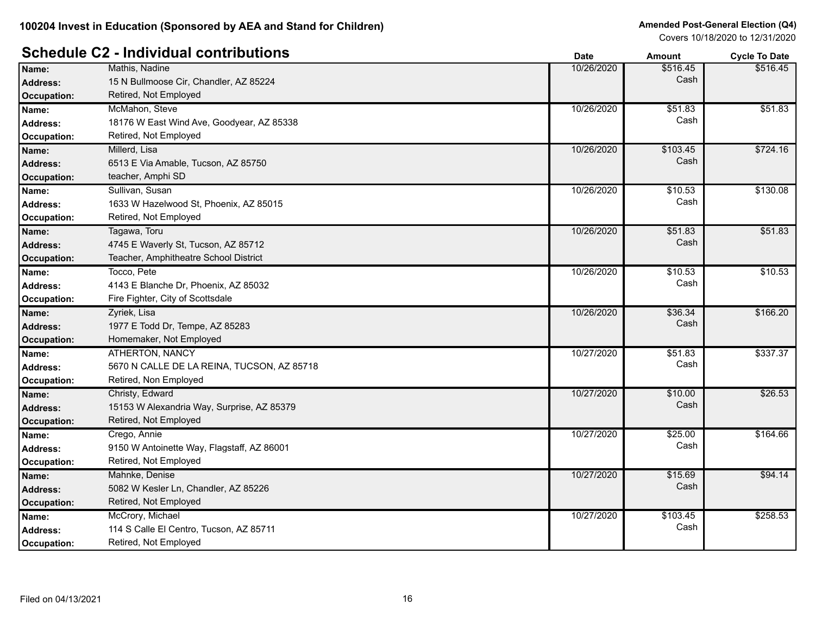#### **Schedule C2 - Individual contributions Date Date Amount Amount Cycle To Date**

|                    |                                            | υαισ       | AIIIvuil | <b>OVUE TO DATE</b> |
|--------------------|--------------------------------------------|------------|----------|---------------------|
| Name:              | Mathis, Nadine                             | 10/26/2020 | \$516.45 | \$516.45            |
| <b>Address:</b>    | 15 N Bullmoose Cir, Chandler, AZ 85224     |            | Cash     |                     |
| <b>Occupation:</b> | Retired, Not Employed                      |            |          |                     |
| Name:              | McMahon, Steve                             | 10/26/2020 | \$51.83  | \$51.83             |
| <b>Address:</b>    | 18176 W East Wind Ave, Goodyear, AZ 85338  |            | Cash     |                     |
| <b>Occupation:</b> | Retired, Not Employed                      |            |          |                     |
| Name:              | Millerd, Lisa                              | 10/26/2020 | \$103.45 | \$724.16            |
| <b>Address:</b>    | 6513 E Via Amable, Tucson, AZ 85750        |            | Cash     |                     |
| <b>Occupation:</b> | teacher, Amphi SD                          |            |          |                     |
| Name:              | Sullivan, Susan                            | 10/26/2020 | \$10.53  | \$130.08            |
| <b>Address:</b>    | 1633 W Hazelwood St, Phoenix, AZ 85015     |            | Cash     |                     |
| <b>Occupation:</b> | Retired, Not Employed                      |            |          |                     |
| Name:              | Tagawa, Toru                               | 10/26/2020 | \$51.83  | \$51.83             |
| <b>Address:</b>    | 4745 E Waverly St, Tucson, AZ 85712        |            | Cash     |                     |
| Occupation:        | Teacher, Amphitheatre School District      |            |          |                     |
| Name:              | Tocco, Pete                                | 10/26/2020 | \$10.53  | \$10.53             |
| <b>Address:</b>    | 4143 E Blanche Dr, Phoenix, AZ 85032       |            | Cash     |                     |
| Occupation:        | Fire Fighter, City of Scottsdale           |            |          |                     |
| Name:              | Zyriek, Lisa                               | 10/26/2020 | \$36.34  | \$166.20            |
| <b>Address:</b>    | 1977 E Todd Dr, Tempe, AZ 85283            |            | Cash     |                     |
| <b>Occupation:</b> | Homemaker, Not Employed                    |            |          |                     |
| Name:              | <b>ATHERTON, NANCY</b>                     | 10/27/2020 | \$51.83  | \$337.37            |
| <b>Address:</b>    | 5670 N CALLE DE LA REINA, TUCSON, AZ 85718 |            | Cash     |                     |
| Occupation:        | Retired, Non Employed                      |            |          |                     |
| Name:              | Christy, Edward                            | 10/27/2020 | \$10.00  | \$26.53             |
| <b>Address:</b>    | 15153 W Alexandria Way, Surprise, AZ 85379 |            | Cash     |                     |
| <b>Occupation:</b> | Retired, Not Employed                      |            |          |                     |
| Name:              | Crego, Annie                               | 10/27/2020 | \$25.00  | \$164.66            |
| <b>Address:</b>    | 9150 W Antoinette Way, Flagstaff, AZ 86001 |            | Cash     |                     |
| Occupation:        | Retired, Not Employed                      |            |          |                     |
| Name:              | Mahnke, Denise                             | 10/27/2020 | \$15.69  | \$94.14             |
| <b>Address:</b>    | 5082 W Kesler Ln, Chandler, AZ 85226       |            | Cash     |                     |
| <b>Occupation:</b> | Retired, Not Employed                      |            |          |                     |
| Name:              | McCrory, Michael                           | 10/27/2020 | \$103.45 | \$258.53            |
| <b>Address:</b>    | 114 S Calle El Centro, Tucson, AZ 85711    |            | Cash     |                     |
| Occupation:        | Retired, Not Employed                      |            |          |                     |
|                    |                                            |            |          |                     |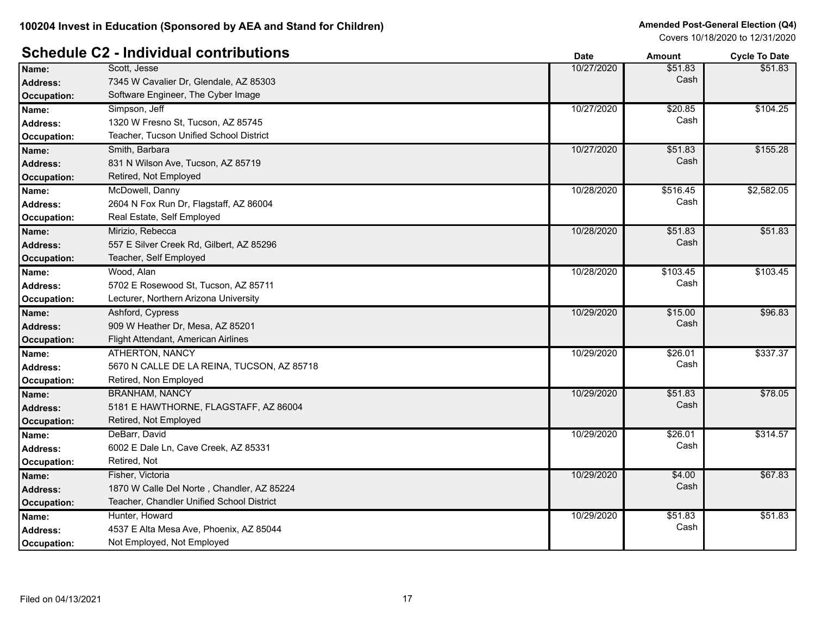|                    |                                            | Date       | AMOUNT   | <b>OVCIE</b> TO DATE |
|--------------------|--------------------------------------------|------------|----------|----------------------|
| Name:              | Scott, Jesse                               | 10/27/2020 | \$51.83  | \$51.83              |
| <b>Address:</b>    | 7345 W Cavalier Dr, Glendale, AZ 85303     |            | Cash     |                      |
| <b>Occupation:</b> | Software Engineer, The Cyber Image         |            |          |                      |
| Name:              | Simpson, Jeff                              | 10/27/2020 | \$20.85  | \$104.25             |
| Address:           | 1320 W Fresno St, Tucson, AZ 85745         |            | Cash     |                      |
| <b>Occupation:</b> | Teacher, Tucson Unified School District    |            |          |                      |
| Name:              | Smith, Barbara                             | 10/27/2020 | \$51.83  | \$155.28             |
| <b>Address:</b>    | 831 N Wilson Ave, Tucson, AZ 85719         |            | Cash     |                      |
| <b>Occupation:</b> | Retired, Not Employed                      |            |          |                      |
| Name:              | McDowell, Danny                            | 10/28/2020 | \$516.45 | \$2,582.05           |
| <b>Address:</b>    | 2604 N Fox Run Dr, Flagstaff, AZ 86004     |            | Cash     |                      |
| Occupation:        | Real Estate, Self Employed                 |            |          |                      |
| Name:              | Mirizio, Rebecca                           | 10/28/2020 | \$51.83  | \$51.83              |
| <b>Address:</b>    | 557 E Silver Creek Rd, Gilbert, AZ 85296   |            | Cash     |                      |
| <b>Occupation:</b> | Teacher, Self Employed                     |            |          |                      |
| Name:              | Wood, Alan                                 | 10/28/2020 | \$103.45 | \$103.45             |
| <b>Address:</b>    | 5702 E Rosewood St, Tucson, AZ 85711       |            | Cash     |                      |
| <b>Occupation:</b> | Lecturer, Northern Arizona University      |            |          |                      |
| Name:              | Ashford, Cypress                           | 10/29/2020 | \$15.00  | \$96.83              |
| <b>Address:</b>    | 909 W Heather Dr, Mesa, AZ 85201           |            | Cash     |                      |
| <b>Occupation:</b> | Flight Attendant, American Airlines        |            |          |                      |
| Name:              | ATHERTON, NANCY                            | 10/29/2020 | \$26.01  | \$337.37             |
| <b>Address:</b>    | 5670 N CALLE DE LA REINA, TUCSON, AZ 85718 |            | Cash     |                      |
| Occupation:        | Retired, Non Employed                      |            |          |                      |
| Name:              | <b>BRANHAM, NANCY</b>                      | 10/29/2020 | \$51.83  | \$78.05              |
| <b>Address:</b>    | 5181 E HAWTHORNE, FLAGSTAFF, AZ 86004      |            | Cash     |                      |
| Occupation:        | Retired, Not Employed                      |            |          |                      |
| Name:              | DeBarr, David                              | 10/29/2020 | \$26.01  | \$314.57             |
| <b>Address:</b>    | 6002 E Dale Ln, Cave Creek, AZ 85331       |            | Cash     |                      |
| Occupation:        | Retired, Not                               |            |          |                      |
| Name:              | Fisher, Victoria                           | 10/29/2020 | \$4.00   | \$67.83              |
| <b>Address:</b>    | 1870 W Calle Del Norte, Chandler, AZ 85224 |            | Cash     |                      |
| Occupation:        | Teacher, Chandler Unified School District  |            |          |                      |
| Name:              | Hunter, Howard                             | 10/29/2020 | \$51.83  | \$51.83              |
| <b>Address:</b>    | 4537 E Alta Mesa Ave, Phoenix, AZ 85044    |            | Cash     |                      |
| <b>Occupation:</b> | Not Employed, Not Employed                 |            |          |                      |
|                    |                                            |            |          |                      |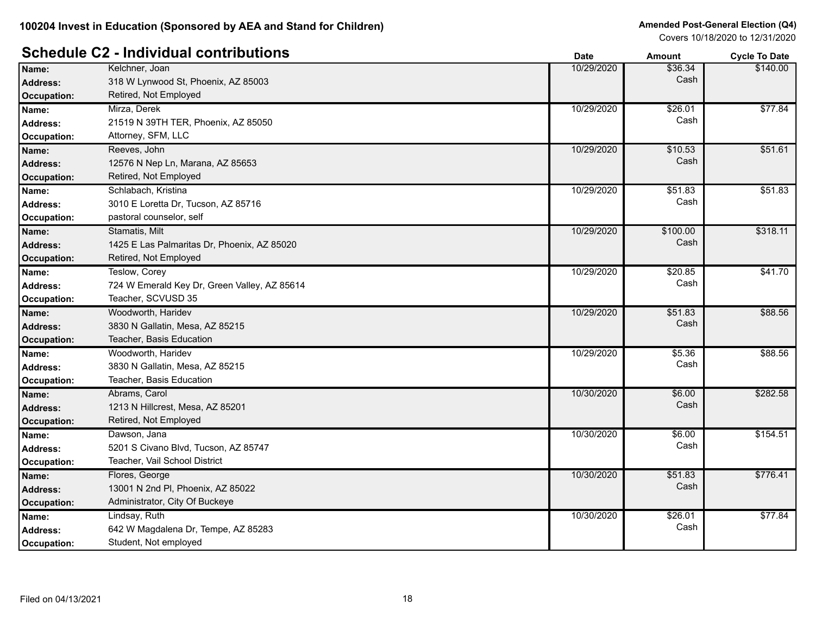# **Schedule C2 - Individual contributions Date Date Amount Amount Cycle To Date**

|                    |                                              | Dalt       | Allivulli | <b>OVUE TO DATE</b> |
|--------------------|----------------------------------------------|------------|-----------|---------------------|
| Name:              | Kelchner, Joan                               | 10/29/2020 | \$36.34   | \$140.00            |
| <b>Address:</b>    | 318 W Lynwood St, Phoenix, AZ 85003          |            | Cash      |                     |
| <b>Occupation:</b> | Retired, Not Employed                        |            |           |                     |
| Name:              | Mirza, Derek                                 | 10/29/2020 | \$26.01   | \$77.84             |
| <b>Address:</b>    | 21519 N 39TH TER, Phoenix, AZ 85050          |            | Cash      |                     |
| <b>Occupation:</b> | Attorney, SFM, LLC                           |            |           |                     |
| Name:              | Reeves, John                                 | 10/29/2020 | \$10.53   | \$51.61             |
| <b>Address:</b>    | 12576 N Nep Ln, Marana, AZ 85653             |            | Cash      |                     |
| <b>Occupation:</b> | Retired, Not Employed                        |            |           |                     |
| Name:              | Schlabach, Kristina                          | 10/29/2020 | \$51.83   | \$51.83             |
| <b>Address:</b>    | 3010 E Loretta Dr, Tucson, AZ 85716          |            | Cash      |                     |
| Occupation:        | pastoral counselor, self                     |            |           |                     |
| Name:              | Stamatis, Milt                               | 10/29/2020 | \$100.00  | \$318.11            |
| <b>Address:</b>    | 1425 E Las Palmaritas Dr, Phoenix, AZ 85020  |            | Cash      |                     |
| <b>Occupation:</b> | Retired, Not Employed                        |            |           |                     |
| Name:              | Teslow, Corey                                | 10/29/2020 | \$20.85   | \$41.70             |
| Address:           | 724 W Emerald Key Dr, Green Valley, AZ 85614 |            | Cash      |                     |
| Occupation:        | Teacher, SCVUSD 35                           |            |           |                     |
| Name:              | Woodworth, Haridev                           | 10/29/2020 | \$51.83   | \$88.56             |
| <b>Address:</b>    | 3830 N Gallatin, Mesa, AZ 85215              |            | Cash      |                     |
| <b>Occupation:</b> | Teacher, Basis Education                     |            |           |                     |
| Name:              | Woodworth, Haridev                           | 10/29/2020 | \$5.36    | \$88.56             |
| <b>Address:</b>    | 3830 N Gallatin, Mesa, AZ 85215              |            | Cash      |                     |
| Occupation:        | Teacher, Basis Education                     |            |           |                     |
| Name:              | Abrams, Carol                                | 10/30/2020 | \$6.00    | \$282.58            |
| <b>Address:</b>    | 1213 N Hillcrest, Mesa, AZ 85201             |            | Cash      |                     |
| <b>Occupation:</b> | Retired, Not Employed                        |            |           |                     |
| Name:              | Dawson, Jana                                 | 10/30/2020 | \$6.00    | \$154.51            |
| <b>Address:</b>    | 5201 S Civano Blvd, Tucson, AZ 85747         |            | Cash      |                     |
| Occupation:        | Teacher, Vail School District                |            |           |                     |
| Name:              | Flores, George                               | 10/30/2020 | \$51.83   | \$776.41            |
| <b>Address:</b>    | 13001 N 2nd PI, Phoenix, AZ 85022            |            | Cash      |                     |
| <b>Occupation:</b> | Administrator, City Of Buckeye               |            |           |                     |
| Name:              | Lindsay, Ruth                                | 10/30/2020 | \$26.01   | \$77.84             |
| <b>Address:</b>    | 642 W Magdalena Dr, Tempe, AZ 85283          |            | Cash      |                     |
| Occupation:        | Student, Not employed                        |            |           |                     |
|                    |                                              |            |           |                     |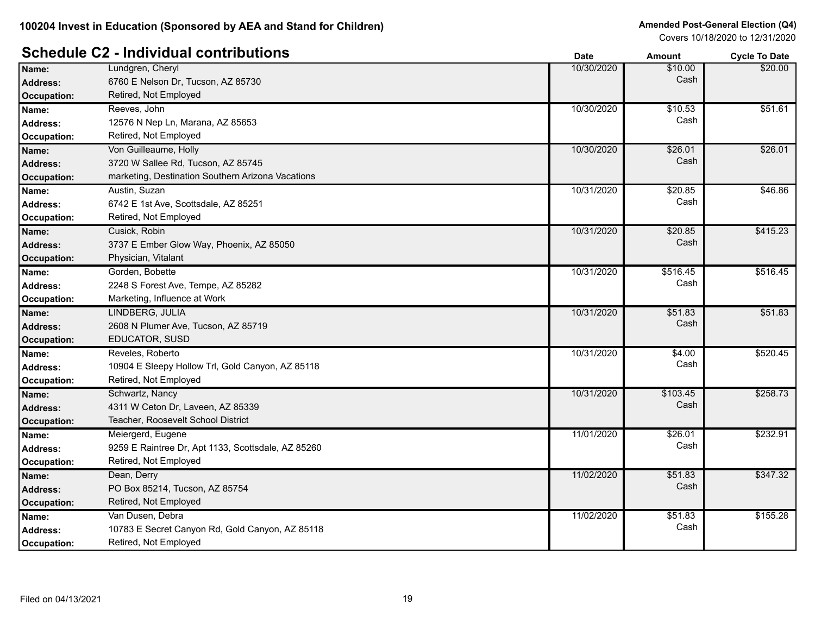|                    |                                                    | vale       | Amount   | <b>OVCIE TO DATE</b> |
|--------------------|----------------------------------------------------|------------|----------|----------------------|
| Name:              | Lundgren, Cheryl                                   | 10/30/2020 | \$10.00  | \$20.00              |
| <b>Address:</b>    | 6760 E Nelson Dr, Tucson, AZ 85730                 |            | Cash     |                      |
| <b>Occupation:</b> | Retired, Not Employed                              |            |          |                      |
| Name:              | Reeves, John                                       | 10/30/2020 | \$10.53  | \$51.61              |
| <b>Address:</b>    | 12576 N Nep Ln, Marana, AZ 85653                   |            | Cash     |                      |
| Occupation:        | Retired, Not Employed                              |            |          |                      |
| Name:              | Von Guilleaume, Holly                              | 10/30/2020 | \$26.01  | \$26.01              |
| <b>Address:</b>    | 3720 W Sallee Rd, Tucson, AZ 85745                 |            | Cash     |                      |
| <b>Occupation:</b> | marketing, Destination Southern Arizona Vacations  |            |          |                      |
| Name:              | Austin, Suzan                                      | 10/31/2020 | \$20.85  | \$46.86              |
| <b>Address:</b>    | 6742 E 1st Ave, Scottsdale, AZ 85251               |            | Cash     |                      |
| Occupation:        | Retired, Not Employed                              |            |          |                      |
| Name:              | Cusick, Robin                                      | 10/31/2020 | \$20.85  | \$415.23             |
| <b>Address:</b>    | 3737 E Ember Glow Way, Phoenix, AZ 85050           |            | Cash     |                      |
| <b>Occupation:</b> | Physician, Vitalant                                |            |          |                      |
| Name:              | Gorden, Bobette                                    | 10/31/2020 | \$516.45 | \$516.45             |
| <b>Address:</b>    | 2248 S Forest Ave, Tempe, AZ 85282                 |            | Cash     |                      |
| Occupation:        | Marketing, Influence at Work                       |            |          |                      |
| Name:              | LINDBERG, JULIA                                    | 10/31/2020 | \$51.83  | \$51.83              |
| Address:           | 2608 N Plumer Ave, Tucson, AZ 85719                |            | Cash     |                      |
| <b>Occupation:</b> | EDUCATOR, SUSD                                     |            |          |                      |
| Name:              | Reveles, Roberto                                   | 10/31/2020 | \$4.00   | \$520.45             |
| <b>Address:</b>    | 10904 E Sleepy Hollow Trl, Gold Canyon, AZ 85118   |            | Cash     |                      |
| Occupation:        | Retired, Not Employed                              |            |          |                      |
| Name:              | Schwartz, Nancy                                    | 10/31/2020 | \$103.45 | \$258.73             |
| <b>Address:</b>    | 4311 W Ceton Dr, Laveen, AZ 85339                  |            | Cash     |                      |
| <b>Occupation:</b> | Teacher, Roosevelt School District                 |            |          |                      |
| Name:              | Meiergerd, Eugene                                  | 11/01/2020 | \$26.01  | \$232.91             |
| <b>Address:</b>    | 9259 E Raintree Dr, Apt 1133, Scottsdale, AZ 85260 |            | Cash     |                      |
| Occupation:        | Retired, Not Employed                              |            |          |                      |
| Name:              | Dean, Derry                                        | 11/02/2020 | \$51.83  | \$347.32             |
| <b>Address:</b>    | PO Box 85214, Tucson, AZ 85754                     |            | Cash     |                      |
| <b>Occupation:</b> | Retired, Not Employed                              |            |          |                      |
| Name:              | Van Dusen, Debra                                   | 11/02/2020 | \$51.83  | \$155.28             |
| <b>Address:</b>    | 10783 E Secret Canyon Rd, Gold Canyon, AZ 85118    |            | Cash     |                      |
| Occupation:        | Retired, Not Employed                              |            |          |                      |
|                    |                                                    |            |          |                      |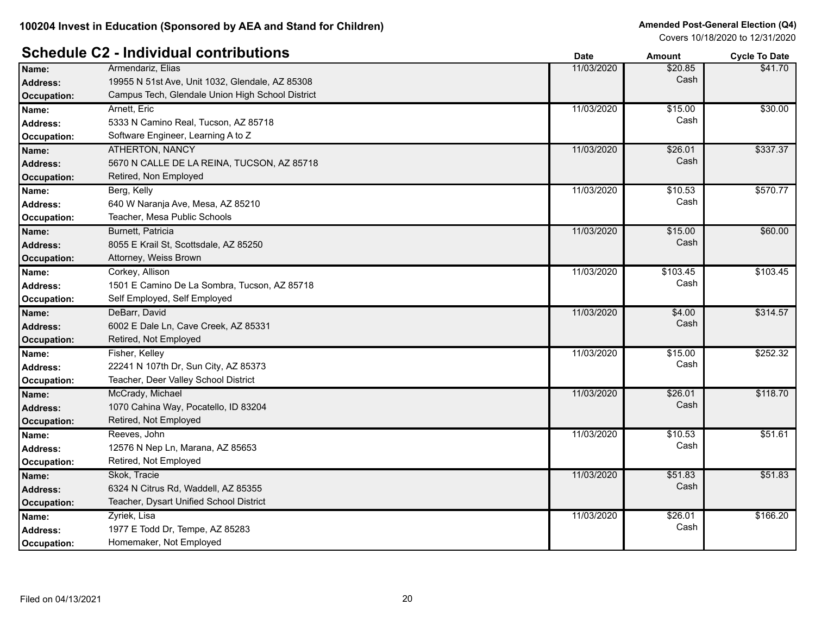# **Schedule C2 - Individual contributions Date Date Date Amount Cycle To Date**

| Name:              | Armendariz, Elias                                | 11/03/2020 | \$20.85  | \$41.70  |
|--------------------|--------------------------------------------------|------------|----------|----------|
| <b>Address:</b>    | 19955 N 51st Ave, Unit 1032, Glendale, AZ 85308  |            | Cash     |          |
| Occupation:        | Campus Tech, Glendale Union High School District |            |          |          |
| Name:              | Arnett, Eric                                     | 11/03/2020 | \$15.00  | \$30.00  |
| <b>Address:</b>    | 5333 N Camino Real, Tucson, AZ 85718             |            | Cash     |          |
| Occupation:        | Software Engineer, Learning A to Z               |            |          |          |
| Name:              | <b>ATHERTON, NANCY</b>                           | 11/03/2020 | \$26.01  | \$337.37 |
| <b>Address:</b>    | 5670 N CALLE DE LA REINA, TUCSON, AZ 85718       |            | Cash     |          |
| Occupation:        | Retired, Non Employed                            |            |          |          |
| Name:              | Berg, Kelly                                      | 11/03/2020 | \$10.53  | \$570.77 |
| <b>Address:</b>    | 640 W Naranja Ave, Mesa, AZ 85210                |            | Cash     |          |
| Occupation:        | Teacher, Mesa Public Schools                     |            |          |          |
| Name:              | Burnett, Patricia                                | 11/03/2020 | \$15.00  | \$60.00  |
| <b>Address:</b>    | 8055 E Krail St, Scottsdale, AZ 85250            |            | Cash     |          |
| <b>Occupation:</b> | Attorney, Weiss Brown                            |            |          |          |
| Name:              | Corkey, Allison                                  | 11/03/2020 | \$103.45 | \$103.45 |
| <b>Address:</b>    | 1501 E Camino De La Sombra, Tucson, AZ 85718     |            | Cash     |          |
| Occupation:        | Self Employed, Self Employed                     |            |          |          |
| Name:              | DeBarr, David                                    | 11/03/2020 | \$4.00   | \$314.57 |
| <b>Address:</b>    | 6002 E Dale Ln, Cave Creek, AZ 85331             |            | Cash     |          |
| Occupation:        | Retired, Not Employed                            |            |          |          |
| Name:              | Fisher, Kelley                                   | 11/03/2020 | \$15.00  | \$252.32 |
| <b>Address:</b>    | 22241 N 107th Dr, Sun City, AZ 85373             |            | Cash     |          |
| Occupation:        | Teacher, Deer Valley School District             |            |          |          |
| Name:              | McCrady, Michael                                 | 11/03/2020 | \$26.01  | \$118.70 |
| <b>Address:</b>    | 1070 Cahina Way, Pocatello, ID 83204             |            | Cash     |          |
| Occupation:        | Retired, Not Employed                            |            |          |          |
| Name:              | Reeves, John                                     | 11/03/2020 | \$10.53  | \$51.61  |
| <b>Address:</b>    | 12576 N Nep Ln, Marana, AZ 85653                 |            | Cash     |          |
| Occupation:        | Retired, Not Employed                            |            |          |          |
| Name:              | Skok, Tracie                                     | 11/03/2020 | \$51.83  | \$51.83  |
| <b>Address:</b>    | 6324 N Citrus Rd, Waddell, AZ 85355              |            | Cash     |          |
| Occupation:        | Teacher, Dysart Unified School District          |            |          |          |
| Name:              | Zyriek, Lisa                                     | 11/03/2020 | \$26.01  | \$166.20 |
| <b>Address:</b>    | 1977 E Todd Dr, Tempe, AZ 85283                  |            | Cash     |          |
| Occupation:        | Homemaker, Not Employed                          |            |          |          |
|                    |                                                  |            |          |          |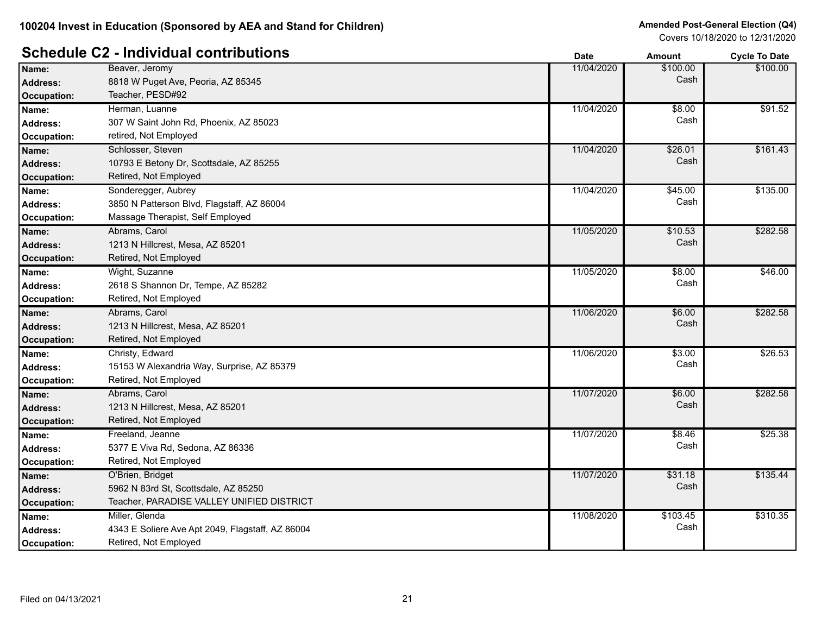|                    |                                                  | Dale       | AIIIOUIIL | <b>OVER TO DATE</b> |
|--------------------|--------------------------------------------------|------------|-----------|---------------------|
| Name:              | Beaver, Jeromy                                   | 11/04/2020 | \$100.00  | \$100.00            |
| <b>Address:</b>    | 8818 W Puget Ave, Peoria, AZ 85345               |            | Cash      |                     |
| <b>Occupation:</b> | Teacher, PESD#92                                 |            |           |                     |
| Name:              | Herman, Luanne                                   | 11/04/2020 | \$8.00    | \$91.52             |
| <b>Address:</b>    | 307 W Saint John Rd, Phoenix, AZ 85023           |            | Cash      |                     |
| <b>Occupation:</b> | retired, Not Employed                            |            |           |                     |
| Name:              | Schlosser, Steven                                | 11/04/2020 | \$26.01   | \$161.43            |
| <b>Address:</b>    | 10793 E Betony Dr, Scottsdale, AZ 85255          |            | Cash      |                     |
| <b>Occupation:</b> | Retired, Not Employed                            |            |           |                     |
| Name:              | Sonderegger, Aubrey                              | 11/04/2020 | \$45.00   | \$135.00            |
| <b>Address:</b>    | 3850 N Patterson Blvd, Flagstaff, AZ 86004       |            | Cash      |                     |
| Occupation:        | Massage Therapist, Self Employed                 |            |           |                     |
| Name:              | Abrams, Carol                                    | 11/05/2020 | \$10.53   | \$282.58            |
| <b>Address:</b>    | 1213 N Hillcrest, Mesa, AZ 85201                 |            | Cash      |                     |
| <b>Occupation:</b> | Retired, Not Employed                            |            |           |                     |
| Name:              | Wight, Suzanne                                   | 11/05/2020 | \$8.00    | \$46.00             |
| Address:           | 2618 S Shannon Dr, Tempe, AZ 85282               |            | Cash      |                     |
| Occupation:        | Retired, Not Employed                            |            |           |                     |
| Name:              | Abrams, Carol                                    | 11/06/2020 | \$6.00    | \$282.58            |
| <b>Address:</b>    | 1213 N Hillcrest, Mesa, AZ 85201                 |            | Cash      |                     |
| <b>Occupation:</b> | Retired, Not Employed                            |            |           |                     |
| Name:              | Christy, Edward                                  | 11/06/2020 | 33.00     | \$26.53             |
| <b>Address:</b>    | 15153 W Alexandria Way, Surprise, AZ 85379       |            | Cash      |                     |
| Occupation:        | Retired, Not Employed                            |            |           |                     |
| Name:              | Abrams, Carol                                    | 11/07/2020 | \$6.00    | \$282.58            |
| <b>Address:</b>    | 1213 N Hillcrest, Mesa, AZ 85201                 |            | Cash      |                     |
| <b>Occupation:</b> | Retired, Not Employed                            |            |           |                     |
| Name:              | Freeland, Jeanne                                 | 11/07/2020 | \$8.46    | \$25.38             |
| <b>Address:</b>    | 5377 E Viva Rd, Sedona, AZ 86336                 |            | Cash      |                     |
| <b>Occupation:</b> | Retired, Not Employed                            |            |           |                     |
| Name:              | O'Brien, Bridget                                 | 11/07/2020 | \$31.18   | \$135.44            |
| <b>Address:</b>    | 5962 N 83rd St, Scottsdale, AZ 85250             |            | Cash      |                     |
| Occupation:        | Teacher, PARADISE VALLEY UNIFIED DISTRICT        |            |           |                     |
| Name:              | Miller, Glenda                                   | 11/08/2020 | \$103.45  | \$310.35            |
| <b>Address:</b>    | 4343 E Soliere Ave Apt 2049, Flagstaff, AZ 86004 |            | Cash      |                     |
| Occupation:        | Retired, Not Employed                            |            |           |                     |
|                    |                                                  |            |           |                     |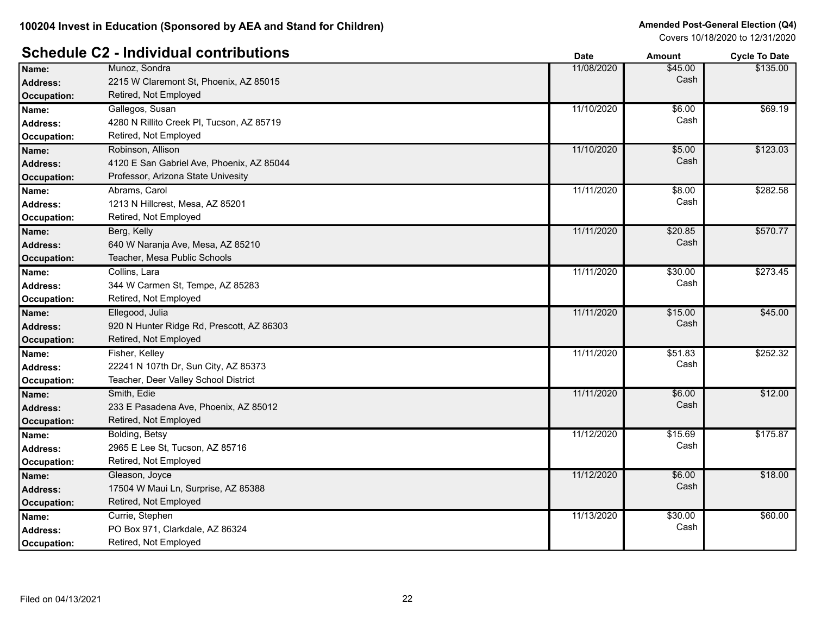# **Schedule C2 - Individual contributions Date Date Amount Amount Cycle To Date**

|                    |                                           | Dalc       | Allivulit | <b>OVUE TO DATE</b> |
|--------------------|-------------------------------------------|------------|-----------|---------------------|
| Name:              | Munoz, Sondra                             | 11/08/2020 | \$45.00   | \$135.00            |
| <b>Address:</b>    | 2215 W Claremont St, Phoenix, AZ 85015    |            | Cash      |                     |
| <b>Occupation:</b> | Retired, Not Employed                     |            |           |                     |
| Name:              | Gallegos, Susan                           | 11/10/2020 | \$6.00    | \$69.19             |
| <b>Address:</b>    | 4280 N Rillito Creek PI, Tucson, AZ 85719 |            | Cash      |                     |
| <b>Occupation:</b> | Retired, Not Employed                     |            |           |                     |
| Name:              | Robinson, Allison                         | 11/10/2020 | \$5.00    | \$123.03            |
| <b>Address:</b>    | 4120 E San Gabriel Ave, Phoenix, AZ 85044 |            | Cash      |                     |
| <b>Occupation:</b> | Professor, Arizona State Univesity        |            |           |                     |
| Name:              | Abrams, Carol                             | 11/11/2020 | \$8.00    | \$282.58            |
| <b>Address:</b>    | 1213 N Hillcrest, Mesa, AZ 85201          |            | Cash      |                     |
| <b>Occupation:</b> | Retired, Not Employed                     |            |           |                     |
| Name:              | Berg, Kelly                               | 11/11/2020 | \$20.85   | \$570.77            |
| <b>Address:</b>    | 640 W Naranja Ave, Mesa, AZ 85210         |            | Cash      |                     |
| Occupation:        | Teacher, Mesa Public Schools              |            |           |                     |
| Name:              | Collins, Lara                             | 11/11/2020 | \$30.00   | \$273.45            |
| <b>Address:</b>    | 344 W Carmen St, Tempe, AZ 85283          |            | Cash      |                     |
| Occupation:        | Retired, Not Employed                     |            |           |                     |
| Name:              | Ellegood, Julia                           | 11/11/2020 | \$15.00   | \$45.00             |
| <b>Address:</b>    | 920 N Hunter Ridge Rd, Prescott, AZ 86303 |            | Cash      |                     |
| Occupation:        | Retired, Not Employed                     |            |           |                     |
| Name:              | Fisher, Kelley                            | 11/11/2020 | \$51.83   | \$252.32            |
| <b>Address:</b>    | 22241 N 107th Dr, Sun City, AZ 85373      |            | Cash      |                     |
| Occupation:        | Teacher, Deer Valley School District      |            |           |                     |
| Name:              | Smith, Edie                               | 11/11/2020 | \$6.00    | \$12.00             |
| <b>Address:</b>    | 233 E Pasadena Ave, Phoenix, AZ 85012     |            | Cash      |                     |
| <b>Occupation:</b> | Retired, Not Employed                     |            |           |                     |
| Name:              | Bolding, Betsy                            | 11/12/2020 | \$15.69   | \$175.87            |
| <b>Address:</b>    | 2965 E Lee St, Tucson, AZ 85716           |            | Cash      |                     |
| <b>Occupation:</b> | Retired, Not Employed                     |            |           |                     |
| Name:              | Gleason, Joyce                            | 11/12/2020 | \$6.00    | \$18.00             |
| <b>Address:</b>    | 17504 W Maui Ln, Surprise, AZ 85388       |            | Cash      |                     |
| <b>Occupation:</b> | Retired, Not Employed                     |            |           |                     |
| Name:              | Currie, Stephen                           | 11/13/2020 | \$30.00   | \$60.00             |
| <b>Address:</b>    | PO Box 971, Clarkdale, AZ 86324           |            | Cash      |                     |
| Occupation:        | Retired, Not Employed                     |            |           |                     |
|                    |                                           |            |           |                     |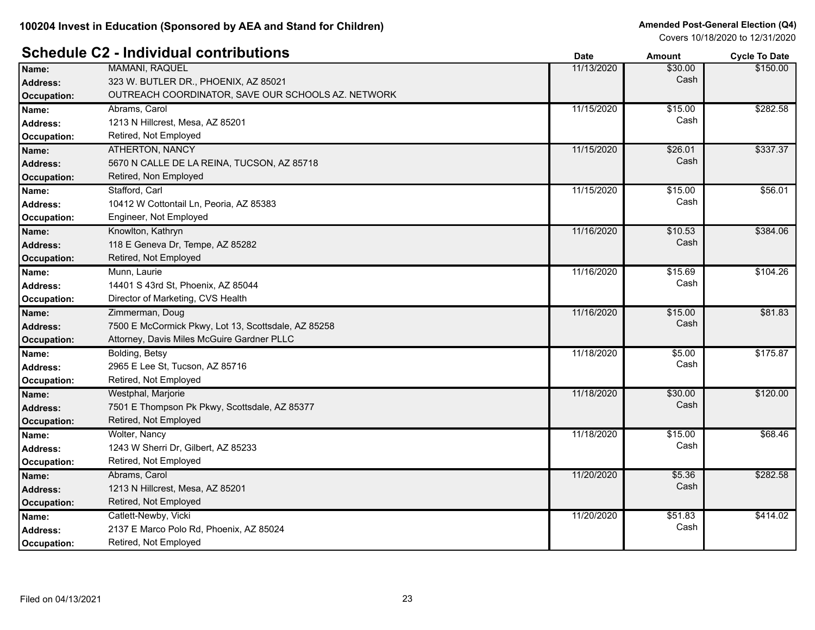#### **Schedule C2 - Individual contributions Date Date Cycle To Date Amount Cycle To Date**

|                    |                                                     | puw        | мнучн   | oyuu Tu Dulu    |
|--------------------|-----------------------------------------------------|------------|---------|-----------------|
| Name:              | <b>MAMANI, RAQUEL</b>                               | 11/13/2020 | \$30.00 | \$150.00        |
| <b>Address:</b>    | 323 W. BUTLER DR., PHOENIX, AZ 85021                |            | Cash    |                 |
| <b>Occupation:</b> | OUTREACH COORDINATOR, SAVE OUR SCHOOLS AZ. NETWORK  |            |         |                 |
| Name:              | Abrams, Carol                                       | 11/15/2020 | \$15.00 | \$282.58        |
| <b>Address:</b>    | 1213 N Hillcrest, Mesa, AZ 85201                    |            | Cash    |                 |
| <b>Occupation:</b> | Retired, Not Employed                               |            |         |                 |
| Name:              | <b>ATHERTON, NANCY</b>                              | 11/15/2020 | \$26.01 | \$337.37        |
| <b>Address:</b>    | 5670 N CALLE DE LA REINA, TUCSON, AZ 85718          |            | Cash    |                 |
| <b>Occupation:</b> | Retired, Non Employed                               |            |         |                 |
| Name:              | Stafford, Carl                                      | 11/15/2020 | \$15.00 | \$56.01         |
| <b>Address:</b>    | 10412 W Cottontail Ln, Peoria, AZ 85383             |            | Cash    |                 |
| <b>Occupation:</b> | Engineer, Not Employed                              |            |         |                 |
| Name:              | Knowlton, Kathryn                                   | 11/16/2020 | \$10.53 | \$384.06        |
| <b>Address:</b>    | 118 E Geneva Dr, Tempe, AZ 85282                    |            | Cash    |                 |
| <b>Occupation:</b> | Retired, Not Employed                               |            |         |                 |
| Name:              | Munn, Laurie                                        | 11/16/2020 | \$15.69 | \$104.26        |
| <b>Address:</b>    | 14401 S 43rd St, Phoenix, AZ 85044                  |            | Cash    |                 |
| Occupation:        | Director of Marketing, CVS Health                   |            |         |                 |
| Name:              | Zimmerman, Doug                                     | 11/16/2020 | \$15.00 | \$81.83         |
| <b>Address:</b>    | 7500 E McCormick Pkwy, Lot 13, Scottsdale, AZ 85258 |            | Cash    |                 |
| <b>Occupation:</b> | Attorney, Davis Miles McGuire Gardner PLLC          |            |         |                 |
| Name:              | Bolding, Betsy                                      | 11/18/2020 | \$5.00  | \$175.87        |
| <b>Address:</b>    | 2965 E Lee St, Tucson, AZ 85716                     |            | Cash    |                 |
| Occupation:        | Retired, Not Employed                               |            |         |                 |
| Name:              | Westphal, Marjorie                                  | 11/18/2020 | \$30.00 | \$120.00        |
| <b>Address:</b>    | 7501 E Thompson Pk Pkwy, Scottsdale, AZ 85377       |            | Cash    |                 |
| <b>Occupation:</b> | Retired, Not Employed                               |            |         |                 |
| Name:              | Wolter, Nancy                                       | 11/18/2020 | \$15.00 | $\sqrt{$68.46}$ |
| <b>Address:</b>    | 1243 W Sherri Dr, Gilbert, AZ 85233                 |            | Cash    |                 |
| Occupation:        | Retired, Not Employed                               |            |         |                 |
| Name:              | Abrams, Carol                                       | 11/20/2020 | \$5.36  | \$282.58        |
| <b>Address:</b>    | 1213 N Hillcrest, Mesa, AZ 85201                    |            | Cash    |                 |
| <b>Occupation:</b> | Retired, Not Employed                               |            |         |                 |
| Name:              | Catlett-Newby, Vicki                                | 11/20/2020 | \$51.83 | \$414.02        |
| <b>Address:</b>    | 2137 E Marco Polo Rd, Phoenix, AZ 85024             |            | Cash    |                 |
| Occupation:        | Retired, Not Employed                               |            |         |                 |
|                    |                                                     |            |         |                 |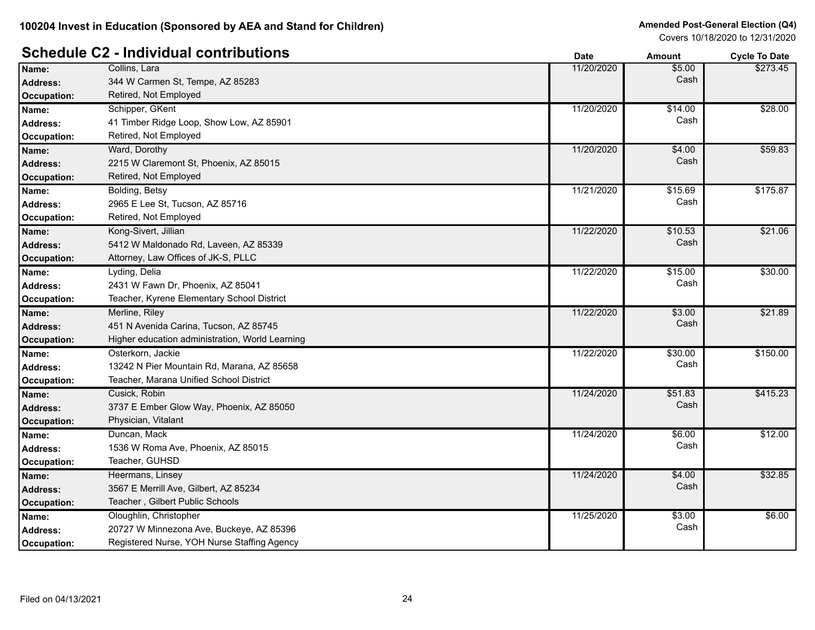|                    |                                                 | vale       | Amount  | <b>OVCIE TO DATE</b> |
|--------------------|-------------------------------------------------|------------|---------|----------------------|
| Name:              | Collins, Lara                                   | 11/20/2020 | \$5.00  | \$273.45             |
| <b>Address:</b>    | 344 W Carmen St, Tempe, AZ 85283                |            | Cash    |                      |
| <b>Occupation:</b> | Retired, Not Employed                           |            |         |                      |
| Name:              | Schipper, GKent                                 | 11/20/2020 | \$14.00 | \$28.00              |
| <b>Address:</b>    | 41 Timber Ridge Loop, Show Low, AZ 85901        |            | Cash    |                      |
| Occupation:        | Retired, Not Employed                           |            |         |                      |
| Name:              | Ward, Dorothy                                   | 11/20/2020 | \$4.00  | \$59.83              |
| <b>Address:</b>    | 2215 W Claremont St, Phoenix, AZ 85015          |            | Cash    |                      |
| <b>Occupation:</b> | Retired, Not Employed                           |            |         |                      |
| Name:              | Bolding, Betsy                                  | 11/21/2020 | \$15.69 | \$175.87             |
| <b>Address:</b>    | 2965 E Lee St, Tucson, AZ 85716                 |            | Cash    |                      |
| Occupation:        | Retired, Not Employed                           |            |         |                      |
| Name:              | Kong-Sivert, Jillian                            | 11/22/2020 | \$10.53 | \$21.06              |
| <b>Address:</b>    | 5412 W Maldonado Rd, Laveen, AZ 85339           |            | Cash    |                      |
| <b>Occupation:</b> | Attorney, Law Offices of JK-S, PLLC             |            |         |                      |
| Name:              | Lyding, Delia                                   | 11/22/2020 | \$15.00 | \$30.00              |
| <b>Address:</b>    | 2431 W Fawn Dr, Phoenix, AZ 85041               |            | Cash    |                      |
| Occupation:        | Teacher, Kyrene Elementary School District      |            |         |                      |
| Name:              | Merline, Riley                                  | 11/22/2020 | \$3.00  | \$21.89              |
| <b>Address:</b>    | 451 N Avenida Carina, Tucson, AZ 85745          |            | Cash    |                      |
| <b>Occupation:</b> | Higher education administration, World Learning |            |         |                      |
| Name:              | Osterkorn, Jackie                               | 11/22/2020 | \$30.00 | \$150.00             |
| <b>Address:</b>    | 13242 N Pier Mountain Rd, Marana, AZ 85658      |            | Cash    |                      |
| Occupation:        | Teacher, Marana Unified School District         |            |         |                      |
| Name:              | Cusick, Robin                                   | 11/24/2020 | \$51.83 | \$415.23             |
| <b>Address:</b>    | 3737 E Ember Glow Way, Phoenix, AZ 85050        |            | Cash    |                      |
| <b>Occupation:</b> | Physician, Vitalant                             |            |         |                      |
| Name:              | Duncan, Mack                                    | 11/24/2020 | \$6.00  | \$12.00              |
| <b>Address:</b>    | 1536 W Roma Ave, Phoenix, AZ 85015              |            | Cash    |                      |
| Occupation:        | Teacher, GUHSD                                  |            |         |                      |
| Name:              | Heermans, Linsey                                | 11/24/2020 | \$4.00  | \$32.85              |
| <b>Address:</b>    | 3567 E Merrill Ave, Gilbert, AZ 85234           |            | Cash    |                      |
| <b>Occupation:</b> | Teacher, Gilbert Public Schools                 |            |         |                      |
| Name:              | Oloughlin, Christopher                          | 11/25/2020 | \$3.00  | \$6.00               |
| <b>Address:</b>    | 20727 W Minnezona Ave, Buckeye, AZ 85396        |            | Cash    |                      |
| Occupation:        | Registered Nurse, YOH Nurse Staffing Agency     |            |         |                      |
|                    |                                                 |            |         |                      |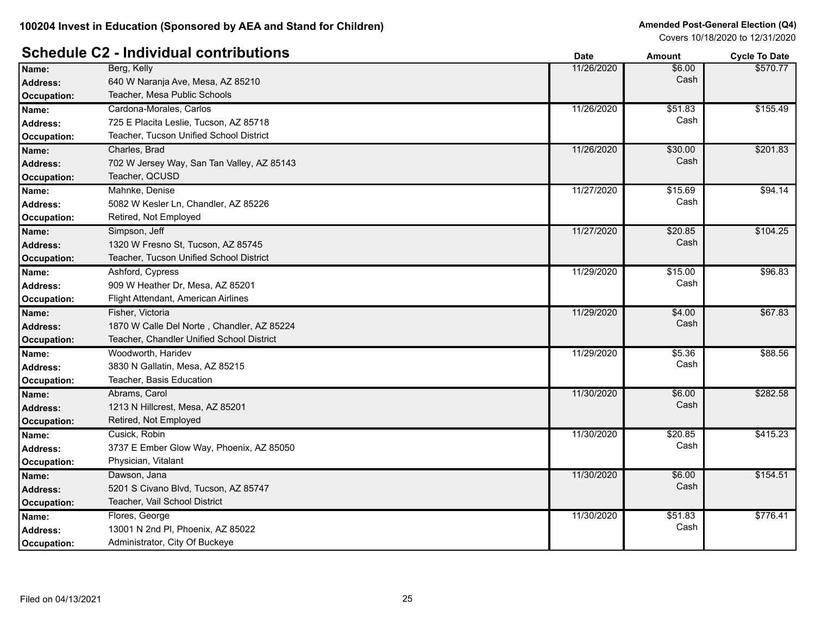|                    |                                            | Dale       | AIIIOUIIL | <b>OVER TO DATE</b> |
|--------------------|--------------------------------------------|------------|-----------|---------------------|
| Name:              | Berg, Kelly                                | 11/26/2020 | \$6.00    | \$570.77            |
| <b>Address:</b>    | 640 W Naranja Ave, Mesa, AZ 85210          |            | Cash      |                     |
| <b>Occupation:</b> | Teacher, Mesa Public Schools               |            |           |                     |
| Name:              | Cardona-Morales, Carlos                    | 11/26/2020 | \$51.83   | \$155.49            |
| <b>Address:</b>    | 725 E Placita Leslie, Tucson, AZ 85718     |            | Cash      |                     |
| Occupation:        | Teacher, Tucson Unified School District    |            |           |                     |
| Name:              | Charles, Brad                              | 11/26/2020 | \$30.00   | \$201.83            |
| <b>Address:</b>    | 702 W Jersey Way, San Tan Valley, AZ 85143 |            | Cash      |                     |
| <b>Occupation:</b> | Teacher, QCUSD                             |            |           |                     |
| Name:              | Mahnke, Denise                             | 11/27/2020 | \$15.69   | \$94.14             |
| <b>Address:</b>    | 5082 W Kesler Ln, Chandler, AZ 85226       |            | Cash      |                     |
| Occupation:        | Retired, Not Employed                      |            |           |                     |
| Name:              | Simpson, Jeff                              | 11/27/2020 | \$20.85   | \$104.25            |
| <b>Address:</b>    | 1320 W Fresno St, Tucson, AZ 85745         |            | Cash      |                     |
| Occupation:        | Teacher, Tucson Unified School District    |            |           |                     |
| Name:              | Ashford, Cypress                           | 11/29/2020 | \$15.00   | \$96.83             |
| <b>Address:</b>    | 909 W Heather Dr, Mesa, AZ 85201           |            | Cash      |                     |
| Occupation:        | Flight Attendant, American Airlines        |            |           |                     |
| Name:              | Fisher, Victoria                           | 11/29/2020 | \$4.00    | \$67.83             |
| <b>Address:</b>    | 1870 W Calle Del Norte, Chandler, AZ 85224 |            | Cash      |                     |
| Occupation:        | Teacher, Chandler Unified School District  |            |           |                     |
| Name:              | Woodworth, Haridev                         | 11/29/2020 | \$5.36    | \$88.56             |
| <b>Address:</b>    | 3830 N Gallatin, Mesa, AZ 85215            |            | Cash      |                     |
| Occupation:        | Teacher, Basis Education                   |            |           |                     |
| Name:              | Abrams, Carol                              | 11/30/2020 | \$6.00    | \$282.58            |
| <b>Address:</b>    | 1213 N Hillcrest, Mesa, AZ 85201           |            | Cash      |                     |
| Occupation:        | Retired, Not Employed                      |            |           |                     |
| Name:              | Cusick, Robin                              | 11/30/2020 | \$20.85   | \$415.23            |
| <b>Address:</b>    | 3737 E Ember Glow Way, Phoenix, AZ 85050   |            | Cash      |                     |
| Occupation:        | Physician, Vitalant                        |            |           |                     |
| Name:              | Dawson, Jana                               | 11/30/2020 | \$6.00    | \$154.51            |
| <b>Address:</b>    | 5201 S Civano Blvd, Tucson, AZ 85747       |            | Cash      |                     |
| <b>Occupation:</b> | Teacher, Vail School District              |            |           |                     |
| Name:              | Flores, George                             | 11/30/2020 | 551.83    | \$776.41            |
| <b>Address:</b>    | 13001 N 2nd PI, Phoenix, AZ 85022          |            | Cash      |                     |
| Occupation:        | Administrator, City Of Buckeye             |            |           |                     |
|                    |                                            |            |           |                     |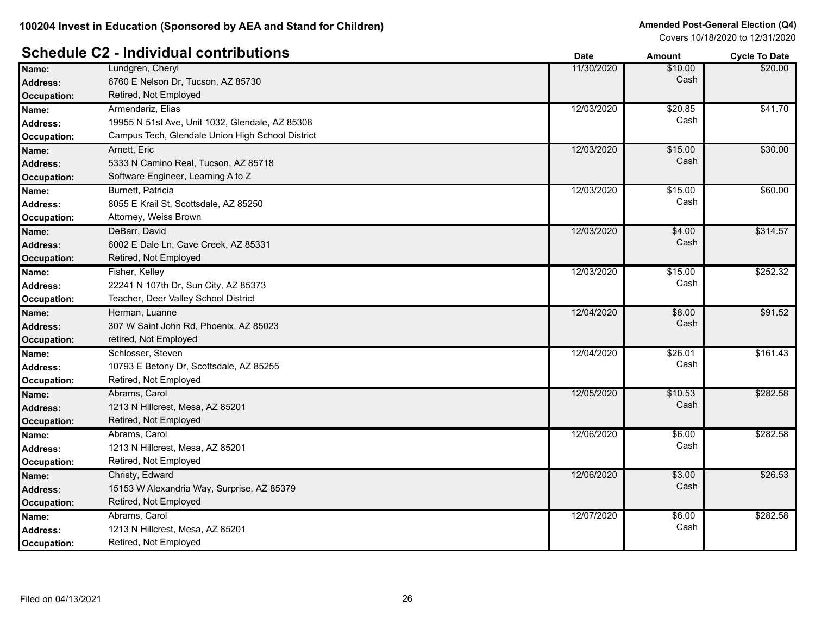|                    |                                                  | Dale       | Allivulli | <b>OVUE TO DATE</b> |
|--------------------|--------------------------------------------------|------------|-----------|---------------------|
| Name:              | Lundgren, Cheryl                                 | 11/30/2020 | \$10.00   | \$20.00             |
| <b>Address:</b>    | 6760 E Nelson Dr, Tucson, AZ 85730               |            | Cash      |                     |
| <b>Occupation:</b> | Retired, Not Employed                            |            |           |                     |
| Name:              | Armendariz, Elias                                | 12/03/2020 | \$20.85   | \$41.70             |
| <b>Address:</b>    | 19955 N 51st Ave, Unit 1032, Glendale, AZ 85308  |            | Cash      |                     |
| <b>Occupation:</b> | Campus Tech, Glendale Union High School District |            |           |                     |
| Name:              | Arnett, Eric                                     | 12/03/2020 | \$15.00   | \$30.00             |
| <b>Address:</b>    | 5333 N Camino Real, Tucson, AZ 85718             |            | Cash      |                     |
| <b>Occupation:</b> | Software Engineer, Learning A to Z               |            |           |                     |
| Name:              | Burnett, Patricia                                | 12/03/2020 | \$15.00   | \$60.00             |
| Address:           | 8055 E Krail St, Scottsdale, AZ 85250            |            | Cash      |                     |
| Occupation:        | Attorney, Weiss Brown                            |            |           |                     |
| Name:              | DeBarr, David                                    | 12/03/2020 | \$4.00    | \$314.57            |
| <b>Address:</b>    | 6002 E Dale Ln, Cave Creek, AZ 85331             |            | Cash      |                     |
| <b>Occupation:</b> | Retired, Not Employed                            |            |           |                     |
| Name:              | Fisher, Kelley                                   | 12/03/2020 | \$15.00   | \$252.32            |
| <b>Address:</b>    | 22241 N 107th Dr, Sun City, AZ 85373             |            | Cash      |                     |
| Occupation:        | Teacher, Deer Valley School District             |            |           |                     |
| Name:              | Herman, Luanne                                   | 12/04/2020 | \$8.00    | \$91.52             |
| <b>Address:</b>    | 307 W Saint John Rd, Phoenix, AZ 85023           |            | Cash      |                     |
| <b>Occupation:</b> | retired, Not Employed                            |            |           |                     |
| Name:              | Schlosser, Steven                                | 12/04/2020 | \$26.01   | \$161.43            |
| <b>Address:</b>    | 10793 E Betony Dr, Scottsdale, AZ 85255          |            | Cash      |                     |
| Occupation:        | Retired, Not Employed                            |            |           |                     |
| Name:              | Abrams, Carol                                    | 12/05/2020 | \$10.53   | \$282.58            |
| <b>Address:</b>    | 1213 N Hillcrest, Mesa, AZ 85201                 |            | Cash      |                     |
| <b>Occupation:</b> | Retired, Not Employed                            |            |           |                     |
| Name:              | Abrams, Carol                                    | 12/06/2020 | \$6.00    | \$282.58            |
| <b>Address:</b>    | 1213 N Hillcrest, Mesa, AZ 85201                 |            | Cash      |                     |
| Occupation:        | Retired, Not Employed                            |            |           |                     |
| Name:              | Christy, Edward                                  | 12/06/2020 | \$3.00    | \$26.53             |
| <b>Address:</b>    | 15153 W Alexandria Way, Surprise, AZ 85379       |            | Cash      |                     |
| <b>Occupation:</b> | Retired, Not Employed                            |            |           |                     |
| Name:              | Abrams, Carol                                    | 12/07/2020 | \$6.00    | \$282.58            |
| <b>Address:</b>    | 1213 N Hillcrest, Mesa, AZ 85201                 |            | Cash      |                     |
| <b>Occupation:</b> | Retired, Not Employed                            |            |           |                     |
|                    |                                                  |            |           |                     |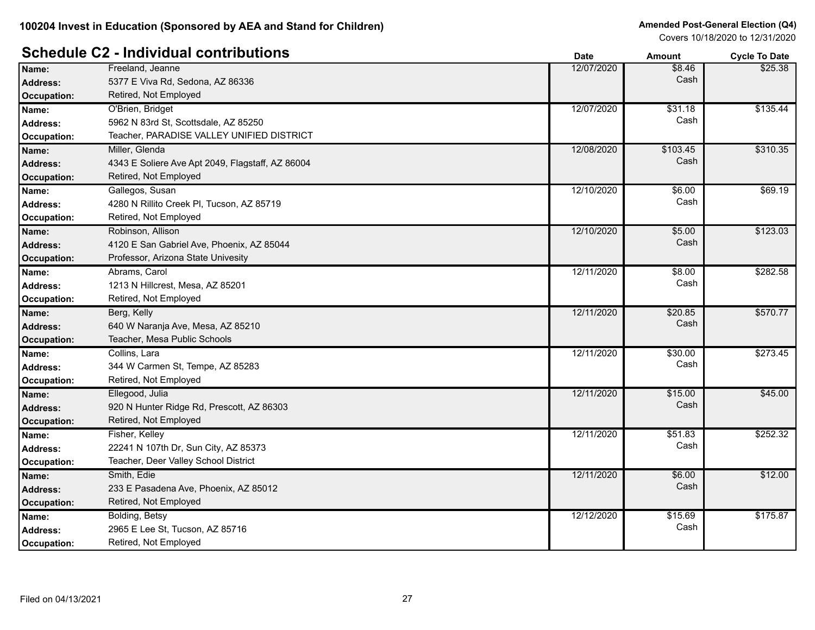# **Schedule C2 - Individual contributions Date Date Amount Amount Cycle To Date**

|                    |                                                  | υαισ       | anoun    | <b>OVUE TO DATE</b> |
|--------------------|--------------------------------------------------|------------|----------|---------------------|
| Name:              | Freeland, Jeanne                                 | 12/07/2020 | \$8.46   | \$25.38             |
| <b>Address:</b>    | 5377 E Viva Rd, Sedona, AZ 86336                 |            | Cash     |                     |
| Occupation:        | Retired, Not Employed                            |            |          |                     |
| Name:              | O'Brien, Bridget                                 | 12/07/2020 | \$31.18  | \$135.44            |
| <b>Address:</b>    | 5962 N 83rd St, Scottsdale, AZ 85250             |            | Cash     |                     |
| Occupation:        | Teacher, PARADISE VALLEY UNIFIED DISTRICT        |            |          |                     |
| Name:              | Miller, Glenda                                   | 12/08/2020 | \$103.45 | \$310.35            |
| <b>Address:</b>    | 4343 E Soliere Ave Apt 2049, Flagstaff, AZ 86004 |            | Cash     |                     |
| <b>Occupation:</b> | Retired, Not Employed                            |            |          |                     |
| Name:              | Gallegos, Susan                                  | 12/10/2020 | \$6.00   | \$69.19             |
| Address:           | 4280 N Rillito Creek PI, Tucson, AZ 85719        |            | Cash     |                     |
| Occupation:        | Retired, Not Employed                            |            |          |                     |
| Name:              | Robinson, Allison                                | 12/10/2020 | \$5.00   | \$123.03            |
| <b>Address:</b>    | 4120 E San Gabriel Ave, Phoenix, AZ 85044        |            | Cash     |                     |
| Occupation:        | Professor, Arizona State Univesity               |            |          |                     |
| Name:              | Abrams, Carol                                    | 12/11/2020 | \$8.00   | \$282.58            |
| <b>Address:</b>    | 1213 N Hillcrest, Mesa, AZ 85201                 |            | Cash     |                     |
| Occupation:        | Retired, Not Employed                            |            |          |                     |
| Name:              | Berg, Kelly                                      | 12/11/2020 | \$20.85  | \$570.77            |
| <b>Address:</b>    | 640 W Naranja Ave, Mesa, AZ 85210                |            | Cash     |                     |
| <b>Occupation:</b> | Teacher, Mesa Public Schools                     |            |          |                     |
| Name:              | Collins, Lara                                    | 12/11/2020 | \$30.00  | \$273.45            |
| <b>Address:</b>    | 344 W Carmen St, Tempe, AZ 85283                 |            | Cash     |                     |
| Occupation:        | Retired, Not Employed                            |            |          |                     |
| Name:              | Ellegood, Julia                                  | 12/11/2020 | \$15.00  | \$45.00             |
| <b>Address:</b>    | 920 N Hunter Ridge Rd, Prescott, AZ 86303        |            | Cash     |                     |
| Occupation:        | Retired, Not Employed                            |            |          |                     |
| Name:              | Fisher, Kelley                                   | 12/11/2020 | \$51.83  | \$252.32            |
| <b>Address:</b>    | 22241 N 107th Dr, Sun City, AZ 85373             |            | Cash     |                     |
| Occupation:        | Teacher, Deer Valley School District             |            |          |                     |
| Name:              | Smith, Edie                                      | 12/11/2020 | \$6.00   | \$12.00             |
| <b>Address:</b>    | 233 E Pasadena Ave, Phoenix, AZ 85012            |            | Cash     |                     |
| Occupation:        | Retired, Not Employed                            |            |          |                     |
| Name:              | Bolding, Betsy                                   | 12/12/2020 | \$15.69  | \$175.87            |
| Address:           | 2965 E Lee St, Tucson, AZ 85716                  |            | Cash     |                     |
| Occupation:        | Retired, Not Employed                            |            |          |                     |
|                    |                                                  |            |          |                     |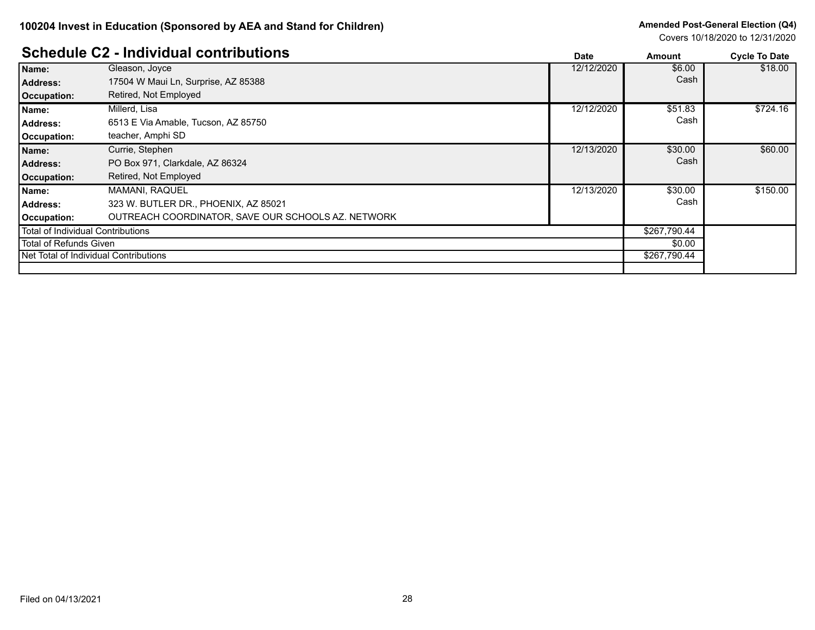#### **Schedule C2 - Individual contributions Date Amount Cycle To Date**

|                                   | Scriedule CZ - murvidual contributions             | <b>Date</b> | Amount       | <b>Cycle To Date</b> |
|-----------------------------------|----------------------------------------------------|-------------|--------------|----------------------|
| Name:                             | Gleason, Joyce                                     | 12/12/2020  | \$6.00       | \$18.00              |
| <b>Address:</b>                   | 17504 W Maui Ln, Surprise, AZ 85388                |             | Cash         |                      |
| Occupation:                       | Retired, Not Employed                              |             |              |                      |
| Name:                             | Millerd, Lisa                                      | 12/12/2020  | \$51.83      | \$724.16             |
| <b>Address:</b>                   | 6513 E Via Amable, Tucson, AZ 85750                |             | Cash         |                      |
| Occupation:                       | teacher, Amphi SD                                  |             |              |                      |
| Name:                             | Currie, Stephen                                    | 12/13/2020  | \$30.00      | \$60.00              |
| <b>Address:</b>                   | PO Box 971, Clarkdale, AZ 86324                    |             | Cash         |                      |
| Occupation:                       | Retired, Not Employed                              |             |              |                      |
| Name:                             | <b>MAMANI, RAQUEL</b>                              | 12/13/2020  | \$30.00      | \$150.00             |
| <b>Address:</b>                   | 323 W. BUTLER DR., PHOENIX, AZ 85021               |             | Cash         |                      |
| Occupation:                       | OUTREACH COORDINATOR, SAVE OUR SCHOOLS AZ. NETWORK |             |              |                      |
| Total of Individual Contributions |                                                    |             | \$267,790.44 |                      |
| Total of Refunds Given            |                                                    |             | \$0.00       |                      |
|                                   | Net Total of Individual Contributions              |             | \$267,790.44 |                      |
|                                   |                                                    |             |              |                      |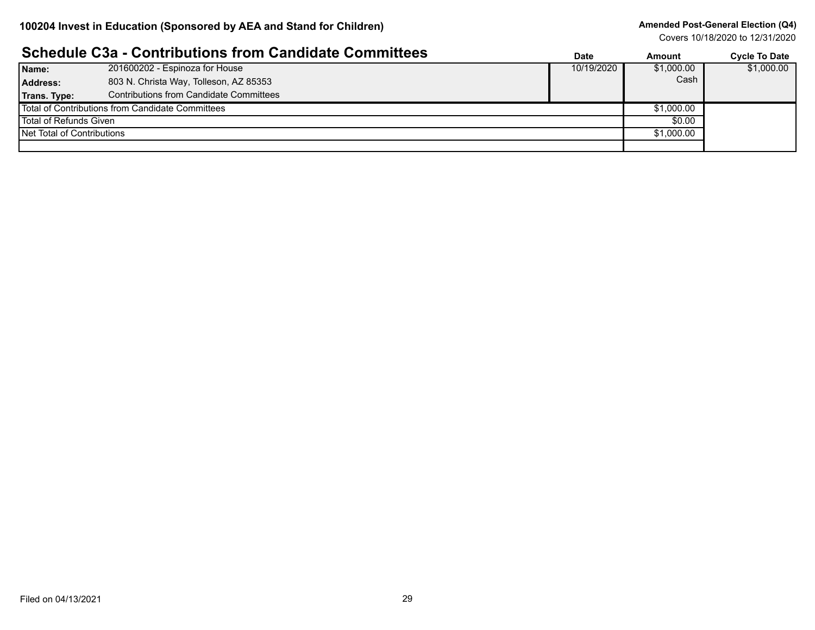#### **Amended Post-General Election (Q4)**

|                                                  | <b>Schedule C3a - Contributions from Candidate Committees</b> | <b>Date</b> | Amount     | <b>Cycle To Date</b> |
|--------------------------------------------------|---------------------------------------------------------------|-------------|------------|----------------------|
| Name:                                            | 201600202 - Espinoza for House                                | 10/19/2020  | \$1,000.00 | \$1,000.00           |
| Address:                                         | 803 N. Christa Way, Tolleson, AZ 85353                        |             | Cash       |                      |
| Trans. Type:                                     | Contributions from Candidate Committees                       |             |            |                      |
| Total of Contributions from Candidate Committees |                                                               | \$1,000.00  |            |                      |
| Total of Refunds Given                           |                                                               | \$0.00      |            |                      |
| Net Total of Contributions                       |                                                               |             | \$1,000.00 |                      |
|                                                  |                                                               |             |            |                      |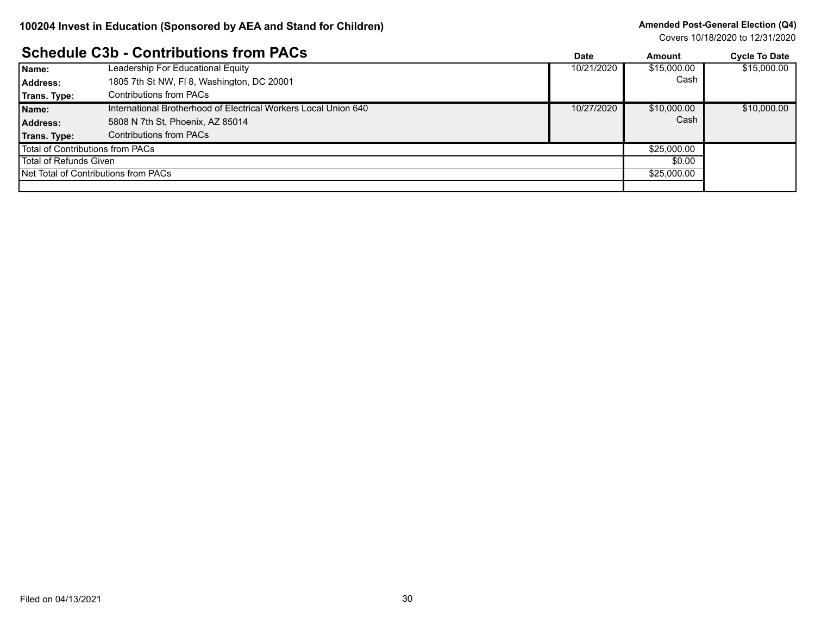#### **Amended Post-General Election (Q4)**

Covers 10/18/2020 to 12/31/2020

#### **Schedule C3b - Contributions from PACs**

|                                  | <u> OCHEUDIE COD - CONTINUUDIIS IIONI FACS</u>                  | Date       | Amount      | <b>Cycle To Date</b> |
|----------------------------------|-----------------------------------------------------------------|------------|-------------|----------------------|
| Name:                            | Leadership For Educational Equity                               | 10/21/2020 | \$15,000.00 | \$15,000.00          |
| Address:                         | 1805 7th St NW, FI 8, Washington, DC 20001                      |            | Cash        |                      |
| Trans. Type:                     | Contributions from PACs                                         |            |             |                      |
| Name:                            | International Brotherhood of Electrical Workers Local Union 640 | 10/27/2020 | \$10,000.00 | \$10,000.00          |
| Address:                         | 5808 N 7th St, Phoenix, AZ 85014                                |            | Cash        |                      |
| Trans. Type:                     | <b>Contributions from PACs</b>                                  |            |             |                      |
| Total of Contributions from PACs |                                                                 |            | \$25,000.00 |                      |
| Total of Refunds Given           |                                                                 |            | \$0.00      |                      |
|                                  | Net Total of Contributions from PACs                            |            | \$25,000.00 |                      |
|                                  |                                                                 |            |             |                      |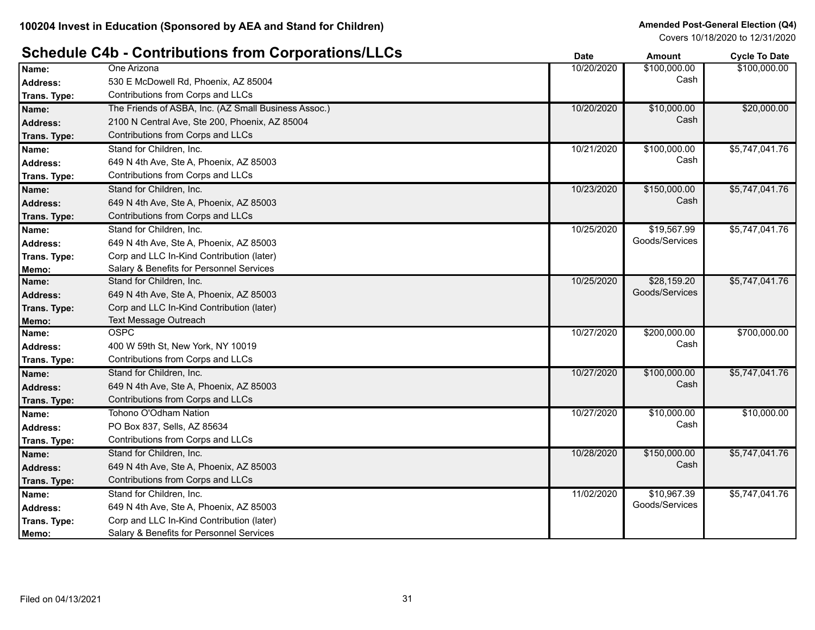#### **Schedule C4b - Contributions from Corporations/LLCs Date Date Date Amount Cycle To Date**

|                 |                                                      |            |                | oyono iyo butu |
|-----------------|------------------------------------------------------|------------|----------------|----------------|
| Name:           | One Arizona                                          | 10/20/2020 | \$100,000.00   | \$100,000.00   |
| <b>Address:</b> | 530 E McDowell Rd, Phoenix, AZ 85004                 |            | Cash           |                |
| Trans. Type:    | Contributions from Corps and LLCs                    |            |                |                |
| Name:           | The Friends of ASBA, Inc. (AZ Small Business Assoc.) | 10/20/2020 | \$10,000.00    | \$20,000.00    |
| <b>Address:</b> | 2100 N Central Ave, Ste 200, Phoenix, AZ 85004       |            | Cash           |                |
| Trans. Type:    | Contributions from Corps and LLCs                    |            |                |                |
| Name:           | Stand for Children, Inc.                             | 10/21/2020 | \$100,000.00   | \$5,747,041.76 |
| <b>Address:</b> | 649 N 4th Ave, Ste A, Phoenix, AZ 85003              |            | Cash           |                |
| Trans. Type:    | Contributions from Corps and LLCs                    |            |                |                |
| Name:           | Stand for Children, Inc.                             | 10/23/2020 | \$150,000.00   | \$5,747,041.76 |
| <b>Address:</b> | 649 N 4th Ave, Ste A, Phoenix, AZ 85003              |            | Cash           |                |
| Trans. Type:    | Contributions from Corps and LLCs                    |            |                |                |
| Name:           | Stand for Children, Inc.                             | 10/25/2020 | \$19,567.99    | \$5,747,041.76 |
| <b>Address:</b> | 649 N 4th Ave, Ste A, Phoenix, AZ 85003              |            | Goods/Services |                |
| Trans. Type:    | Corp and LLC In-Kind Contribution (later)            |            |                |                |
| Memo:           | Salary & Benefits for Personnel Services             |            |                |                |
| Name:           | Stand for Children, Inc.                             | 10/25/2020 | \$28,159.20    | \$5,747,041.76 |
| <b>Address:</b> | 649 N 4th Ave, Ste A, Phoenix, AZ 85003              |            | Goods/Services |                |
| Trans. Type:    | Corp and LLC In-Kind Contribution (later)            |            |                |                |
| Memo:           | <b>Text Message Outreach</b>                         |            |                |                |
| Name:           | <b>OSPC</b>                                          | 10/27/2020 | \$200,000.00   | \$700,000.00   |
| <b>Address:</b> | 400 W 59th St, New York, NY 10019                    |            | Cash           |                |
| Trans. Type:    | Contributions from Corps and LLCs                    |            |                |                |
| Name:           | Stand for Children, Inc.                             | 10/27/2020 | \$100,000.00   | \$5,747,041.76 |
| <b>Address:</b> | 649 N 4th Ave, Ste A, Phoenix, AZ 85003              |            | Cash           |                |
| Trans. Type:    | Contributions from Corps and LLCs                    |            |                |                |
| Name:           | Tohono O'Odham Nation                                | 10/27/2020 | \$10,000.00    | \$10,000.00    |
| <b>Address:</b> | PO Box 837, Sells, AZ 85634                          |            | Cash           |                |
| Trans. Type:    | Contributions from Corps and LLCs                    |            |                |                |
| Name:           | Stand for Children, Inc.                             | 10/28/2020 | \$150,000.00   | \$5,747,041.76 |
| <b>Address:</b> | 649 N 4th Ave, Ste A, Phoenix, AZ 85003              |            | Cash           |                |
| Trans. Type:    | Contributions from Corps and LLCs                    |            |                |                |
| Name:           | Stand for Children, Inc.                             | 11/02/2020 | \$10,967.39    | \$5,747,041.76 |
| Address:        | 649 N 4th Ave, Ste A, Phoenix, AZ 85003              |            | Goods/Services |                |
| Trans. Type:    | Corp and LLC In-Kind Contribution (later)            |            |                |                |
| Memo:           | Salary & Benefits for Personnel Services             |            |                |                |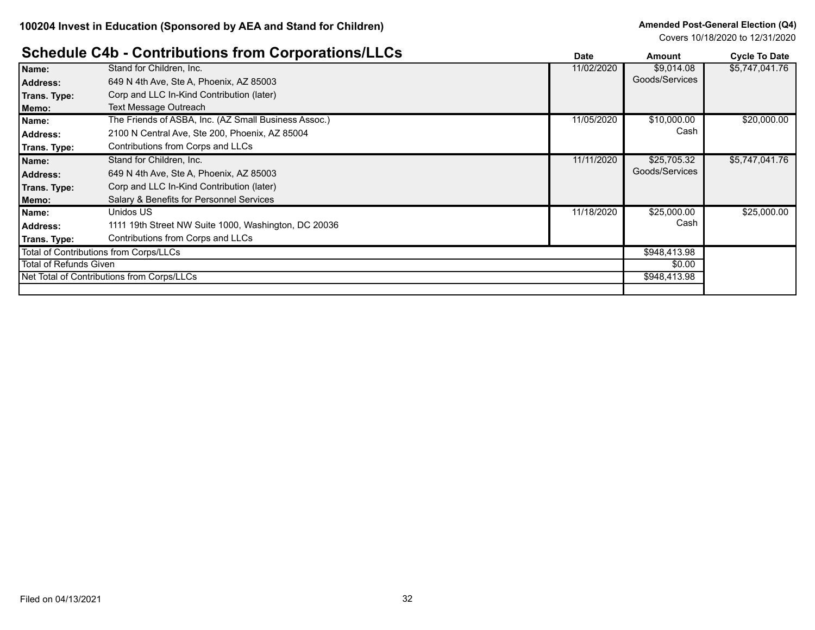# **Schedule C4b - Contributions from Corporations/LLCs Date Date Amount Cycle To Date**

|                        | <u> Ochedale Ond - Ochithiations from Ochodiations/LLOS</u> | Date       | Amount         | <b>Cycle To Date</b> |
|------------------------|-------------------------------------------------------------|------------|----------------|----------------------|
| Name:                  | Stand for Children, Inc.                                    | 11/02/2020 | \$9,014.08     | \$5,747,041.76       |
| <b>Address:</b>        | 649 N 4th Ave, Ste A, Phoenix, AZ 85003                     |            | Goods/Services |                      |
| Trans. Type:           | Corp and LLC In-Kind Contribution (later)                   |            |                |                      |
| Memo:                  | Text Message Outreach                                       |            |                |                      |
| Name:                  | The Friends of ASBA, Inc. (AZ Small Business Assoc.)        | 11/05/2020 | \$10,000.00    | \$20,000.00          |
| Address:               | 2100 N Central Ave, Ste 200, Phoenix, AZ 85004              |            | Cash           |                      |
| Trans. Type:           | Contributions from Corps and LLCs                           |            |                |                      |
| Name:                  | Stand for Children, Inc.                                    | 11/11/2020 | \$25,705.32    | \$5,747,041.76       |
| <b>Address:</b>        | 649 N 4th Ave, Ste A, Phoenix, AZ 85003                     |            | Goods/Services |                      |
| Trans. Type:           | Corp and LLC In-Kind Contribution (later)                   |            |                |                      |
| Memo:                  | Salary & Benefits for Personnel Services                    |            |                |                      |
| Name:                  | Unidos US                                                   | 11/18/2020 | \$25,000.00    | \$25,000.00          |
| <b>Address:</b>        | 1111 19th Street NW Suite 1000, Washington, DC 20036        |            | Cash           |                      |
| Trans. Type:           | Contributions from Corps and LLCs                           |            |                |                      |
|                        | Total of Contributions from Corps/LLCs                      |            | \$948,413.98   |                      |
| Total of Refunds Given |                                                             |            | \$0.00         |                      |
|                        | Net Total of Contributions from Corps/LLCs                  |            | \$948,413.98   |                      |
|                        |                                                             |            |                |                      |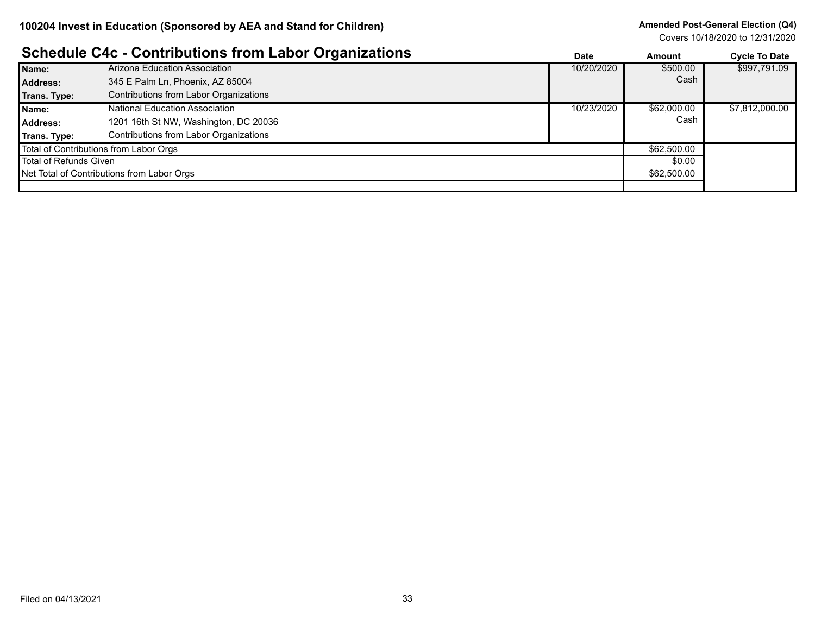#### **Amended Post-General Election (Q4)**

|                        | <b>Schedule C4c - Contributions from Labor Organizations</b> | <b>Date</b> | <b>Amount</b> | <b>Cycle To Date</b> |
|------------------------|--------------------------------------------------------------|-------------|---------------|----------------------|
| Name:                  | Arizona Education Association                                | 10/20/2020  | \$500.00      | \$997,791.09         |
| <b>Address:</b>        | 345 E Palm Ln, Phoenix, AZ 85004                             |             | Cash          |                      |
| Trans. Type:           | Contributions from Labor Organizations                       |             |               |                      |
| Name:                  | National Education Association                               | 10/23/2020  | \$62,000.00   | \$7,812,000.00       |
| Address:               | 1201 16th St NW, Washington, DC 20036                        |             | Cash          |                      |
| Trans. Type:           | Contributions from Labor Organizations                       |             |               |                      |
|                        | Total of Contributions from Labor Orgs                       |             | \$62,500.00   |                      |
| Total of Refunds Given |                                                              |             | \$0.00        |                      |
|                        | Net Total of Contributions from Labor Orgs                   |             | \$62,500.00   |                      |
|                        |                                                              |             |               |                      |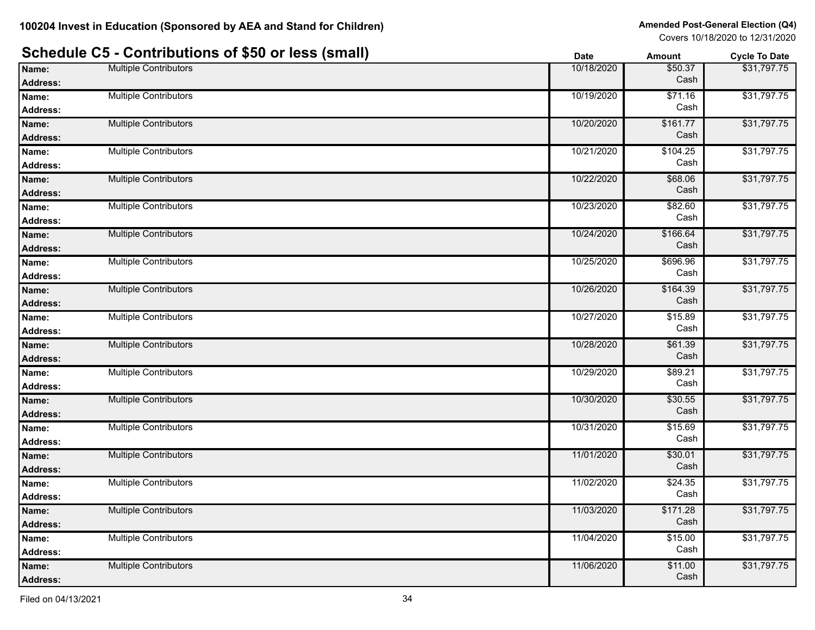|                          | Schedule C5 - Contributions of \$50 or less (small) | <b>Date</b> | <b>Amount</b>    | <b>Cycle To Date</b> |
|--------------------------|-----------------------------------------------------|-------------|------------------|----------------------|
| Name:                    | <b>Multiple Contributors</b>                        | 10/18/2020  | \$50.37          | \$31,797.75          |
| <b>Address:</b>          |                                                     |             | Cash             |                      |
| Name:                    | <b>Multiple Contributors</b>                        | 10/19/2020  | \$71.16<br>Cash  | \$31,797.75          |
| <b>Address:</b>          |                                                     |             |                  |                      |
| Name:                    | <b>Multiple Contributors</b>                        | 10/20/2020  | \$161.77<br>Cash | \$31,797.75          |
| <b>Address:</b>          |                                                     |             |                  |                      |
| Name:                    | <b>Multiple Contributors</b>                        | 10/21/2020  | \$104.25<br>Cash | \$31,797.75          |
| <b>Address:</b>          |                                                     |             |                  |                      |
| Name:                    | <b>Multiple Contributors</b>                        | 10/22/2020  | \$68.06<br>Cash  | \$31,797.75          |
| <b>Address:</b>          |                                                     |             |                  |                      |
| Name:                    | <b>Multiple Contributors</b>                        | 10/23/2020  | \$82.60<br>Cash  | \$31,797.75          |
| <b>Address:</b>          |                                                     |             |                  |                      |
| Name:                    | <b>Multiple Contributors</b>                        | 10/24/2020  | \$166.64<br>Cash | \$31,797.75          |
| <b>Address:</b>          |                                                     |             |                  |                      |
| Name:                    | <b>Multiple Contributors</b>                        | 10/25/2020  | \$696.96<br>Cash | \$31,797.75          |
| <b>Address:</b>          |                                                     |             |                  |                      |
| Name:                    | <b>Multiple Contributors</b>                        | 10/26/2020  | \$164.39<br>Cash | \$31,797.75          |
| <b>Address:</b>          |                                                     |             |                  |                      |
| Name:                    | <b>Multiple Contributors</b>                        | 10/27/2020  | \$15.89<br>Cash  | \$31,797.75          |
| <b>Address:</b>          | <b>Multiple Contributors</b>                        | 10/28/2020  | \$61.39          | \$31,797.75          |
| Name:                    |                                                     |             | Cash             |                      |
| <b>Address:</b>          | <b>Multiple Contributors</b>                        |             |                  | \$31,797.75          |
| Name:                    |                                                     | 10/29/2020  | \$89.21<br>Cash  |                      |
| <b>Address:</b>          | <b>Multiple Contributors</b>                        | 10/30/2020  | \$30.55          | \$31,797.75          |
| Name:                    |                                                     |             | Cash             |                      |
| <b>Address:</b><br>Name: | <b>Multiple Contributors</b>                        | 10/31/2020  | \$15.69          | \$31,797.75          |
|                          |                                                     |             | Cash             |                      |
| <b>Address:</b>          | <b>Multiple Contributors</b>                        | 11/01/2020  | \$30.01          | \$31,797.75          |
| Name:<br><b>Address:</b> |                                                     |             | Cash             |                      |
| Name:                    | <b>Multiple Contributors</b>                        | 11/02/2020  | \$24.35          | \$31,797.75          |
| <b>Address:</b>          |                                                     |             | Cash             |                      |
|                          | Multiple Contributors                               | 11/03/2020  | \$171.28         | \$31,797.75          |
| Name:<br>Address:        |                                                     |             | Cash             |                      |
| Name:                    | <b>Multiple Contributors</b>                        | 11/04/2020  | \$15.00          | \$31,797.75          |
| <b>Address:</b>          |                                                     |             | Cash             |                      |
| Name:                    | <b>Multiple Contributors</b>                        | 11/06/2020  | \$11.00          | \$31,797.75          |
| Address:                 |                                                     |             | Cash             |                      |
|                          |                                                     |             |                  |                      |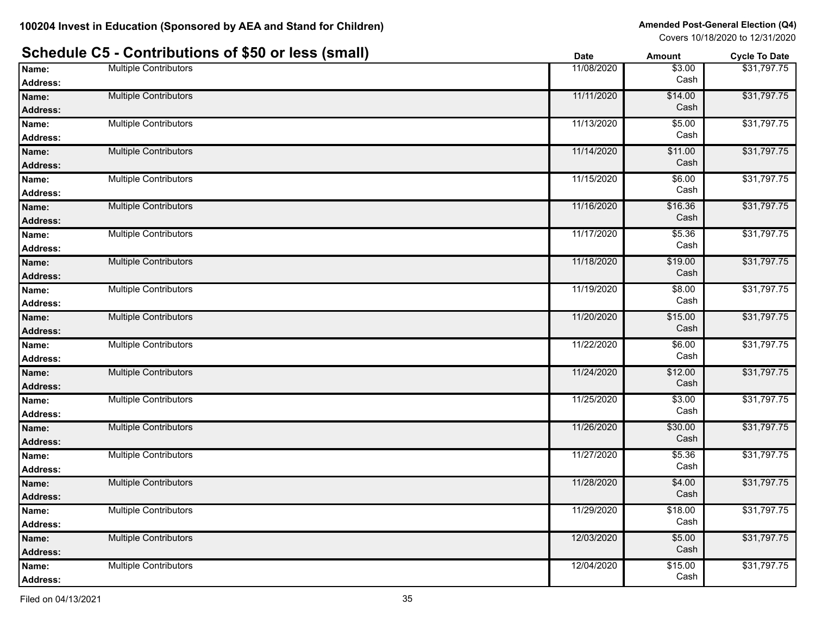|                          | Schedule C5 - Contributions of \$50 or less (small) | <b>Date</b> | Amount          | <b>Cycle To Date</b> |
|--------------------------|-----------------------------------------------------|-------------|-----------------|----------------------|
| Name:                    | <b>Multiple Contributors</b>                        | 11/08/2020  | \$3.00<br>Cash  | \$31,797.75          |
| <b>Address:</b>          |                                                     |             |                 | \$31,797.75          |
| Name:<br><b>Address:</b> | <b>Multiple Contributors</b>                        | 11/11/2020  | \$14.00<br>Cash |                      |
| Name:                    | <b>Multiple Contributors</b>                        | 11/13/2020  | \$5.00          | \$31,797.75          |
| Address:                 |                                                     |             | Cash            |                      |
| Name:                    | <b>Multiple Contributors</b>                        | 11/14/2020  | \$11.00         | \$31,797.75          |
| Address:                 |                                                     |             | Cash            |                      |
| Name:                    | <b>Multiple Contributors</b>                        | 11/15/2020  | \$6.00          | \$31,797.75          |
| Address:                 |                                                     |             | Cash            |                      |
| Name:                    | <b>Multiple Contributors</b>                        | 11/16/2020  | \$16.36         | \$31,797.75          |
| <b>Address:</b>          |                                                     |             | Cash            |                      |
| Name:                    | <b>Multiple Contributors</b>                        | 11/17/2020  | \$5.36          | \$31,797.75          |
| Address:                 |                                                     |             | Cash            |                      |
| Name:                    | <b>Multiple Contributors</b>                        | 11/18/2020  | \$19.00         | \$31,797.75          |
| <b>Address:</b>          |                                                     |             | Cash            |                      |
| Name:                    | <b>Multiple Contributors</b>                        | 11/19/2020  | \$8.00          | \$31,797.75          |
| Address:                 |                                                     |             | Cash            |                      |
| Name:                    | <b>Multiple Contributors</b>                        | 11/20/2020  | \$15.00         | \$31,797.75          |
| <b>Address:</b>          |                                                     |             | Cash            |                      |
| Name:                    | <b>Multiple Contributors</b>                        | 11/22/2020  | \$6.00          | \$31,797.75          |
| <b>Address:</b>          |                                                     |             | Cash            |                      |
| Name:                    | <b>Multiple Contributors</b>                        | 11/24/2020  | \$12.00         | \$31,797.75          |
| <b>Address:</b>          |                                                     |             | Cash            |                      |
| Name:                    | <b>Multiple Contributors</b>                        | 11/25/2020  | \$3.00          | \$31,797.75          |
| Address:                 |                                                     |             | Cash            |                      |
| Name:                    | <b>Multiple Contributors</b>                        | 11/26/2020  | \$30.00         | \$31,797.75          |
| <b>Address:</b>          |                                                     |             | Cash            |                      |
| Name:                    | <b>Multiple Contributors</b>                        | 11/27/2020  | \$5.36          | \$31,797.75          |
| <b>Address:</b>          |                                                     |             | Cash            |                      |
| Name:                    | <b>Multiple Contributors</b>                        | 11/28/2020  | \$4.00          | \$31,797.75          |
| Address:                 |                                                     |             | Cash            |                      |
| Name:                    | <b>Multiple Contributors</b>                        | 11/29/2020  | \$18.00         | \$31,797.75          |
| <b>Address:</b>          |                                                     |             | Cash            |                      |
| Name:                    | <b>Multiple Contributors</b>                        | 12/03/2020  | \$5.00          | \$31,797.75          |
| <b>Address:</b>          |                                                     |             | Cash            |                      |
| Name:                    | <b>Multiple Contributors</b>                        | 12/04/2020  | \$15.00         | \$31,797.75          |
| <b>Address:</b>          |                                                     |             | Cash            |                      |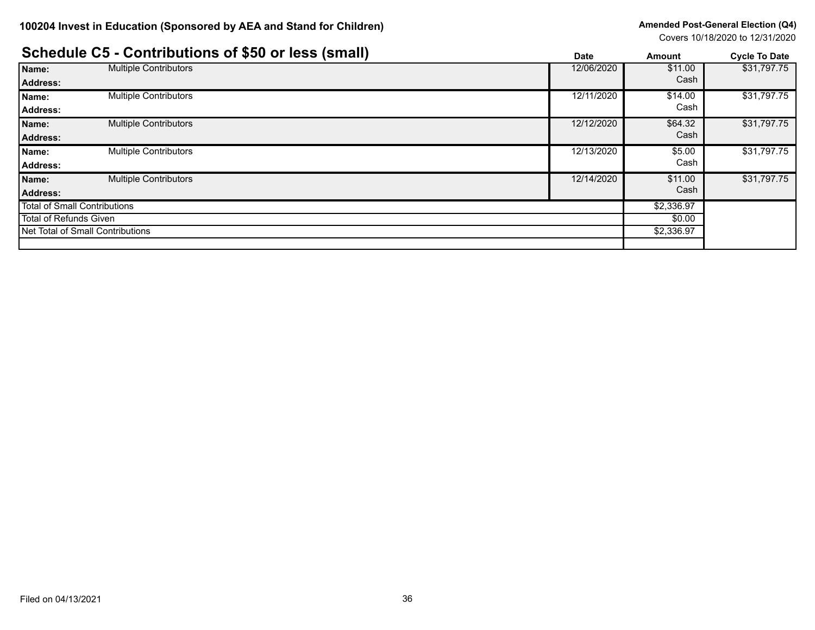|                              | Schedule C5 - Contributions of \$50 or less (small) | <b>Date</b> | <b>Amount</b> | <b>Cycle To Date</b> |
|------------------------------|-----------------------------------------------------|-------------|---------------|----------------------|
| Name:                        | <b>Multiple Contributors</b>                        | 12/06/2020  | \$11.00       | \$31,797.75          |
| <b>Address:</b>              |                                                     |             | Cash          |                      |
| Name:                        | <b>Multiple Contributors</b>                        | 12/11/2020  | \$14.00       | \$31,797.75          |
| Address:                     |                                                     |             | Cash          |                      |
| Name:                        | <b>Multiple Contributors</b>                        | 12/12/2020  | \$64.32       | \$31,797.75          |
| <b>Address:</b>              |                                                     |             | Cash          |                      |
| Name:                        | <b>Multiple Contributors</b>                        | 12/13/2020  | \$5.00        | \$31,797.75          |
| Address:                     |                                                     |             | Cash          |                      |
| Name:                        | <b>Multiple Contributors</b>                        | 12/14/2020  | \$11.00       | \$31,797.75          |
| <b>Address:</b>              |                                                     |             | Cash          |                      |
| Total of Small Contributions |                                                     | \$2,336.97  |               |                      |
| Total of Refunds Given       |                                                     | \$0.00      |               |                      |
|                              | Net Total of Small Contributions                    |             | \$2,336.97    |                      |
|                              |                                                     |             |               |                      |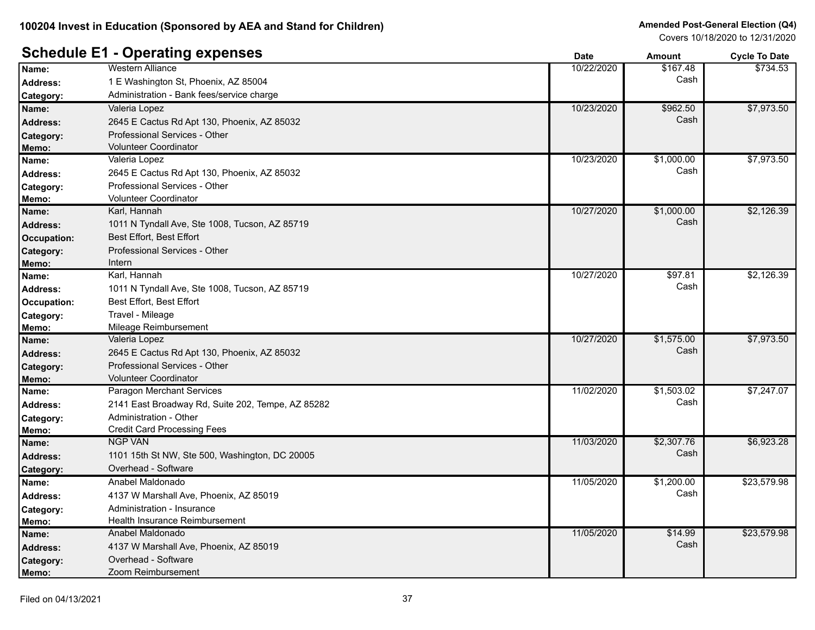# **Schedule E1 - Operating expenses**

|                    | $-$ becoming each                                 | υαισ       | anvun      | <b>OVUE TO DATE</b> |
|--------------------|---------------------------------------------------|------------|------------|---------------------|
| Name:              | <b>Western Alliance</b>                           | 10/22/2020 | \$167.48   | \$734.53            |
| <b>Address:</b>    | 1 E Washington St, Phoenix, AZ 85004              |            | Cash       |                     |
| Category:          | Administration - Bank fees/service charge         |            |            |                     |
| Name:              | Valeria Lopez                                     | 10/23/2020 | \$962.50   | \$7,973.50          |
| <b>Address:</b>    | 2645 E Cactus Rd Apt 130, Phoenix, AZ 85032       |            | Cash       |                     |
| Category:          | Professional Services - Other                     |            |            |                     |
| Memo:              | <b>Volunteer Coordinator</b>                      |            |            |                     |
| Name:              | Valeria Lopez                                     | 10/23/2020 | \$1,000.00 | \$7,973.50          |
| <b>Address:</b>    | 2645 E Cactus Rd Apt 130, Phoenix, AZ 85032       |            | Cash       |                     |
| Category:          | Professional Services - Other                     |            |            |                     |
| Memo:              | Volunteer Coordinator                             |            |            |                     |
| Name:              | Karl, Hannah                                      | 10/27/2020 | \$1,000.00 | \$2,126.39          |
| <b>Address:</b>    | 1011 N Tyndall Ave, Ste 1008, Tucson, AZ 85719    |            | Cash       |                     |
| <b>Occupation:</b> | Best Effort, Best Effort                          |            |            |                     |
| Category:          | Professional Services - Other                     |            |            |                     |
| Memo:              | Intern                                            |            |            |                     |
| Name:              | Karl, Hannah                                      | 10/27/2020 | \$97.81    | \$2,126.39          |
| <b>Address:</b>    | 1011 N Tyndall Ave, Ste 1008, Tucson, AZ 85719    |            | Cash       |                     |
| Occupation:        | Best Effort, Best Effort                          |            |            |                     |
| Category:          | Travel - Mileage                                  |            |            |                     |
| Memo:              | Mileage Reimbursement                             |            |            |                     |
| Name:              | Valeria Lopez                                     | 10/27/2020 | \$1,575.00 | \$7,973.50          |
| <b>Address:</b>    | 2645 E Cactus Rd Apt 130, Phoenix, AZ 85032       |            | Cash       |                     |
| Category:          | Professional Services - Other                     |            |            |                     |
| Memo:              | <b>Volunteer Coordinator</b>                      |            |            |                     |
| Name:              | Paragon Merchant Services                         | 11/02/2020 | \$1,503.02 | \$7,247.07          |
| <b>Address:</b>    | 2141 East Broadway Rd, Suite 202, Tempe, AZ 85282 |            | Cash       |                     |
| Category:          | Administration - Other                            |            |            |                     |
| Memo:              | <b>Credit Card Processing Fees</b>                |            |            |                     |
| Name:              | <b>NGP VAN</b>                                    | 11/03/2020 | \$2,307.76 | \$6,923.28          |
| <b>Address:</b>    | 1101 15th St NW, Ste 500, Washington, DC 20005    |            | Cash       |                     |
| Category:          | Overhead - Software                               |            |            |                     |
| Name:              | Anabel Maldonado                                  | 11/05/2020 | \$1,200.00 | \$23,579.98         |
| <b>Address:</b>    | 4137 W Marshall Ave, Phoenix, AZ 85019            |            | Cash       |                     |
| Category:          | Administration - Insurance                        |            |            |                     |
| Memo:              | Health Insurance Reimbursement                    |            |            |                     |
| Name:              | Anabel Maldonado                                  | 11/05/2020 | \$14.99    | \$23,579.98         |
| <b>Address:</b>    | 4137 W Marshall Ave, Phoenix, AZ 85019            |            | Cash       |                     |
| Category:          | Overhead - Software                               |            |            |                     |
| Memo:              | Zoom Reimbursement                                |            |            |                     |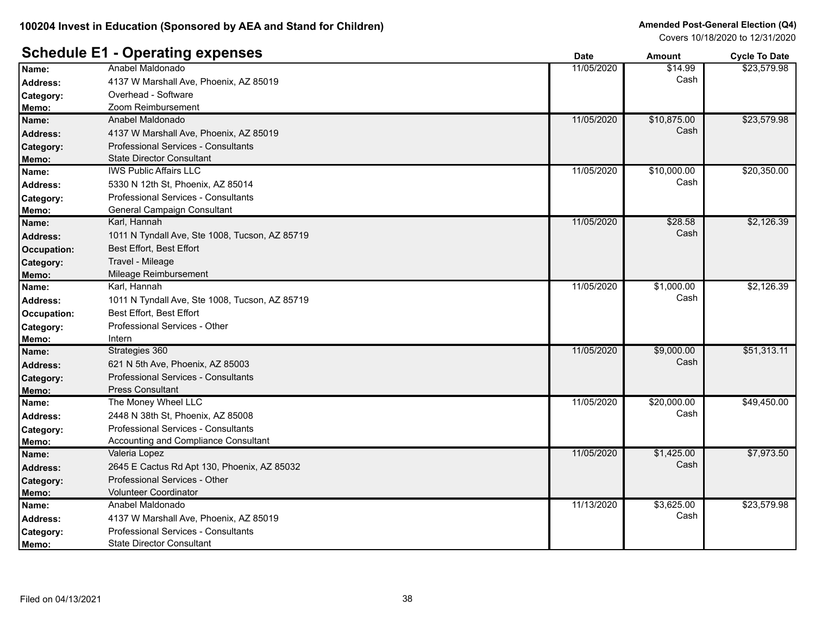#### **Schedule E1 - Operating expenses**

|                  | Aborating Arboures                             | Dale       | Allioulit   | <b>OVER TO DATE</b> |
|------------------|------------------------------------------------|------------|-------------|---------------------|
| Name:            | Anabel Maldonado                               | 11/05/2020 | \$14.99     | \$23,579.98         |
| <b>Address:</b>  | 4137 W Marshall Ave, Phoenix, AZ 85019         |            | Cash        |                     |
| Category:        | Overhead - Software                            |            |             |                     |
| Memo:            | Zoom Reimbursement                             |            |             |                     |
| Name:            | Anabel Maldonado                               | 11/05/2020 | \$10,875.00 | \$23,579.98         |
| Address:         | 4137 W Marshall Ave, Phoenix, AZ 85019         |            | Cash        |                     |
| <b>Category:</b> | <b>Professional Services - Consultants</b>     |            |             |                     |
| Memo:            | <b>State Director Consultant</b>               |            |             |                     |
| Name:            | <b>IWS Public Affairs LLC</b>                  | 11/05/2020 | \$10,000.00 | \$20,350.00         |
| Address:         | 5330 N 12th St, Phoenix, AZ 85014              |            | Cash        |                     |
| Category:        | <b>Professional Services - Consultants</b>     |            |             |                     |
| Memo:            | General Campaign Consultant                    |            |             |                     |
| Name:            | Karl, Hannah                                   | 11/05/2020 | \$28.58     | \$2,126.39          |
| <b>Address:</b>  | 1011 N Tyndall Ave, Ste 1008, Tucson, AZ 85719 |            | Cash        |                     |
| Occupation:      | Best Effort, Best Effort                       |            |             |                     |
| Category:        | Travel - Mileage                               |            |             |                     |
| Memo:            | Mileage Reimbursement                          |            |             |                     |
| Name:            | Karl, Hannah                                   | 11/05/2020 | \$1,000.00  | \$2,126.39          |
| <b>Address:</b>  | 1011 N Tyndall Ave, Ste 1008, Tucson, AZ 85719 |            | Cash        |                     |
| Occupation:      | Best Effort, Best Effort                       |            |             |                     |
| Category:        | Professional Services - Other                  |            |             |                     |
| Memo:            | Intern                                         |            |             |                     |
| Name:            | Strategies 360                                 | 11/05/2020 | \$9,000.00  | \$51,313.11         |
| <b>Address:</b>  | 621 N 5th Ave, Phoenix, AZ 85003               |            | Cash        |                     |
| Category:        | Professional Services - Consultants            |            |             |                     |
| Memo:            | Press Consultant                               |            |             |                     |
| Name:            | The Money Wheel LLC                            | 11/05/2020 | \$20,000.00 | \$49,450.00         |
| <b>Address:</b>  | 2448 N 38th St, Phoenix, AZ 85008              |            | Cash        |                     |
| Category:        | Professional Services - Consultants            |            |             |                     |
| Memo:            | Accounting and Compliance Consultant           |            |             |                     |
| Name:            | Valeria Lopez                                  | 11/05/2020 | \$1,425.00  | \$7,973.50          |
| Address:         | 2645 E Cactus Rd Apt 130, Phoenix, AZ 85032    |            | Cash        |                     |
| Category:        | Professional Services - Other                  |            |             |                     |
| Memo:            | <b>Volunteer Coordinator</b>                   |            |             |                     |
| Name:            | Anabel Maldonado                               | 11/13/2020 | \$3,625.00  | \$23,579.98         |
| Address:         | 4137 W Marshall Ave, Phoenix, AZ 85019         |            | Cash        |                     |
| Category:        | Professional Services - Consultants            |            |             |                     |
| Memo:            | <b>State Director Consultant</b>               |            |             |                     |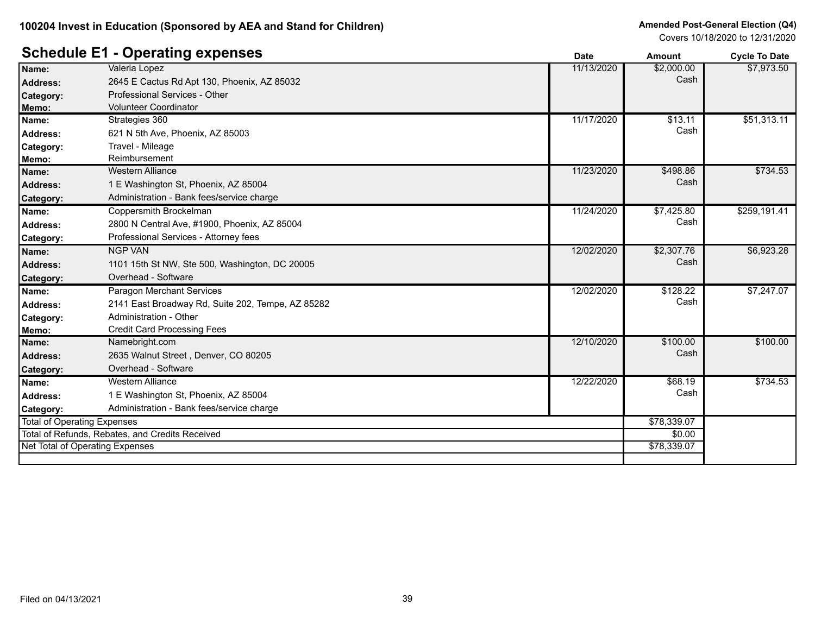#### **Schedule E1 - Operating expenses**

|                                                 |                                                   | Date        | Amount     | <b>Cycle To Date</b> |
|-------------------------------------------------|---------------------------------------------------|-------------|------------|----------------------|
| Name:                                           | Valeria Lopez                                     | 11/13/2020  | \$2,000.00 | \$7,973.50           |
| <b>Address:</b>                                 | 2645 E Cactus Rd Apt 130, Phoenix, AZ 85032       |             | Cash       |                      |
| Category:                                       | Professional Services - Other                     |             |            |                      |
| Memo:                                           | <b>Volunteer Coordinator</b>                      |             |            |                      |
| Name:                                           | Strategies 360                                    | 11/17/2020  | \$13.11    | \$51,313.11          |
| <b>Address:</b>                                 | 621 N 5th Ave, Phoenix, AZ 85003                  |             | Cash       |                      |
| Category:                                       | Travel - Mileage                                  |             |            |                      |
| Memo:                                           | Reimbursement                                     |             |            |                      |
| Name:                                           | <b>Western Alliance</b>                           | 11/23/2020  | \$498.86   | \$734.53             |
| <b>Address:</b>                                 | 1 E Washington St, Phoenix, AZ 85004              |             | Cash       |                      |
| Category:                                       | Administration - Bank fees/service charge         |             |            |                      |
| Name:                                           | Coppersmith Brockelman                            | 11/24/2020  | \$7,425.80 | \$259,191.41         |
| <b>Address:</b>                                 | 2800 N Central Ave, #1900, Phoenix, AZ 85004      |             | Cash       |                      |
| Category:                                       | Professional Services - Attorney fees             |             |            |                      |
| Name:                                           | <b>NGP VAN</b>                                    | 12/02/2020  | \$2,307.76 | \$6,923.28           |
| <b>Address:</b>                                 | 1101 15th St NW, Ste 500, Washington, DC 20005    |             | Cash       |                      |
| Category:                                       | Overhead - Software                               |             |            |                      |
| Name:                                           | <b>Paragon Merchant Services</b>                  | 12/02/2020  | \$128.22   | \$7,247.07           |
| <b>Address:</b>                                 | 2141 East Broadway Rd, Suite 202, Tempe, AZ 85282 |             | Cash       |                      |
| Category:                                       | Administration - Other                            |             |            |                      |
| Memo:                                           | <b>Credit Card Processing Fees</b>                |             |            |                      |
| Name:                                           | Namebright.com                                    | 12/10/2020  | \$100.00   | \$100.00             |
| <b>Address:</b>                                 | 2635 Walnut Street, Denver, CO 80205              |             | Cash       |                      |
| Category:                                       | Overhead - Software                               |             |            |                      |
| Name:                                           | <b>Western Alliance</b>                           | 12/22/2020  | \$68.19    | \$734.53             |
| <b>Address:</b>                                 | 1 E Washington St, Phoenix, AZ 85004              |             | Cash       |                      |
| Category:                                       | Administration - Bank fees/service charge         |             |            |                      |
| <b>Total of Operating Expenses</b>              |                                                   | \$78,339.07 |            |                      |
| Total of Refunds, Rebates, and Credits Received |                                                   | \$0.00      |            |                      |
| Net Total of Operating Expenses                 |                                                   | \$78,339.07 |            |                      |
|                                                 |                                                   |             |            |                      |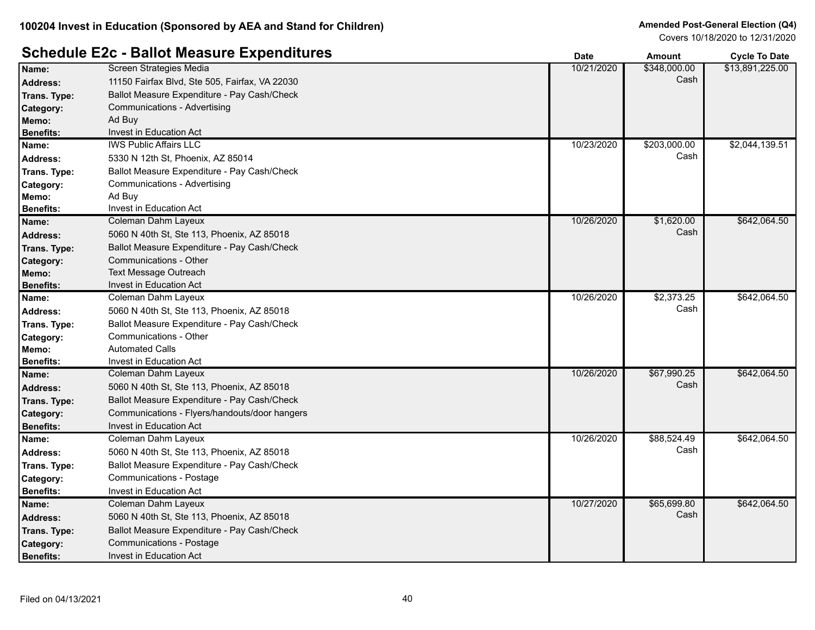# **Schedule E2c - Ballot Measure Expenditures Date Date Amount Cycle To Date**

|                  |                                                | vale       | Allivulit    | <b>OVUE TO DATE</b> |
|------------------|------------------------------------------------|------------|--------------|---------------------|
| Name:            | Screen Strategies Media                        | 10/21/2020 | \$348,000.00 | \$13,891,225.00     |
| <b>Address:</b>  | 11150 Fairfax Blvd, Ste 505, Fairfax, VA 22030 |            | Cash         |                     |
| Trans. Type:     | Ballot Measure Expenditure - Pay Cash/Check    |            |              |                     |
| Category:        | <b>Communications - Advertising</b>            |            |              |                     |
| Memo:            | Ad Buy                                         |            |              |                     |
| <b>Benefits:</b> | Invest in Education Act                        |            |              |                     |
| Name:            | <b>IWS Public Affairs LLC</b>                  | 10/23/2020 | \$203,000.00 | \$2,044,139.51      |
| <b>Address:</b>  | 5330 N 12th St, Phoenix, AZ 85014              |            | Cash         |                     |
| Trans. Type:     | Ballot Measure Expenditure - Pay Cash/Check    |            |              |                     |
| Category:        | <b>Communications - Advertising</b>            |            |              |                     |
| Memo:            | Ad Buy                                         |            |              |                     |
| <b>Benefits:</b> | Invest in Education Act                        |            |              |                     |
| Name:            | Coleman Dahm Layeux                            | 10/26/2020 | \$1,620.00   | \$642,064.50        |
| <b>Address:</b>  | 5060 N 40th St, Ste 113, Phoenix, AZ 85018     |            | Cash         |                     |
| Trans. Type:     | Ballot Measure Expenditure - Pay Cash/Check    |            |              |                     |
| Category:        | <b>Communications - Other</b>                  |            |              |                     |
| Memo:            | <b>Text Message Outreach</b>                   |            |              |                     |
| <b>Benefits:</b> | Invest in Education Act                        |            |              |                     |
| Name:            | Coleman Dahm Layeux                            | 10/26/2020 | \$2,373.25   | \$642,064.50        |
| Address:         | 5060 N 40th St, Ste 113, Phoenix, AZ 85018     |            | Cash         |                     |
| Trans. Type:     | Ballot Measure Expenditure - Pay Cash/Check    |            |              |                     |
| Category:        | Communications - Other                         |            |              |                     |
| Memo:            | <b>Automated Calls</b>                         |            |              |                     |
| <b>Benefits:</b> | Invest in Education Act                        |            |              |                     |
| Name:            | Coleman Dahm Layeux                            | 10/26/2020 | \$67,990.25  | \$642,064.50        |
| <b>Address:</b>  | 5060 N 40th St, Ste 113, Phoenix, AZ 85018     |            | Cash         |                     |
| Trans. Type:     | Ballot Measure Expenditure - Pay Cash/Check    |            |              |                     |
| Category:        | Communications - Flyers/handouts/door hangers  |            |              |                     |
| <b>Benefits:</b> | Invest in Education Act                        |            |              |                     |
| Name:            | Coleman Dahm Layeux                            | 10/26/2020 | \$88,524.49  | \$642,064.50        |
| <b>Address:</b>  | 5060 N 40th St, Ste 113, Phoenix, AZ 85018     |            | Cash         |                     |
| Trans. Type:     | Ballot Measure Expenditure - Pay Cash/Check    |            |              |                     |
| Category:        | Communications - Postage                       |            |              |                     |
| <b>Benefits:</b> | Invest in Education Act                        |            |              |                     |
| Name:            | Coleman Dahm Layeux                            | 10/27/2020 | \$65,699.80  | \$642,064.50        |
| Address:         | 5060 N 40th St, Ste 113, Phoenix, AZ 85018     |            | Cash         |                     |
| Trans. Type:     | Ballot Measure Expenditure - Pay Cash/Check    |            |              |                     |
| Category:        | <b>Communications - Postage</b>                |            |              |                     |
| <b>Benefits:</b> | <b>Invest in Education Act</b>                 |            |              |                     |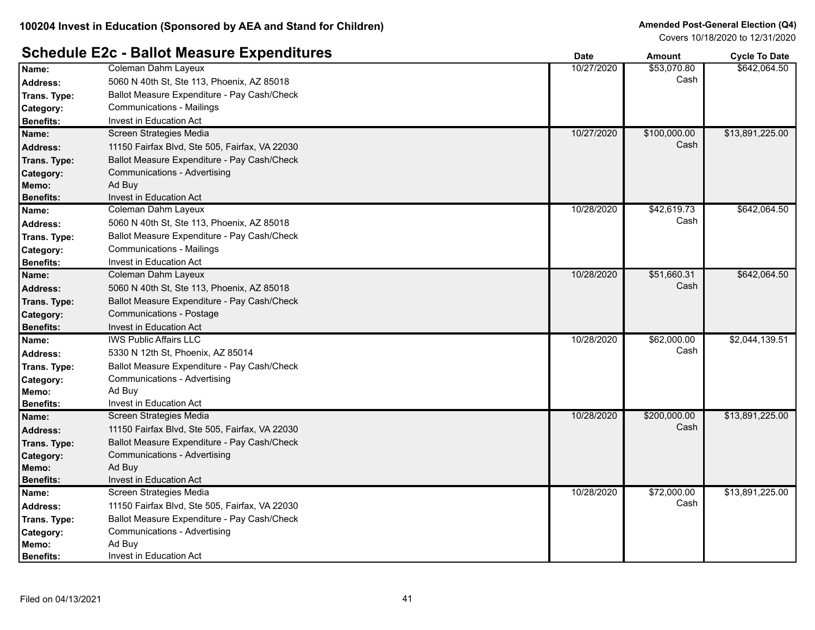# **Schedule E2c - Ballot Measure Expenditures** *Date* **<b>Ballot Cycle To Date Amount Cycle To Date**

|                  | <b>Panol Mododio Expondituivo</b>              | vale       | <b>AIIIOUIIL</b> | <b>Oycle To Date</b> |
|------------------|------------------------------------------------|------------|------------------|----------------------|
| Name:            | Coleman Dahm Layeux                            | 10/27/2020 | \$53,070.80      | \$642,064.50         |
| <b>Address:</b>  | 5060 N 40th St, Ste 113, Phoenix, AZ 85018     |            | Cash             |                      |
| Trans. Type:     | Ballot Measure Expenditure - Pay Cash/Check    |            |                  |                      |
| Category:        | <b>Communications - Mailings</b>               |            |                  |                      |
| <b>Benefits:</b> | Invest in Education Act                        |            |                  |                      |
| Name:            | Screen Strategies Media                        | 10/27/2020 | \$100,000.00     | \$13,891,225.00      |
| <b>Address:</b>  | 11150 Fairfax Blvd, Ste 505, Fairfax, VA 22030 |            | Cash             |                      |
| Trans. Type:     | Ballot Measure Expenditure - Pay Cash/Check    |            |                  |                      |
| <b>Category:</b> | Communications - Advertising                   |            |                  |                      |
| Memo:            | Ad Buy                                         |            |                  |                      |
| <b>Benefits:</b> | Invest in Education Act                        |            |                  |                      |
| Name:            | Coleman Dahm Layeux                            | 10/28/2020 | \$42,619.73      | \$642,064.50         |
| <b>Address:</b>  | 5060 N 40th St, Ste 113, Phoenix, AZ 85018     |            | Cash             |                      |
| Trans. Type:     | Ballot Measure Expenditure - Pay Cash/Check    |            |                  |                      |
| Category:        | <b>Communications - Mailings</b>               |            |                  |                      |
| <b>Benefits:</b> | Invest in Education Act                        |            |                  |                      |
| Name:            | Coleman Dahm Layeux                            | 10/28/2020 | \$51,660.31      | \$642,064.50         |
| <b>Address:</b>  | 5060 N 40th St, Ste 113, Phoenix, AZ 85018     |            | Cash             |                      |
| Trans. Type:     | Ballot Measure Expenditure - Pay Cash/Check    |            |                  |                      |
| Category:        | <b>Communications - Postage</b>                |            |                  |                      |
| <b>Benefits:</b> | <b>Invest in Education Act</b>                 |            |                  |                      |
| Name:            | <b>IWS Public Affairs LLC</b>                  | 10/28/2020 | \$62,000.00      | \$2,044,139.51       |
| <b>Address:</b>  | 5330 N 12th St, Phoenix, AZ 85014              |            | Cash             |                      |
| Trans. Type:     | Ballot Measure Expenditure - Pay Cash/Check    |            |                  |                      |
| Category:        | Communications - Advertising                   |            |                  |                      |
| Memo:            | Ad Buy                                         |            |                  |                      |
| <b>Benefits:</b> | Invest in Education Act                        |            |                  |                      |
| Name:            | Screen Strategies Media                        | 10/28/2020 | \$200,000.00     | \$13,891,225.00      |
| <b>Address:</b>  | 11150 Fairfax Blvd, Ste 505, Fairfax, VA 22030 |            | Cash             |                      |
| Trans. Type:     | Ballot Measure Expenditure - Pay Cash/Check    |            |                  |                      |
| Category:        | Communications - Advertising                   |            |                  |                      |
| Memo:            | Ad Buy                                         |            |                  |                      |
| <b>Benefits:</b> | Invest in Education Act                        |            |                  |                      |
| Name:            | Screen Strategies Media                        | 10/28/2020 | \$72,000.00      | \$13,891,225.00      |
| Address:         | 11150 Fairfax Blvd, Ste 505, Fairfax, VA 22030 |            | Cash             |                      |
| Trans. Type:     | Ballot Measure Expenditure - Pay Cash/Check    |            |                  |                      |
| Category:        | Communications - Advertising                   |            |                  |                      |
| Memo:            | Ad Buy                                         |            |                  |                      |
| <b>Benefits:</b> | <b>Invest in Education Act</b>                 |            |                  |                      |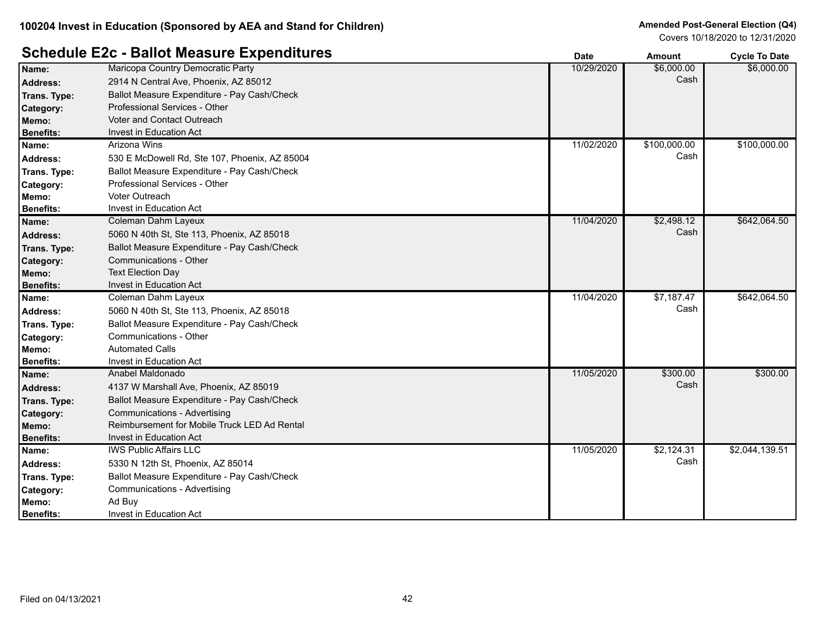#### **Schedule E2c - Ballot Measure Expenditures Date Date Amount Cycle To Date**

|                  |                                               | Dalc       | Allivulit    | oyue to Date   |
|------------------|-----------------------------------------------|------------|--------------|----------------|
| Name:            | Maricopa Country Democratic Party             | 10/29/2020 | \$6,000.00   | \$6,000.00     |
| <b>Address:</b>  | 2914 N Central Ave, Phoenix, AZ 85012         |            | Cash         |                |
| Trans. Type:     | Ballot Measure Expenditure - Pay Cash/Check   |            |              |                |
| Category:        | Professional Services - Other                 |            |              |                |
| Memo:            | Voter and Contact Outreach                    |            |              |                |
| <b>Benefits:</b> | Invest in Education Act                       |            |              |                |
| Name:            | Arizona Wins                                  | 11/02/2020 | \$100,000.00 | \$100,000.00   |
| <b>Address:</b>  | 530 E McDowell Rd, Ste 107, Phoenix, AZ 85004 |            | Cash         |                |
| Trans. Type:     | Ballot Measure Expenditure - Pay Cash/Check   |            |              |                |
| Category:        | Professional Services - Other                 |            |              |                |
| Memo:            | Voter Outreach                                |            |              |                |
| <b>Benefits:</b> | Invest in Education Act                       |            |              |                |
| Name:            | Coleman Dahm Layeux                           | 11/04/2020 | \$2,498.12   | \$642,064.50   |
| <b>Address:</b>  | 5060 N 40th St, Ste 113, Phoenix, AZ 85018    |            | Cash         |                |
| Trans. Type:     | Ballot Measure Expenditure - Pay Cash/Check   |            |              |                |
| Category:        | Communications - Other                        |            |              |                |
| Memo:            | <b>Text Election Day</b>                      |            |              |                |
| <b>Benefits:</b> | Invest in Education Act                       |            |              |                |
| Name:            | Coleman Dahm Layeux                           | 11/04/2020 | \$7,187.47   | \$642,064.50   |
| <b>Address:</b>  | 5060 N 40th St, Ste 113, Phoenix, AZ 85018    |            | Cash         |                |
| Trans. Type:     | Ballot Measure Expenditure - Pay Cash/Check   |            |              |                |
| Category:        | Communications - Other                        |            |              |                |
| Memo:            | <b>Automated Calls</b>                        |            |              |                |
| <b>Benefits:</b> | Invest in Education Act                       |            |              |                |
| Name:            | Anabel Maldonado                              | 11/05/2020 | \$300.00     | \$300.00       |
| <b>Address:</b>  | 4137 W Marshall Ave, Phoenix, AZ 85019        |            | Cash         |                |
| Trans. Type:     | Ballot Measure Expenditure - Pay Cash/Check   |            |              |                |
| Category:        | <b>Communications - Advertising</b>           |            |              |                |
| Memo:            | Reimbursement for Mobile Truck LED Ad Rental  |            |              |                |
| <b>Benefits:</b> | Invest in Education Act                       |            |              |                |
| Name:            | <b>IWS Public Affairs LLC</b>                 | 11/05/2020 | \$2,124.31   | \$2,044,139.51 |
| <b>Address:</b>  | 5330 N 12th St, Phoenix, AZ 85014             |            | Cash         |                |
| Trans. Type:     | Ballot Measure Expenditure - Pay Cash/Check   |            |              |                |
| Category:        | Communications - Advertising                  |            |              |                |
| Memo:            | Ad Buy                                        |            |              |                |
| <b>Benefits:</b> | <b>Invest in Education Act</b>                |            |              |                |